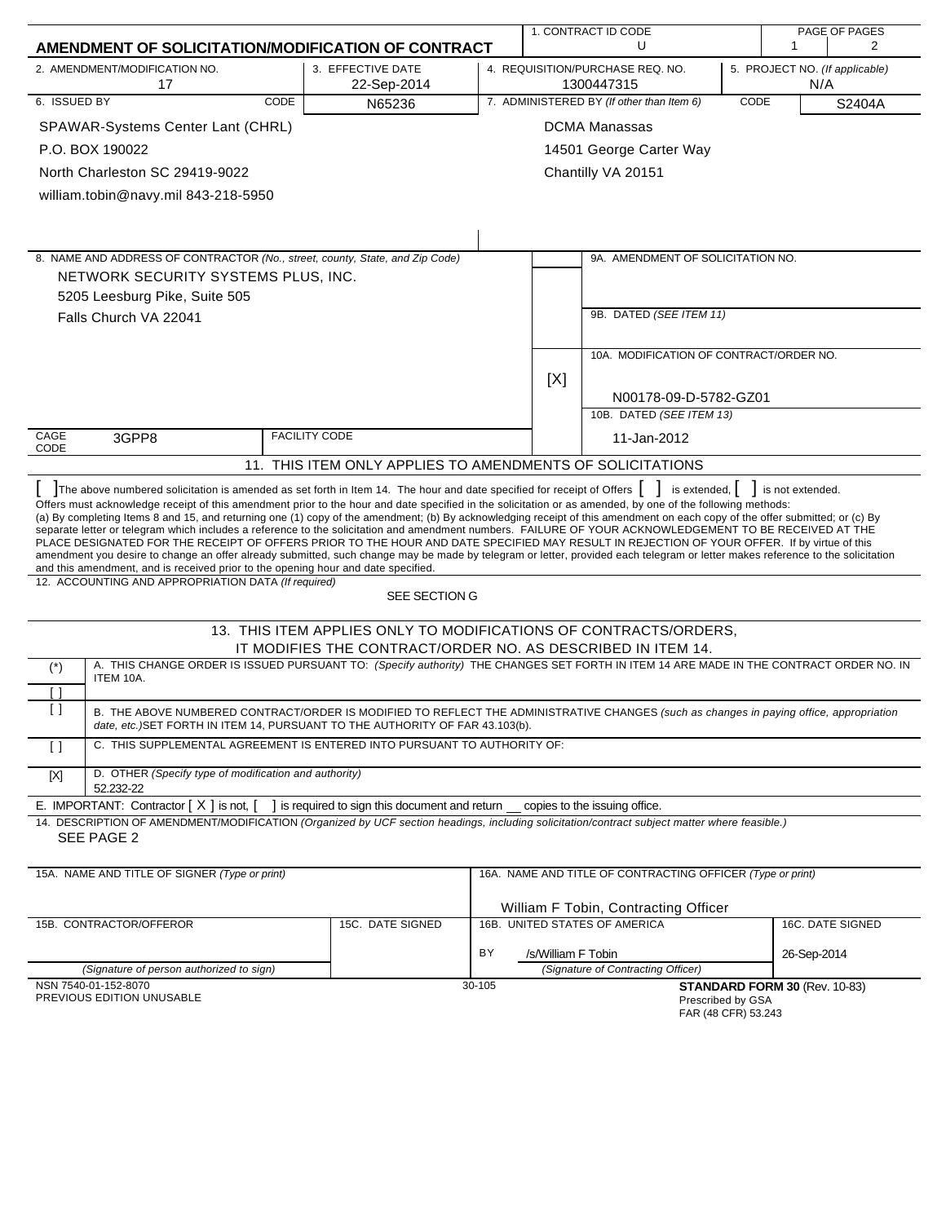|                                                                                                                                                                                                                                                                                                                                                                                                                                                                                                                                                                                                                                                                                                                                                                                                                                                                                                                                                                                                                                                                                                                                                                    |                                                                                                                                 |             |                    | 1. CONTRACT ID CODE<br>PAGE OF PAGES                       |      |                                       |                  |
|--------------------------------------------------------------------------------------------------------------------------------------------------------------------------------------------------------------------------------------------------------------------------------------------------------------------------------------------------------------------------------------------------------------------------------------------------------------------------------------------------------------------------------------------------------------------------------------------------------------------------------------------------------------------------------------------------------------------------------------------------------------------------------------------------------------------------------------------------------------------------------------------------------------------------------------------------------------------------------------------------------------------------------------------------------------------------------------------------------------------------------------------------------------------|---------------------------------------------------------------------------------------------------------------------------------|-------------|--------------------|------------------------------------------------------------|------|---------------------------------------|------------------|
| AMENDMENT OF SOLICITATION/MODIFICATION OF CONTRACT                                                                                                                                                                                                                                                                                                                                                                                                                                                                                                                                                                                                                                                                                                                                                                                                                                                                                                                                                                                                                                                                                                                 |                                                                                                                                 |             |                    | U                                                          |      | 1                                     | 2                |
| 2. AMENDMENT/MODIFICATION NO.<br>17                                                                                                                                                                                                                                                                                                                                                                                                                                                                                                                                                                                                                                                                                                                                                                                                                                                                                                                                                                                                                                                                                                                                | 3. EFFECTIVE DATE<br>22-Sep-2014                                                                                                |             |                    | 4. REQUISITION/PURCHASE REQ. NO.<br>1300447315             |      | 5. PROJECT NO. (If applicable)<br>N/A |                  |
| 6. ISSUED BY<br>CODE                                                                                                                                                                                                                                                                                                                                                                                                                                                                                                                                                                                                                                                                                                                                                                                                                                                                                                                                                                                                                                                                                                                                               | N65236                                                                                                                          |             |                    | 7. ADMINISTERED BY (If other than Item 6)                  | CODE |                                       | S2404A           |
| SPAWAR-Systems Center Lant (CHRL)                                                                                                                                                                                                                                                                                                                                                                                                                                                                                                                                                                                                                                                                                                                                                                                                                                                                                                                                                                                                                                                                                                                                  |                                                                                                                                 |             |                    | <b>DCMA Manassas</b>                                       |      |                                       |                  |
| P.O. BOX 190022                                                                                                                                                                                                                                                                                                                                                                                                                                                                                                                                                                                                                                                                                                                                                                                                                                                                                                                                                                                                                                                                                                                                                    |                                                                                                                                 |             |                    | 14501 George Carter Way                                    |      |                                       |                  |
| North Charleston SC 29419-9022                                                                                                                                                                                                                                                                                                                                                                                                                                                                                                                                                                                                                                                                                                                                                                                                                                                                                                                                                                                                                                                                                                                                     |                                                                                                                                 |             |                    | Chantilly VA 20151                                         |      |                                       |                  |
| william.tobin@navy.mil 843-218-5950                                                                                                                                                                                                                                                                                                                                                                                                                                                                                                                                                                                                                                                                                                                                                                                                                                                                                                                                                                                                                                                                                                                                |                                                                                                                                 |             |                    |                                                            |      |                                       |                  |
|                                                                                                                                                                                                                                                                                                                                                                                                                                                                                                                                                                                                                                                                                                                                                                                                                                                                                                                                                                                                                                                                                                                                                                    |                                                                                                                                 |             |                    |                                                            |      |                                       |                  |
|                                                                                                                                                                                                                                                                                                                                                                                                                                                                                                                                                                                                                                                                                                                                                                                                                                                                                                                                                                                                                                                                                                                                                                    |                                                                                                                                 |             |                    |                                                            |      |                                       |                  |
| 8. NAME AND ADDRESS OF CONTRACTOR (No., street, county, State, and Zip Code)                                                                                                                                                                                                                                                                                                                                                                                                                                                                                                                                                                                                                                                                                                                                                                                                                                                                                                                                                                                                                                                                                       |                                                                                                                                 |             |                    | 9A. AMENDMENT OF SOLICITATION NO.                          |      |                                       |                  |
| NETWORK SECURITY SYSTEMS PLUS, INC.                                                                                                                                                                                                                                                                                                                                                                                                                                                                                                                                                                                                                                                                                                                                                                                                                                                                                                                                                                                                                                                                                                                                |                                                                                                                                 |             |                    |                                                            |      |                                       |                  |
| 5205 Leesburg Pike, Suite 505                                                                                                                                                                                                                                                                                                                                                                                                                                                                                                                                                                                                                                                                                                                                                                                                                                                                                                                                                                                                                                                                                                                                      |                                                                                                                                 |             |                    |                                                            |      |                                       |                  |
| Falls Church VA 22041                                                                                                                                                                                                                                                                                                                                                                                                                                                                                                                                                                                                                                                                                                                                                                                                                                                                                                                                                                                                                                                                                                                                              |                                                                                                                                 |             |                    | 9B. DATED (SEE ITEM 11)                                    |      |                                       |                  |
|                                                                                                                                                                                                                                                                                                                                                                                                                                                                                                                                                                                                                                                                                                                                                                                                                                                                                                                                                                                                                                                                                                                                                                    |                                                                                                                                 |             |                    |                                                            |      |                                       |                  |
|                                                                                                                                                                                                                                                                                                                                                                                                                                                                                                                                                                                                                                                                                                                                                                                                                                                                                                                                                                                                                                                                                                                                                                    |                                                                                                                                 |             |                    | 10A. MODIFICATION OF CONTRACT/ORDER NO.                    |      |                                       |                  |
|                                                                                                                                                                                                                                                                                                                                                                                                                                                                                                                                                                                                                                                                                                                                                                                                                                                                                                                                                                                                                                                                                                                                                                    |                                                                                                                                 |             | [X]                |                                                            |      |                                       |                  |
|                                                                                                                                                                                                                                                                                                                                                                                                                                                                                                                                                                                                                                                                                                                                                                                                                                                                                                                                                                                                                                                                                                                                                                    |                                                                                                                                 |             |                    | N00178-09-D-5782-GZ01                                      |      |                                       |                  |
|                                                                                                                                                                                                                                                                                                                                                                                                                                                                                                                                                                                                                                                                                                                                                                                                                                                                                                                                                                                                                                                                                                                                                                    |                                                                                                                                 |             |                    | 10B. DATED (SEE ITEM 13)                                   |      |                                       |                  |
| CAGE<br>3GPP8<br>CODE                                                                                                                                                                                                                                                                                                                                                                                                                                                                                                                                                                                                                                                                                                                                                                                                                                                                                                                                                                                                                                                                                                                                              | <b>FACILITY CODE</b>                                                                                                            | 11-Jan-2012 |                    |                                                            |      |                                       |                  |
| 11. THIS ITEM ONLY APPLIES TO AMENDMENTS OF SOLICITATIONS                                                                                                                                                                                                                                                                                                                                                                                                                                                                                                                                                                                                                                                                                                                                                                                                                                                                                                                                                                                                                                                                                                          |                                                                                                                                 |             |                    |                                                            |      |                                       |                  |
| The above numbered solicitation is amended as set forth in Item 14. The hour and date specified for receipt of Offers  <br>is extended, $\vert \cdot \vert$ is not extended.<br>Offers must acknowledge receipt of this amendment prior to the hour and date specified in the solicitation or as amended, by one of the following methods:<br>(a) By completing Items 8 and 15, and returning one (1) copy of the amendment; (b) By acknowledging receipt of this amendment on each copy of the offer submitted; or (c) By<br>separate letter or telegram which includes a reference to the solicitation and amendment numbers. FAILURE OF YOUR ACKNOWLEDGEMENT TO BE RECEIVED AT THE<br>PLACE DESIGNATED FOR THE RECEIPT OF OFFERS PRIOR TO THE HOUR AND DATE SPECIFIED MAY RESULT IN REJECTION OF YOUR OFFER. If by virtue of this<br>amendment you desire to change an offer already submitted, such change may be made by telegram or letter, provided each telegram or letter makes reference to the solicitation<br>and this amendment, and is received prior to the opening hour and date specified.<br>12. ACCOUNTING AND APPROPRIATION DATA (If required) |                                                                                                                                 |             |                    |                                                            |      |                                       |                  |
|                                                                                                                                                                                                                                                                                                                                                                                                                                                                                                                                                                                                                                                                                                                                                                                                                                                                                                                                                                                                                                                                                                                                                                    | SEE SECTION G                                                                                                                   |             |                    |                                                            |      |                                       |                  |
|                                                                                                                                                                                                                                                                                                                                                                                                                                                                                                                                                                                                                                                                                                                                                                                                                                                                                                                                                                                                                                                                                                                                                                    | 13. THIS ITEM APPLIES ONLY TO MODIFICATIONS OF CONTRACTS/ORDERS,<br>IT MODIFIES THE CONTRACT/ORDER NO. AS DESCRIBED IN ITEM 14. |             |                    |                                                            |      |                                       |                  |
| A. THIS CHANGE ORDER IS ISSUED PURSUANT TO: (Specify authority) THE CHANGES SET FORTH IN ITEM 14 ARE MADE IN THE CONTRACT ORDER NO. IN<br>$(\dot{\phantom{a}})$                                                                                                                                                                                                                                                                                                                                                                                                                                                                                                                                                                                                                                                                                                                                                                                                                                                                                                                                                                                                    |                                                                                                                                 |             |                    |                                                            |      |                                       |                  |
| ITEM 10A.                                                                                                                                                                                                                                                                                                                                                                                                                                                                                                                                                                                                                                                                                                                                                                                                                                                                                                                                                                                                                                                                                                                                                          |                                                                                                                                 |             |                    |                                                            |      |                                       |                  |
| H<br>$\lceil$ $\rceil$<br>B. THE ABOVE NUMBERED CONTRACT/ORDER IS MODIFIED TO REFLECT THE ADMINISTRATIVE CHANGES (such as changes in paying office, appropriation                                                                                                                                                                                                                                                                                                                                                                                                                                                                                                                                                                                                                                                                                                                                                                                                                                                                                                                                                                                                  |                                                                                                                                 |             |                    |                                                            |      |                                       |                  |
| date, etc.) SET FORTH IN ITEM 14, PURSUANT TO THE AUTHORITY OF FAR 43.103(b).                                                                                                                                                                                                                                                                                                                                                                                                                                                                                                                                                                                                                                                                                                                                                                                                                                                                                                                                                                                                                                                                                      |                                                                                                                                 |             |                    |                                                            |      |                                       |                  |
| C. THIS SUPPLEMENTAL AGREEMENT IS ENTERED INTO PURSUANT TO AUTHORITY OF:<br>$\Box$                                                                                                                                                                                                                                                                                                                                                                                                                                                                                                                                                                                                                                                                                                                                                                                                                                                                                                                                                                                                                                                                                 |                                                                                                                                 |             |                    |                                                            |      |                                       |                  |
| D. OTHER (Specify type of modification and authority)<br>[X]<br>52.232-22                                                                                                                                                                                                                                                                                                                                                                                                                                                                                                                                                                                                                                                                                                                                                                                                                                                                                                                                                                                                                                                                                          |                                                                                                                                 |             |                    |                                                            |      |                                       |                  |
| E. IMPORTANT: Contractor [X] is not, [ ] is required to sign this document and return _ copies to the issuing office.                                                                                                                                                                                                                                                                                                                                                                                                                                                                                                                                                                                                                                                                                                                                                                                                                                                                                                                                                                                                                                              |                                                                                                                                 |             |                    |                                                            |      |                                       |                  |
| 14. DESCRIPTION OF AMENDMENT/MODIFICATION (Organized by UCF section headings, including solicitation/contract subject matter where feasible.)                                                                                                                                                                                                                                                                                                                                                                                                                                                                                                                                                                                                                                                                                                                                                                                                                                                                                                                                                                                                                      |                                                                                                                                 |             |                    |                                                            |      |                                       |                  |
| SEE PAGE 2                                                                                                                                                                                                                                                                                                                                                                                                                                                                                                                                                                                                                                                                                                                                                                                                                                                                                                                                                                                                                                                                                                                                                         |                                                                                                                                 |             |                    |                                                            |      |                                       |                  |
| 15A. NAME AND TITLE OF SIGNER (Type or print)                                                                                                                                                                                                                                                                                                                                                                                                                                                                                                                                                                                                                                                                                                                                                                                                                                                                                                                                                                                                                                                                                                                      |                                                                                                                                 |             |                    | 16A. NAME AND TITLE OF CONTRACTING OFFICER (Type or print) |      |                                       |                  |
|                                                                                                                                                                                                                                                                                                                                                                                                                                                                                                                                                                                                                                                                                                                                                                                                                                                                                                                                                                                                                                                                                                                                                                    |                                                                                                                                 |             |                    |                                                            |      |                                       |                  |
|                                                                                                                                                                                                                                                                                                                                                                                                                                                                                                                                                                                                                                                                                                                                                                                                                                                                                                                                                                                                                                                                                                                                                                    |                                                                                                                                 |             |                    | William F Tobin, Contracting Officer                       |      |                                       |                  |
| 15B. CONTRACTOR/OFFEROR                                                                                                                                                                                                                                                                                                                                                                                                                                                                                                                                                                                                                                                                                                                                                                                                                                                                                                                                                                                                                                                                                                                                            | 15C. DATE SIGNED                                                                                                                |             |                    | 16B. UNITED STATES OF AMERICA                              |      |                                       | 16C. DATE SIGNED |
| (Signature of person authorized to sign)                                                                                                                                                                                                                                                                                                                                                                                                                                                                                                                                                                                                                                                                                                                                                                                                                                                                                                                                                                                                                                                                                                                           |                                                                                                                                 | ΒY          | /s/William F Tobin | (Signature of Contracting Officer)                         |      | 26-Sep-2014                           |                  |
| NSN 7540-01-152-8070                                                                                                                                                                                                                                                                                                                                                                                                                                                                                                                                                                                                                                                                                                                                                                                                                                                                                                                                                                                                                                                                                                                                               |                                                                                                                                 | 30-105      |                    |                                                            |      | STANDARD FORM 30 (Rev. 10-83)         |                  |
| PREVIOUS EDITION UNUSABLE                                                                                                                                                                                                                                                                                                                                                                                                                                                                                                                                                                                                                                                                                                                                                                                                                                                                                                                                                                                                                                                                                                                                          |                                                                                                                                 |             |                    | Prescribed by GSA<br>FAR (48 CFR) 53.243                   |      |                                       |                  |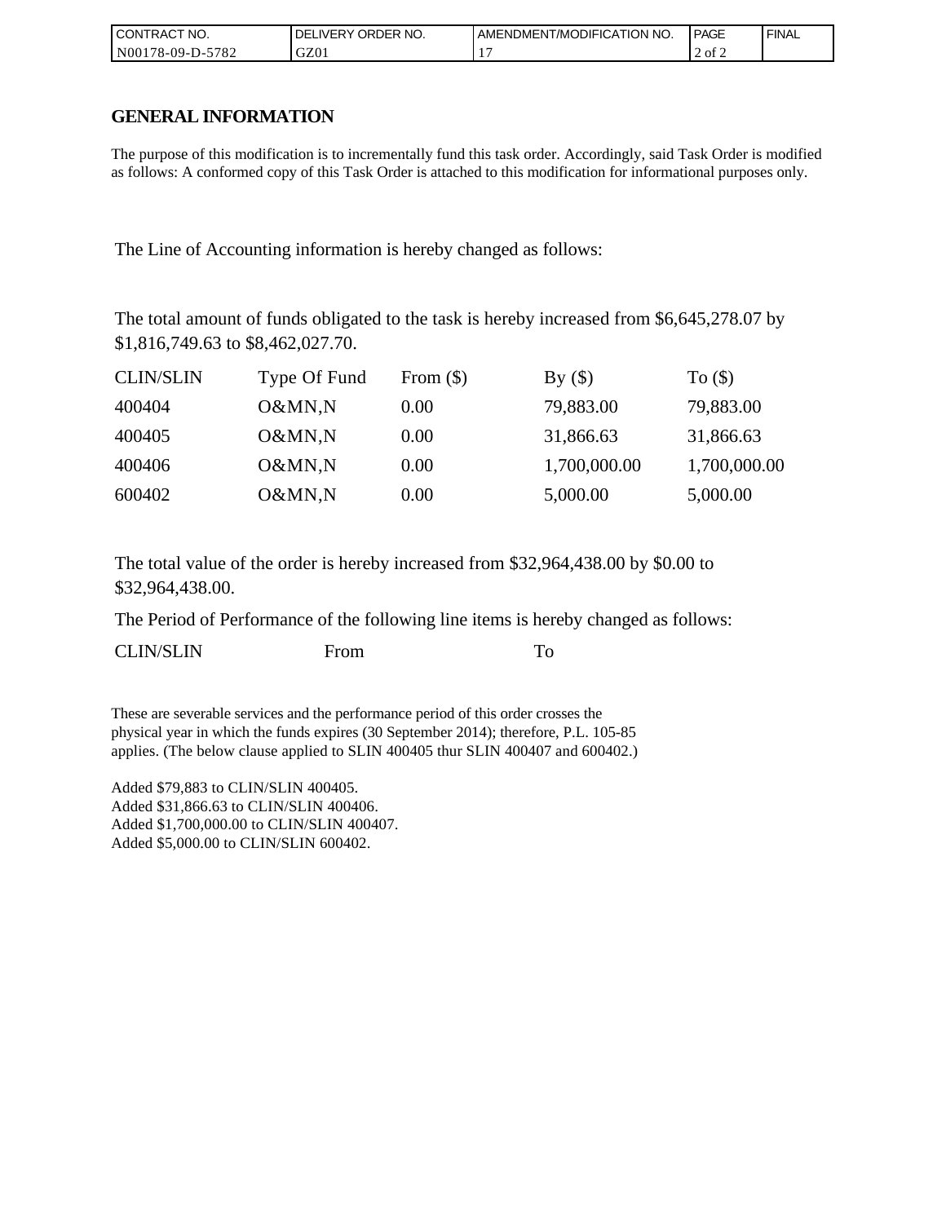| l CON <sup>-</sup><br>'TRACT NO. | NO.<br><b>ORDER</b><br>.IVERY<br>DELI | AMENDMENT/MODIFICATION NO. | <b>PAGE</b> | ' FINAL |
|----------------------------------|---------------------------------------|----------------------------|-------------|---------|
| N00178-09-D-5782                 | GZ01                                  |                            | 2 of 2      |         |

### **GENERAL INFORMATION**

The purpose of this modification is to incrementally fund this task order. Accordingly, said Task Order is modified as follows: A conformed copy of this Task Order is attached to this modification for informational purposes only.

The Line of Accounting information is hereby changed as follows:

The total amount of funds obligated to the task is hereby increased from \$6,645,278.07 by \$1,816,749.63 to \$8,462,027.70.

| <b>CLIN/SLIN</b> | Type Of Fund | From $(\$)$ | By()         | To $($ math) |
|------------------|--------------|-------------|--------------|--------------|
| 400404           | O&MN,N       | 0.00        | 79,883.00    | 79,883.00    |
| 400405           | O&MN,N       | 0.00        | 31,866.63    | 31,866.63    |
| 400406           | O&MN,N       | 0.00        | 1,700,000.00 | 1,700,000.00 |
| 600402           | O&MN,N       | 0.00        | 5,000.00     | 5,000.00     |

The total value of the order is hereby increased from \$32,964,438.00 by \$0.00 to \$32,964,438.00.

The Period of Performance of the following line items is hereby changed as follows:

| <b>CLIN/SLIN</b><br>From |  |
|--------------------------|--|
|--------------------------|--|

These are severable services and the performance period of this order crosses the physical year in which the funds expires (30 September 2014); therefore, P.L. 105-85 applies. (The below clause applied to SLIN 400405 thur SLIN 400407 and 600402.)

Added \$79,883 to CLIN/SLIN 400405. Added \$31,866.63 to CLIN/SLIN 400406. Added \$1,700,000.00 to CLIN/SLIN 400407. Added \$5,000.00 to CLIN/SLIN 600402.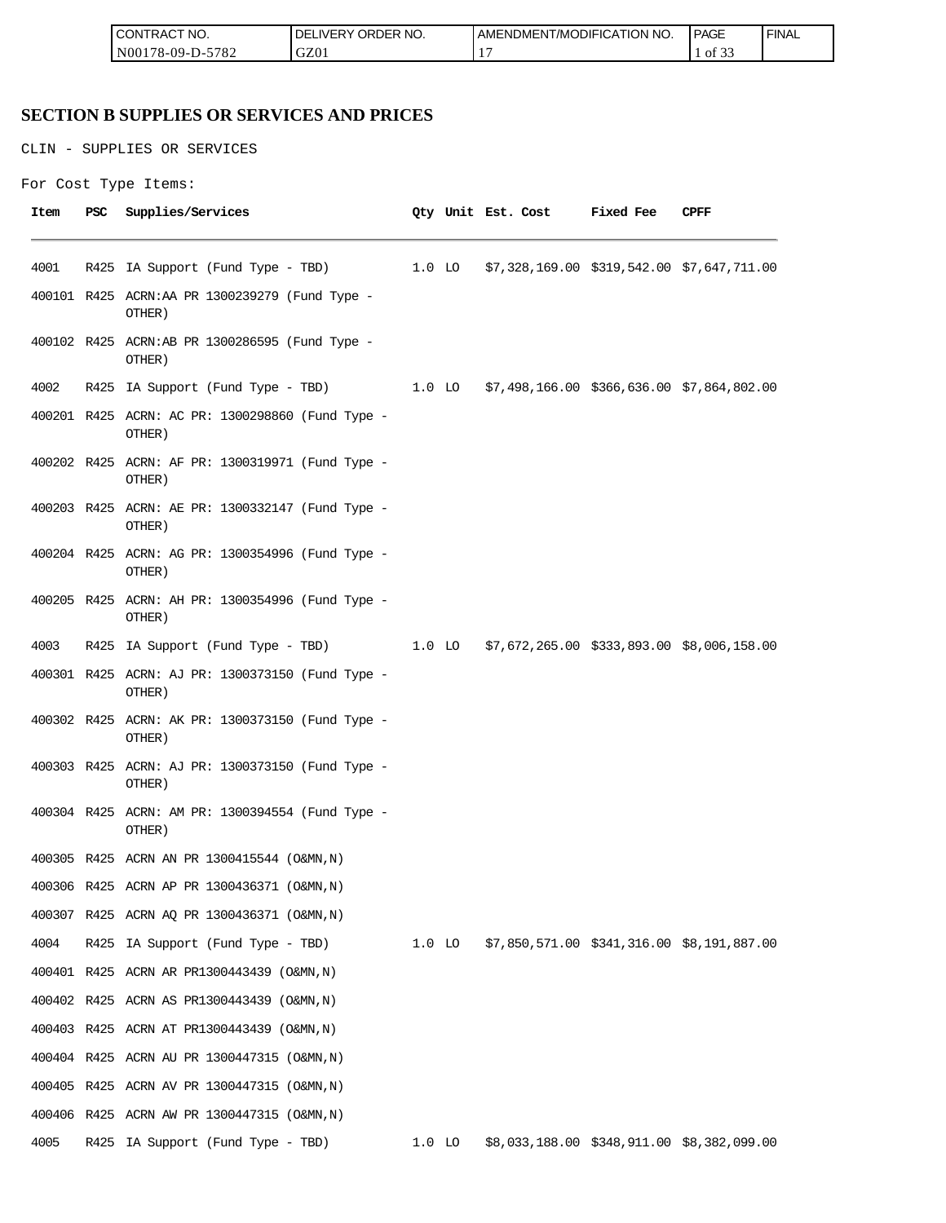| <b>'TRACT NO.</b><br>LCON.                           | <b>ORDER</b><br>NO.<br>DEI<br>.VERY | <b>TION NO.</b><br>ODIFICA<br>AMENDMENT/MC | <b>PAGE</b><br>$\sim$ $\sim$ | <b>FINAL</b> |
|------------------------------------------------------|-------------------------------------|--------------------------------------------|------------------------------|--------------|
| 5707<br>I N00<br>$.8 - 09 - \Gamma$<br>- 11 -<br>104 | GZ01                                |                                            | $\sim$<br>ОI<br><u>.</u>     |              |

# **SECTION B SUPPLIES OR SERVICES AND PRICES**

CLIN - SUPPLIES OR SERVICES

```
For Cost Type Items:
```

| Item | PSC  | Supplies/Services                                                                   |          | Qty Unit Est. Cost Fixed Fee                      | CPFF                                       |
|------|------|-------------------------------------------------------------------------------------|----------|---------------------------------------------------|--------------------------------------------|
|      |      |                                                                                     |          |                                                   |                                            |
| 4001 | R425 | IA Support (Fund Type - TBD) 1.0 LO \$7,328,169.00 \$319,542.00 \$7,647,711.00      |          |                                                   |                                            |
|      |      | 400101 R425 ACRN:AA PR 1300239279 (Fund Type -<br>OTHER)                            |          |                                                   |                                            |
|      |      | 400102 R425 ACRN:AB PR 1300286595 (Fund Type -<br>OTHER)                            |          |                                                   |                                            |
| 4002 |      | R425 IA Support (Fund Type - TBD) 1.0 LO \$7,498,166.00 \$366,636.00 \$7,864,802.00 |          |                                                   |                                            |
|      |      | 400201 R425 ACRN: AC PR: 1300298860 (Fund Type -<br>OTHER)                          |          |                                                   |                                            |
|      |      | 400202 R425 ACRN: AF PR: 1300319971 (Fund Type -<br>OTHER)                          |          |                                                   |                                            |
|      |      | 400203 R425 ACRN: AE PR: 1300332147 (Fund Type -<br>OTHER)                          |          |                                                   |                                            |
|      |      | 400204 R425 ACRN: AG PR: 1300354996 (Fund Type -<br>OTHER)                          |          |                                                   |                                            |
|      |      | 400205 R425 ACRN: AH PR: 1300354996 (Fund Type -<br>OTHER)                          |          |                                                   |                                            |
| 4003 |      | R425 IA Support (Fund Type - TBD) 1.0 LO \$7,672,265.00 \$333,893.00 \$8,006,158.00 |          |                                                   |                                            |
|      |      | 400301 R425 ACRN: AJ PR: 1300373150 (Fund Type -<br>OTHER)                          |          |                                                   |                                            |
|      |      | 400302 R425 ACRN: AK PR: 1300373150 (Fund Type -<br>OTHER)                          |          |                                                   |                                            |
|      |      | 400303 R425 ACRN: AJ PR: 1300373150 (Fund Type -<br>OTHER)                          |          |                                                   |                                            |
|      |      | 400304 R425 ACRN: AM PR: 1300394554 (Fund Type -<br>OTHER)                          |          |                                                   |                                            |
|      |      | 400305 R425 ACRN AN PR 1300415544 (O&MN, N)                                         |          |                                                   |                                            |
|      |      | 400306 R425 ACRN AP PR 1300436371 (O&MN, N)                                         |          |                                                   |                                            |
|      |      | 400307 R425 ACRN AQ PR 1300436371 (O&MN, N)                                         |          |                                                   |                                            |
| 4004 |      | R425 IA Support (Fund Type - TBD)                                                   |          | 1.0 LO \$7,850,571.00 \$341,316.00 \$8,191,887.00 |                                            |
|      |      | 400401 R425 ACRN AR PR1300443439 (O&MN, N)                                          |          |                                                   |                                            |
|      |      | 400402 R425 ACRN AS PR1300443439 (O&MN, N)                                          |          |                                                   |                                            |
|      |      | 400403 R425 ACRN AT PR1300443439 (O&MN, N)                                          |          |                                                   |                                            |
|      |      | 400404 R425 ACRN AU PR 1300447315 (O&MN, N)                                         |          |                                                   |                                            |
|      |      | 400405 R425 ACRN AV PR 1300447315 (O&MN, N)                                         |          |                                                   |                                            |
|      |      | 400406 R425 ACRN AW PR 1300447315 (O&MN, N)                                         |          |                                                   |                                            |
| 4005 | R425 | IA Support (Fund Type - TBD)                                                        | $1.0$ LO |                                                   | \$8,033,188.00 \$348,911.00 \$8,382,099.00 |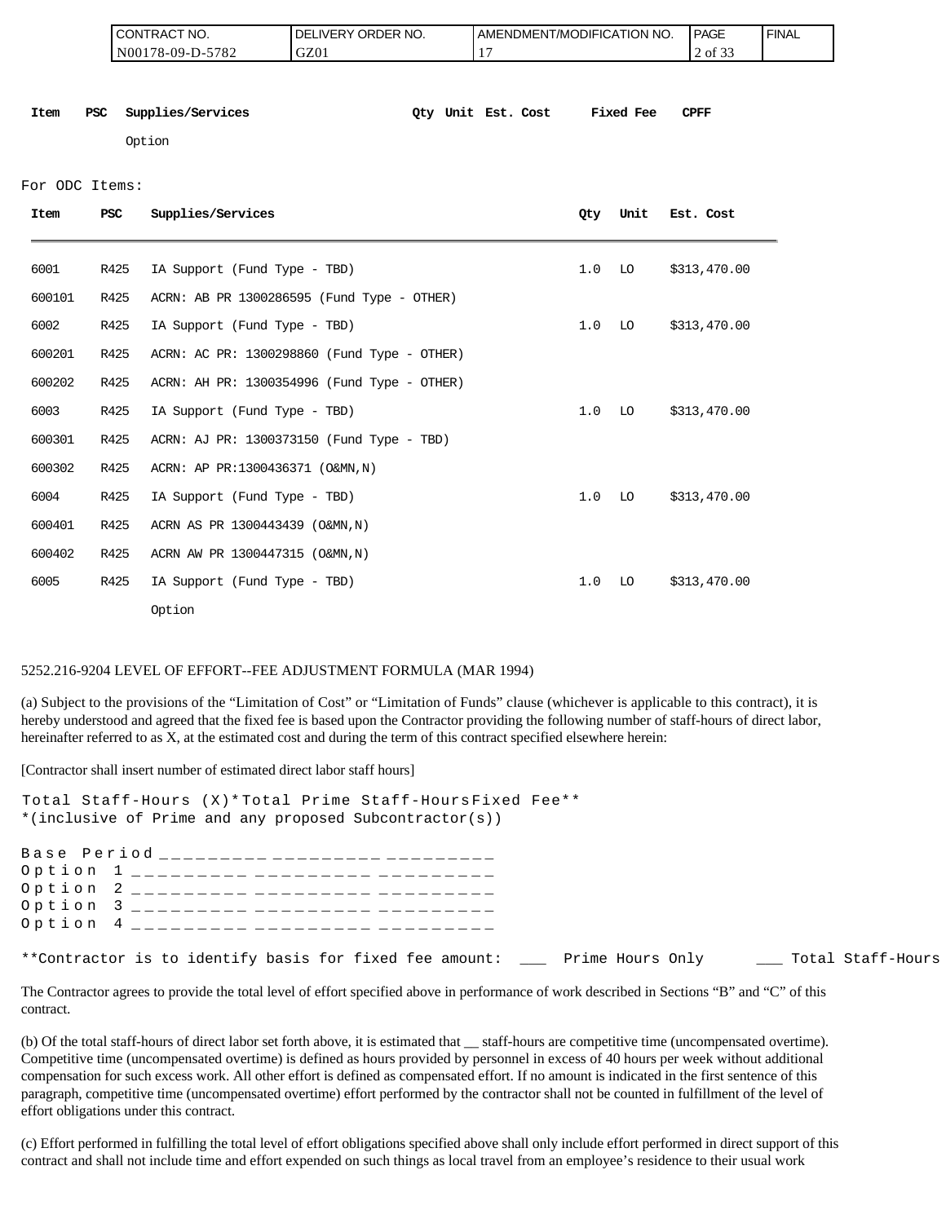| 'NO.<br><b>CONTRACT</b>                | ORDER NO.<br>DEI<br><b>NERY</b> | AMENDMENT/MODIFICATION NO. | <b>PAGE</b>                        | <b>FINAL</b> |
|----------------------------------------|---------------------------------|----------------------------|------------------------------------|--------------|
| 5782<br>N001<br>'78-09-D- <sub>~</sub> | GZ01                            | -                          | $\sim$ $\sim$ $\sim$<br>of.<br>. ٻ |              |

**Item PSC Supplies/Services Qty Unit Est. Cost Fixed Fee CPFF**

Option

#### For ODC Items:

| Item   | <b>PSC</b> | Supplies/Services                           | 0ty | Unit | Est. Cost    |
|--------|------------|---------------------------------------------|-----|------|--------------|
| 6001   | R425       | IA Support (Fund Type - TBD)                | 1.0 | LO   | \$313,470.00 |
| 600101 | R425       | ACRN: AB PR 1300286595 (Fund Type - OTHER)  |     |      |              |
| 6002   | R425       | IA Support (Fund Type - TBD)                | 1.0 | LO   | \$313,470.00 |
| 600201 | R425       | ACRN: AC PR: 1300298860 (Fund Type - OTHER) |     |      |              |
| 600202 | R425       | ACRN: AH PR: 1300354996 (Fund Type - OTHER) |     |      |              |
| 6003   | R425       | IA Support (Fund Type - TBD)                | 1.0 | LO   | \$313,470.00 |
| 600301 | R425       | ACRN: AJ PR: 1300373150 (Fund Type - TBD)   |     |      |              |
| 600302 | R425       | ACRN: AP PR:1300436371 (O&MN, N)            |     |      |              |
| 6004   | R425       | IA Support (Fund Type - TBD)                | 1.0 | LO   | \$313,470.00 |
| 600401 | R425       | ACRN AS PR 1300443439 (O&MN, N)             |     |      |              |
| 600402 | R425       | ACRN AW PR 1300447315 (O&MN, N)             |     |      |              |
| 6005   | R425       | IA Support (Fund Type - TBD)                | 1.0 | LO   | \$313,470.00 |
|        |            | Option                                      |     |      |              |

#### 5252.216-9204 LEVEL OF EFFORT--FEE ADJUSTMENT FORMULA (MAR 1994)

(a) Subject to the provisions of the "Limitation of Cost" or "Limitation of Funds" clause (whichever is applicable to this contract), it is hereby understood and agreed that the fixed fee is based upon the Contractor providing the following number of staff-hours of direct labor, hereinafter referred to as X, at the estimated cost and during the term of this contract specified elsewhere herein:

[Contractor shall insert number of estimated direct labor staff hours]

| Total Staff-Hours (X)* Total Prime Staff-Hours Fixed Fee**                                 |  |
|--------------------------------------------------------------------------------------------|--|
| *(inclusive of Prime and any proposed Subcontractor(s))                                    |  |
| Base Period __________ _________ ________                                                  |  |
| Option 1 _________ _________ ______                                                        |  |
| Option 2 _________ _________ ______                                                        |  |
| Option 3 _________ _________ ______                                                        |  |
| Option 4 _________ _________ ______                                                        |  |
| **Contractor is to identify basis for fixed fee amount: Prime Hours Only Total Staff-Hours |  |

The Contractor agrees to provide the total level of effort specified above in performance of work described in Sections "B" and "C" of this contract.

(b) Of the total staff-hours of direct labor set forth above, it is estimated that \_\_ staff-hours are competitive time (uncompensated overtime). Competitive time (uncompensated overtime) is defined as hours provided by personnel in excess of 40 hours per week without additional compensation for such excess work. All other effort is defined as compensated effort. If no amount is indicated in the first sentence of this paragraph, competitive time (uncompensated overtime) effort performed by the contractor shall not be counted in fulfillment of the level of effort obligations under this contract.

(c) Effort performed in fulfilling the total level of effort obligations specified above shall only include effort performed in direct support of this contract and shall not include time and effort expended on such things as local travel from an employee's residence to their usual work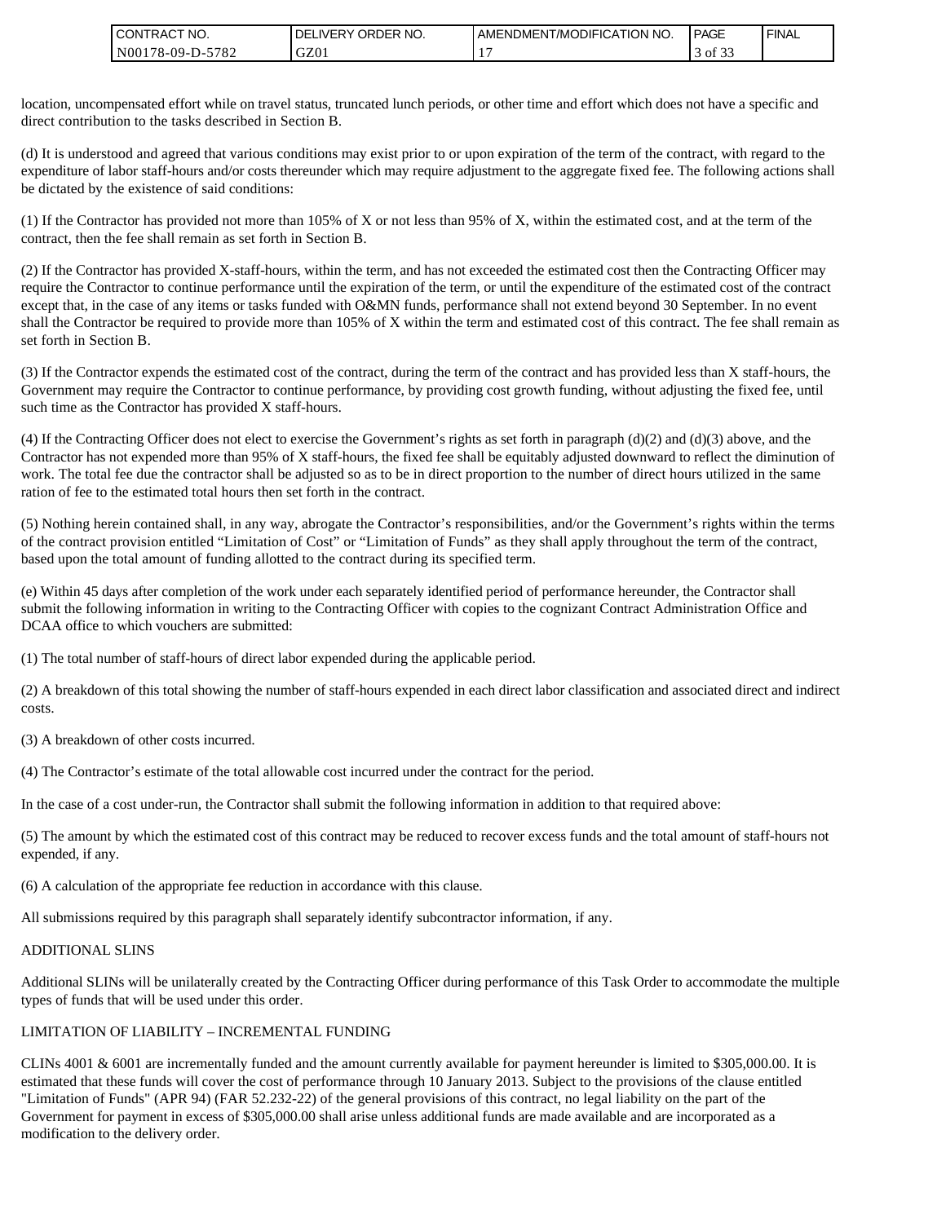| NO.<br>CONTRAC <sub>1</sub>  | NO.<br>ORDER <sup>'</sup><br>DEL<br>_IVERY | AMENDMENT/MODIFICATION NO. | <b>PAGE</b>        | <b>FINAL</b> |
|------------------------------|--------------------------------------------|----------------------------|--------------------|--------------|
| 5701<br>N00178-09-D-.<br>104 | GZ01                                       |                            | ΟĪ<br>. . <i>.</i> |              |

location, uncompensated effort while on travel status, truncated lunch periods, or other time and effort which does not have a specific and direct contribution to the tasks described in Section B.

(d) It is understood and agreed that various conditions may exist prior to or upon expiration of the term of the contract, with regard to the expenditure of labor staff-hours and/or costs thereunder which may require adjustment to the aggregate fixed fee. The following actions shall be dictated by the existence of said conditions:

(1) If the Contractor has provided not more than 105% of X or not less than 95% of X, within the estimated cost, and at the term of the contract, then the fee shall remain as set forth in Section B.

(2) If the Contractor has provided X-staff-hours, within the term, and has not exceeded the estimated cost then the Contracting Officer may require the Contractor to continue performance until the expiration of the term, or until the expenditure of the estimated cost of the contract except that, in the case of any items or tasks funded with O&MN funds, performance shall not extend beyond 30 September. In no event shall the Contractor be required to provide more than 105% of X within the term and estimated cost of this contract. The fee shall remain as set forth in Section B.

(3) If the Contractor expends the estimated cost of the contract, during the term of the contract and has provided less than X staff-hours, the Government may require the Contractor to continue performance, by providing cost growth funding, without adjusting the fixed fee, until such time as the Contractor has provided X staff-hours.

(4) If the Contracting Officer does not elect to exercise the Government's rights as set forth in paragraph (d)(2) and (d)(3) above, and the Contractor has not expended more than 95% of X staff-hours, the fixed fee shall be equitably adjusted downward to reflect the diminution of work. The total fee due the contractor shall be adjusted so as to be in direct proportion to the number of direct hours utilized in the same ration of fee to the estimated total hours then set forth in the contract.

(5) Nothing herein contained shall, in any way, abrogate the Contractor's responsibilities, and/or the Government's rights within the terms of the contract provision entitled "Limitation of Cost" or "Limitation of Funds" as they shall apply throughout the term of the contract, based upon the total amount of funding allotted to the contract during its specified term.

(e) Within 45 days after completion of the work under each separately identified period of performance hereunder, the Contractor shall submit the following information in writing to the Contracting Officer with copies to the cognizant Contract Administration Office and DCAA office to which vouchers are submitted:

(1) The total number of staff-hours of direct labor expended during the applicable period.

(2) A breakdown of this total showing the number of staff-hours expended in each direct labor classification and associated direct and indirect costs.

(3) A breakdown of other costs incurred.

(4) The Contractor's estimate of the total allowable cost incurred under the contract for the period.

In the case of a cost under-run, the Contractor shall submit the following information in addition to that required above:

(5) The amount by which the estimated cost of this contract may be reduced to recover excess funds and the total amount of staff-hours not expended, if any.

(6) A calculation of the appropriate fee reduction in accordance with this clause.

All submissions required by this paragraph shall separately identify subcontractor information, if any.

### ADDITIONAL SLINS

Additional SLINs will be unilaterally created by the Contracting Officer during performance of this Task Order to accommodate the multiple types of funds that will be used under this order.

### LIMITATION OF LIABILITY – INCREMENTAL FUNDING

CONTRACT NO.<br>
MO0178-09-D-57<br>
location, uncompensated effort wh<br>
direct contribution to the tasks de<br>
(d) It is understood and agreed the<br>
expenditure of labor staff-hours an<br>
be dictated by the existence of said<br>
(1) If t CLINs 4001 & 6001 are incrementally funded and the amount currently available for payment hereunder is limited to \$305,000.00. It is estimated that these funds will cover the cost of performance through 10 January 2013. Subject to the provisions of the clause entitled "Limitation of Funds" (APR 94) (FAR 52.232-22) of the general provisions of this contract, no legal liability on the part of the Government for payment in excess of \$305,000.00 shall arise unless additional funds are made available and are incorporated as a modification to the delivery order.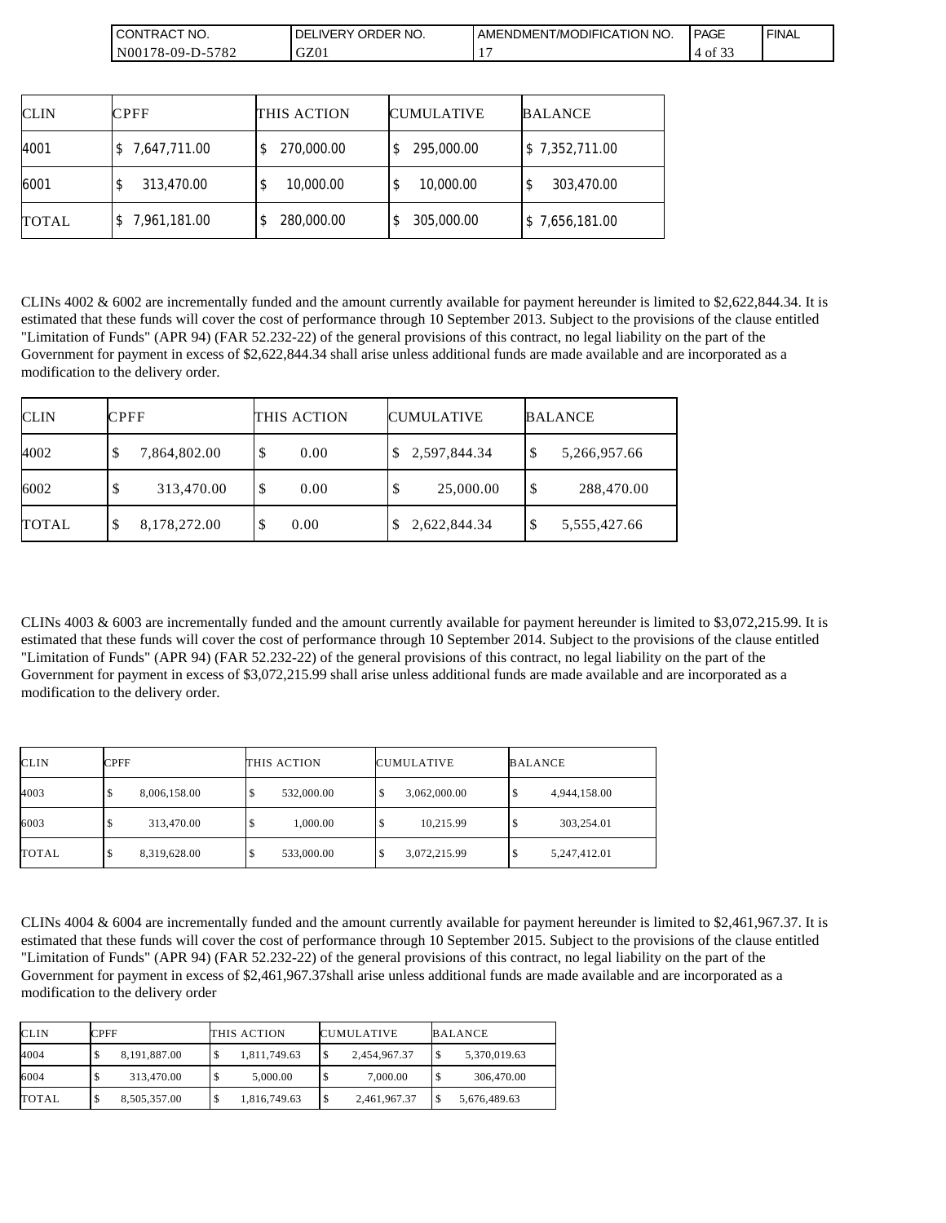| CT NO.<br>CONTRAC <sup>.</sup>              | <b>ORDER</b><br>NO.<br>IFDV<br>DF<br>™ ⊢ | AMENDMENT/MODIFICATION I<br><b>NO</b> | <b>PAGE</b> | ' FINAL |
|---------------------------------------------|------------------------------------------|---------------------------------------|-------------|---------|
| $F = 0$<br>N001<br>$78-09-D$ -<br>ے ہ'<br>◡ | GZ01                                     |                                       | - of        |         |

| <b>CLIN</b>  | <b>CPFF</b>  | THIS ACTION | <b>CUMULATIVE</b> | <b>BALANCE</b> |
|--------------|--------------|-------------|-------------------|----------------|
| 4001         | 7,647,711.00 | 270,000.00  | 295,000.00        | \$7,352,711.00 |
| 6001         | 313,470.00   | 10,000.00   | 10,000.00         | 303,470.00     |
| <b>TOTAL</b> | 7,961,181.00 | 280,000.00  | 305,000.00        | \$7,656,181.00 |

CLINs 4002 & 6002 are incrementally funded and the amount currently available for payment hereunder is limited to \$2,622,844.34. It is estimated that these funds will cover the cost of performance through 10 September 2013. Subject to the provisions of the clause entitled "Limitation of Funds" (APR 94) (FAR 52.232-22) of the general provisions of this contract, no legal liability on the part of the Government for payment in excess of \$2,622,844.34 shall arise unless additional funds are made available and are incorporated as a modification to the delivery order.

| <b>CLIN</b>  | <b>CPFF</b>        | THIS ACTION | <b>CUMULATIVE</b> | <b>BALANCE</b>     |
|--------------|--------------------|-------------|-------------------|--------------------|
| 4002         | 7,864,802.00<br>Φ  | \$<br>0.00  | 2,597,844.34      | 5,266,957.66<br>Φ  |
| 6002         | 313,470.00<br>D    | 0.00        | 25,000.00         | 288,470.00<br>\$   |
| <b>TOTAL</b> | 8,178,272.00<br>\$ | 0.00<br>◡   | 2,622,844.34      | 5,555,427.66<br>\$ |

CLINs 4003 & 6003 are incrementally funded and the amount currently available for payment hereunder is limited to \$3,072,215.99. It is estimated that these funds will cover the cost of performance through 10 September 2014. Subject to the provisions of the clause entitled "Limitation of Funds" (APR 94) (FAR 52.232-22) of the general provisions of this contract, no legal liability on the part of the Government for payment in excess of \$3,072,215.99 shall arise unless additional funds are made available and are incorporated as a modification to the delivery order.

| <b>CLIN</b>  | CPFF                         | THIS ACTION | <b>CUMULATIVE</b> | <b>BALANCE</b>    |
|--------------|------------------------------|-------------|-------------------|-------------------|
| 4003         | 8,006,158.00<br>Ψ            | 532,000.00  | 3,062,000.00      | 4,944,158.00<br>S |
| 6003         | 313,470.00<br>S              | 1,000.00    | 10,215.99<br>ω    | 303,254.01<br>S   |
| <b>TOTAL</b> | 8,319,628.00<br><sup>2</sup> | 533,000.00  | 3,072,215.99      | 5,247,412.01<br>S |

CLINs 4004 & 6004 are incrementally funded and the amount currently available for payment hereunder is limited to \$2,461,967.37. It is estimated that these funds will cover the cost of performance through 10 September 2015. Subject to the provisions of the clause entitled "Limitation of Funds" (APR 94) (FAR 52.232-22) of the general provisions of this contract, no legal liability on the part of the Government for payment in excess of \$2,461,967.37shall arise unless additional funds are made available and are incorporated as a modification to the delivery order

| <b>CLIN</b>  | <b>CPFF</b>       | THIS ACTION  | <b>CUMULATIVE</b>        | <b>BALANCE</b>     |
|--------------|-------------------|--------------|--------------------------|--------------------|
| 4004         | 8.191.887.00      | 1,811,749.63 | 2,454,967.37<br>1\$      | 5.370.019.63<br>۰Ф |
| 6004         | 313,470.00        | 5,000.00     | 7,000.00                 | 306,470.00         |
| <b>TOTAL</b> | 8,505,357.00<br>ъ | 1,816,749.63 | 2,461,967.37<br><b>S</b> | 5,676,489.63       |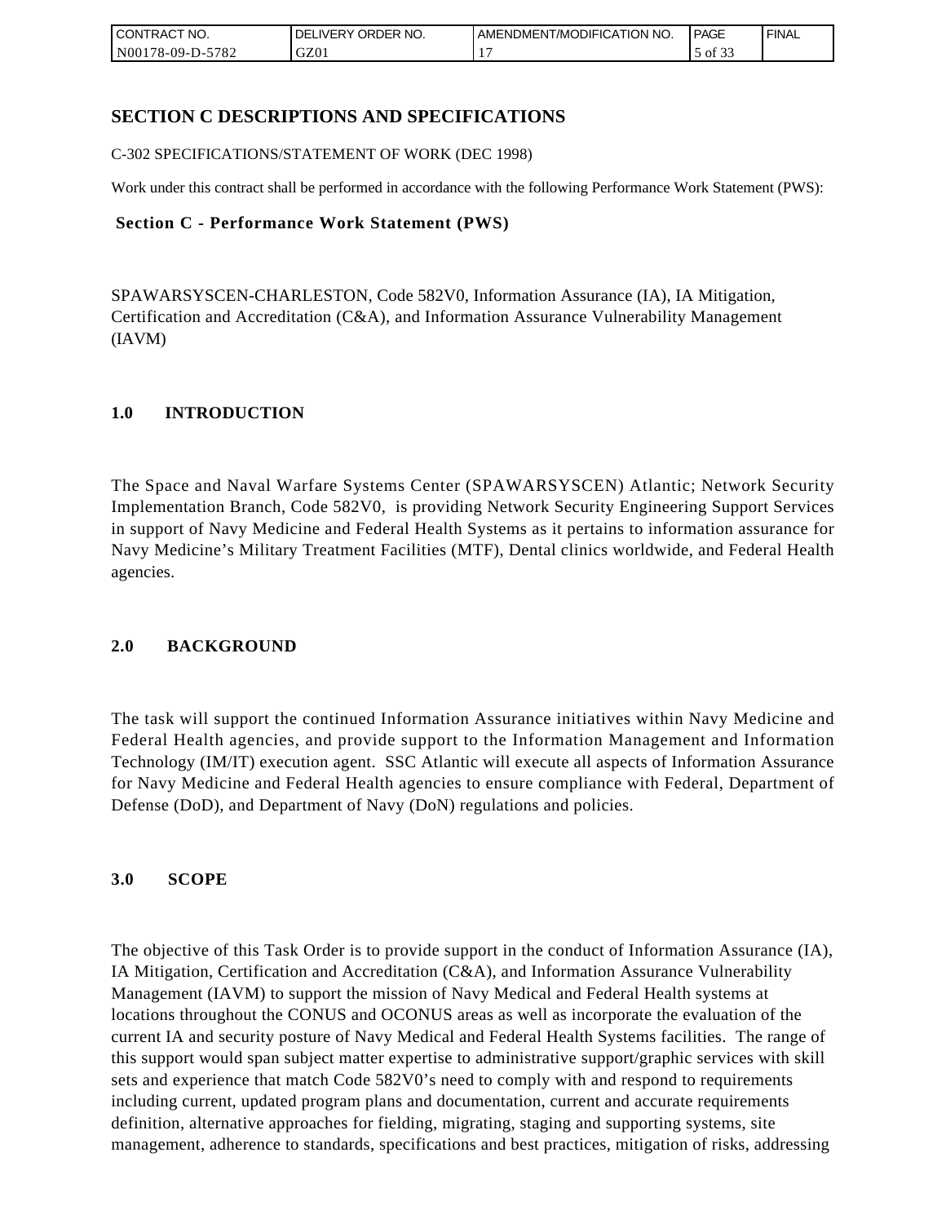| I CONTRACT NO.                            | ORDER<br>NO.<br><b>DELIVERY</b> | AMENDMENT/MODIFICATION NO. | <b>PAGE</b>   | ' FINAL |
|-------------------------------------------|---------------------------------|----------------------------|---------------|---------|
| N00 <sub>1</sub><br>-5782<br>$178-09-D$ - | GZ01                            |                            | 0.22<br>of 33 |         |

## **SECTION C DESCRIPTIONS AND SPECIFICATIONS**

C-302 SPECIFICATIONS/STATEMENT OF WORK (DEC 1998)

Work under this contract shall be performed in accordance with the following Performance Work Statement (PWS):

### **Section C - Performance Work Statement (PWS)**

SPAWARSYSCEN-CHARLESTON, Code 582V0, Information Assurance (IA), IA Mitigation, Certification and Accreditation (C&A), and Information Assurance Vulnerability Management (IAVM)

### **1.0 INTRODUCTION**

The Space and Naval Warfare Systems Center (SPAWARSYSCEN) Atlantic; Network Security Implementation Branch, Code 582V0, is providing Network Security Engineering Support Services in support of Navy Medicine and Federal Health Systems as it pertains to information assurance for Navy Medicine's Military Treatment Facilities (MTF), Dental clinics worldwide, and Federal Health agencies.

### **2.0 BACKGROUND**

The task will support the continued Information Assurance initiatives within Navy Medicine and Federal Health agencies, and provide support to the Information Management and Information Technology (IM/IT) execution agent. SSC Atlantic will execute all aspects of Information Assurance for Navy Medicine and Federal Health agencies to ensure compliance with Federal, Department of Defense (DoD), and Department of Navy (DoN) regulations and policies.

### **3.0 SCOPE**

The objective of this Task Order is to provide support in the conduct of Information Assurance (IA), IA Mitigation, Certification and Accreditation (C&A), and Information Assurance Vulnerability Management (IAVM) to support the mission of Navy Medical and Federal Health systems at locations throughout the CONUS and OCONUS areas as well as incorporate the evaluation of the current IA and security posture of Navy Medical and Federal Health Systems facilities. The range of this support would span subject matter expertise to administrative support/graphic services with skill sets and experience that match Code 582V0's need to comply with and respond to requirements including current, updated program plans and documentation, current and accurate requirements definition, alternative approaches for fielding, migrating, staging and supporting systems, site management, adherence to standards, specifications and best practices, mitigation of risks, addressing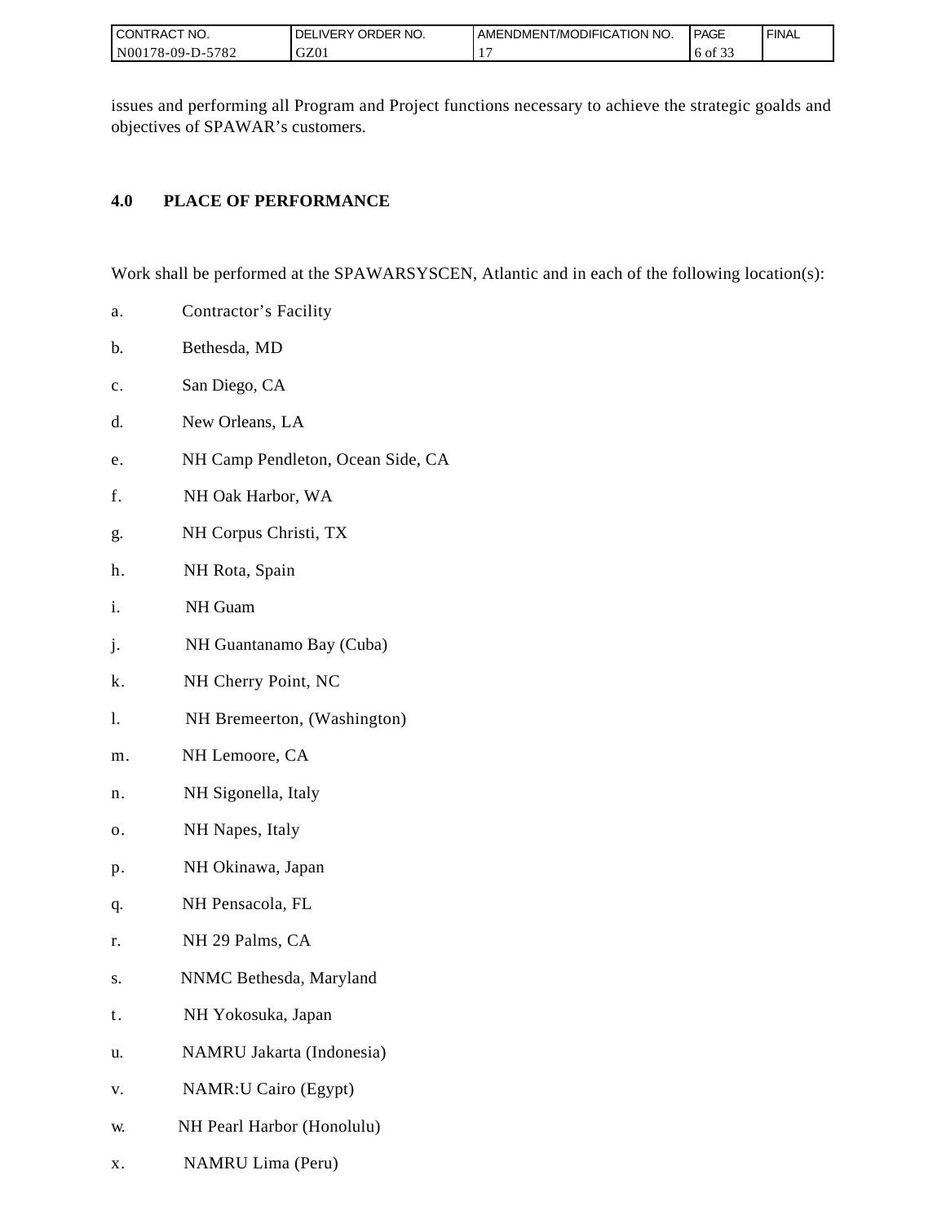| I CONTRACT NO.   | ORDER NO.<br><b>DELIVERY</b> | AMENDMENT/MODIFICATION NO. | PAGE                   | ' FINAL |
|------------------|------------------------------|----------------------------|------------------------|---------|
| N00178-09-D-5782 | GZ01                         |                            | 0.25<br>0Ī<br>۰ ت<br>- |         |

issues and performing all Program and Project functions necessary to achieve the strategic goalds and objectives of SPAWAR's customers.

## **4.0 PLACE OF PERFORMANCE**

Work shall be performed at the SPAWARSYSCEN, Atlantic and in each of the following location(s):

- a. Contractor's Facility
- b. Bethesda, MD
- c. San Diego, CA
- d. New Orleans, LA
- e. NH Camp Pendleton, Ocean Side, CA
- f. NH Oak Harbor, WA
- g. NH Corpus Christi, TX
- h. NH Rota, Spain
- i. NH Guam
- j. NH Guantanamo Bay (Cuba)
- k. NH Cherry Point, NC
- l. NH Bremeerton, (Washington)
- m. NH Lemoore, CA
- n. NH Sigonella, Italy
- o. NH Napes, Italy
- p. NH Okinawa, Japan
- q. NH Pensacola, FL
- r. NH 29 Palms, CA
- s. NNMC Bethesda, Maryland
- t. NH Yokosuka, Japan
- u. NAMRU Jakarta (Indonesia)
- v. NAMR:U Cairo (Egypt)
- w. NH Pearl Harbor (Honolulu)
- x. NAMRU Lima (Peru)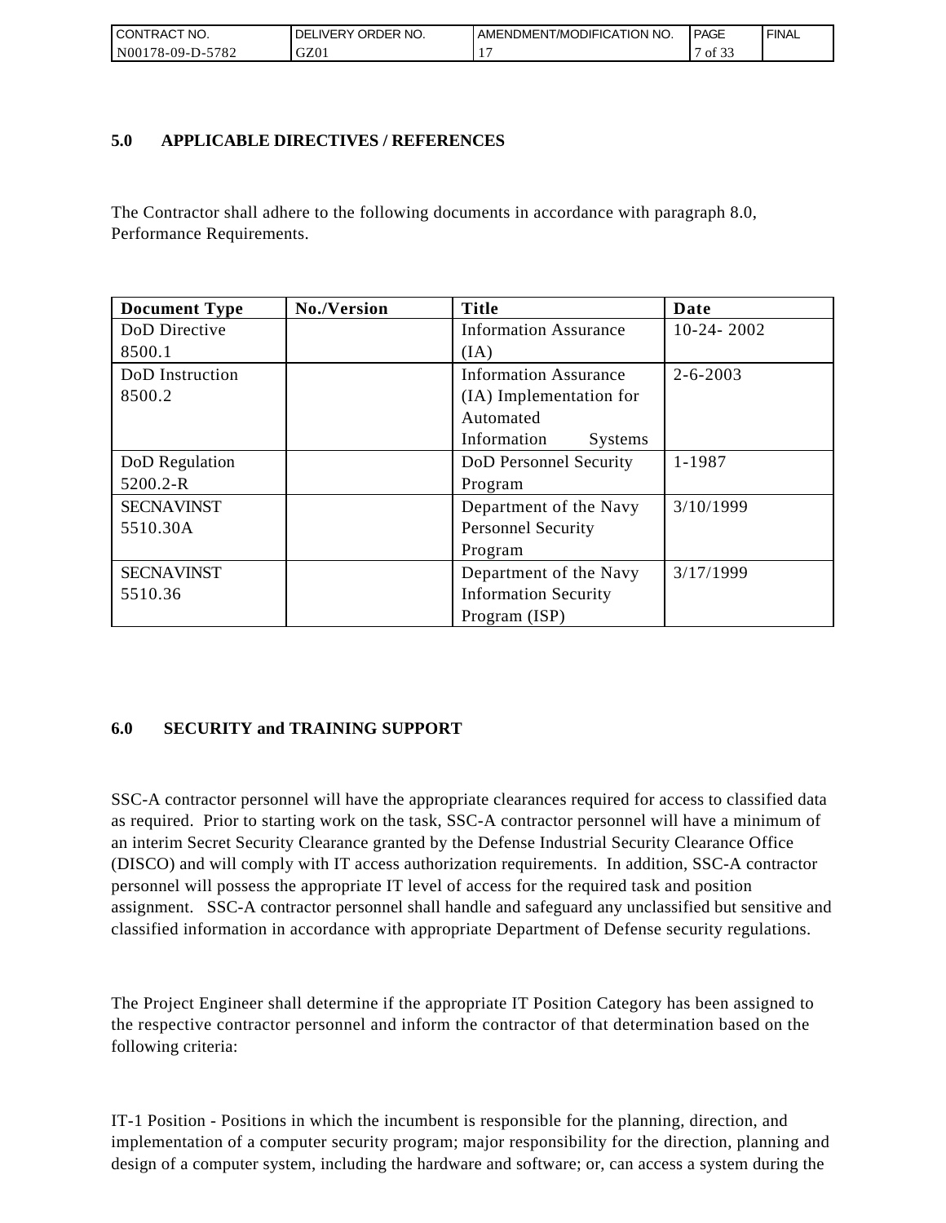| <b>CONTRACT NO.</b>                                    | ' ORDER NO.<br><b>DELIVERY</b> | AMENDMENT/MODIFICATION NO. | <b>PAGE</b>                              | ' FINAL |
|--------------------------------------------------------|--------------------------------|----------------------------|------------------------------------------|---------|
| N <sub>00</sub><br>-5782<br>$^{\circ}178 - 09 - D - 5$ | GZ01                           |                            | $\sim$ $\sim$<br>$^{\prime\prime}$ of 3. |         |

### **5.0 APPLICABLE DIRECTIVES / REFERENCES**

The Contractor shall adhere to the following documents in accordance with paragraph 8.0, Performance Requirements.

| <b>Document Type</b> | No./Version | <b>Title</b>                  | Date           |
|----------------------|-------------|-------------------------------|----------------|
| DoD Directive        |             | <b>Information Assurance</b>  | $10-24-2002$   |
| 8500.1               |             | (IA)                          |                |
| DoD Instruction      |             | <b>Information Assurance</b>  | $2 - 6 - 2003$ |
| 8500.2               |             | (IA) Implementation for       |                |
|                      |             | Automated                     |                |
|                      |             | Information<br><b>Systems</b> |                |
| DoD Regulation       |             | DoD Personnel Security        | 1-1987         |
| 5200.2-R             |             | Program                       |                |
| <b>SECNAVINST</b>    |             | Department of the Navy        | 3/10/1999      |
| 5510.30A             |             | <b>Personnel Security</b>     |                |
|                      |             | Program                       |                |
| <b>SECNAVINST</b>    |             | Department of the Navy        | 3/17/1999      |
| 5510.36              |             | <b>Information Security</b>   |                |
|                      |             | Program (ISP)                 |                |

## **6.0 SECURITY and TRAINING SUPPORT**

SSC-A contractor personnel will have the appropriate clearances required for access to classified data as required. Prior to starting work on the task, SSC-A contractor personnel will have a minimum of an interim Secret Security Clearance granted by the Defense Industrial Security Clearance Office (DISCO) and will comply with IT access authorization requirements. In addition, SSC-A contractor personnel will possess the appropriate IT level of access for the required task and position assignment. SSC-A contractor personnel shall handle and safeguard any unclassified but sensitive and classified information in accordance with appropriate Department of Defense security regulations.

The Project Engineer shall determine if the appropriate IT Position Category has been assigned to the respective contractor personnel and inform the contractor of that determination based on the following criteria:

IT-1 Position - Positions in which the incumbent is responsible for the planning, direction, and implementation of a computer security program; major responsibility for the direction, planning and design of a computer system, including the hardware and software; or, can access a system during the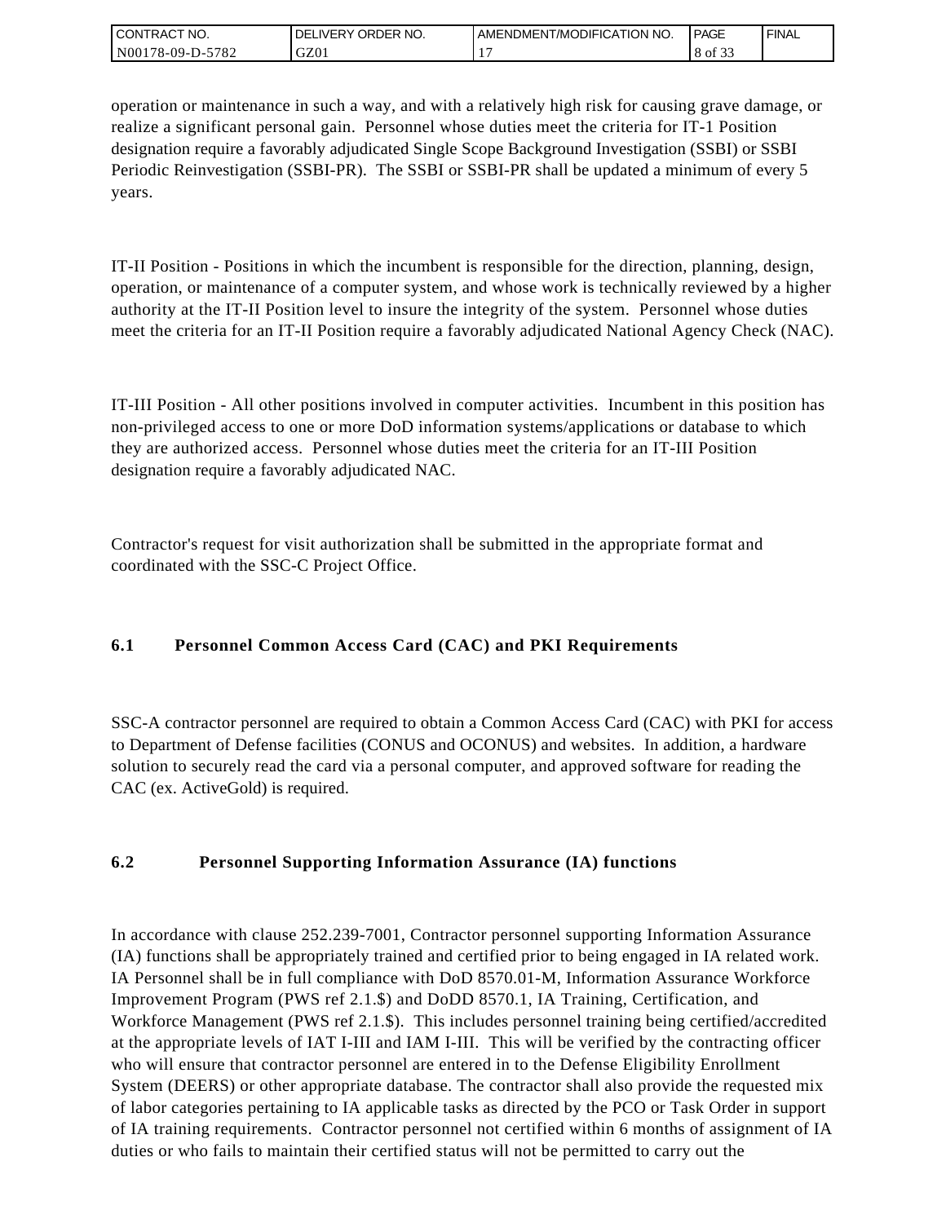| I CONTRACT NO.   | ' ORDER NO.<br>_IVERY<br>DELI | I AMENDMENT/MODIFICATION NO. | <b>PAGE</b> | `FINAL |
|------------------|-------------------------------|------------------------------|-------------|--------|
| N00178-09-D-5782 | GZ01                          |                              | 8 of<br>. ٻ |        |

operation or maintenance in such a way, and with a relatively high risk for causing grave damage, or realize a significant personal gain. Personnel whose duties meet the criteria for IT-1 Position designation require a favorably adjudicated Single Scope Background Investigation (SSBI) or SSBI Periodic Reinvestigation (SSBI-PR). The SSBI or SSBI-PR shall be updated a minimum of every 5 years.

IT-II Position - Positions in which the incumbent is responsible for the direction, planning, design, operation, or maintenance of a computer system, and whose work is technically reviewed by a higher authority at the IT-II Position level to insure the integrity of the system. Personnel whose duties meet the criteria for an IT-II Position require a favorably adjudicated National Agency Check (NAC).

IT-III Position - All other positions involved in computer activities. Incumbent in this position has non-privileged access to one or more DoD information systems/applications or database to which they are authorized access. Personnel whose duties meet the criteria for an IT-III Position designation require a favorably adjudicated NAC.

Contractor's request for visit authorization shall be submitted in the appropriate format and coordinated with the SSC-C Project Office.

# **6.1 Personnel Common Access Card (CAC) and PKI Requirements**

SSC-A contractor personnel are required to obtain a Common Access Card (CAC) with PKI for access to Department of Defense facilities (CONUS and OCONUS) and websites. In addition, a hardware solution to securely read the card via a personal computer, and approved software for reading the CAC (ex. ActiveGold) is required.

## **6.2 Personnel Supporting Information Assurance (IA) functions**

In accordance with clause 252.239-7001, Contractor personnel supporting Information Assurance (IA) functions shall be appropriately trained and certified prior to being engaged in IA related work. IA Personnel shall be in full compliance with DoD 8570.01-M, Information Assurance Workforce Improvement Program (PWS ref 2.1.\$) and DoDD 8570.1, IA Training, Certification, and Workforce Management (PWS ref 2.1.\$). This includes personnel training being certified/accredited at the appropriate levels of IAT I-III and IAM I-III. This will be verified by the contracting officer who will ensure that contractor personnel are entered in to the Defense Eligibility Enrollment System (DEERS) or other appropriate database. The contractor shall also provide the requested mix of labor categories pertaining to IA applicable tasks as directed by the PCO or Task Order in support of IA training requirements. Contractor personnel not certified within 6 months of assignment of IA duties or who fails to maintain their certified status will not be permitted to carry out the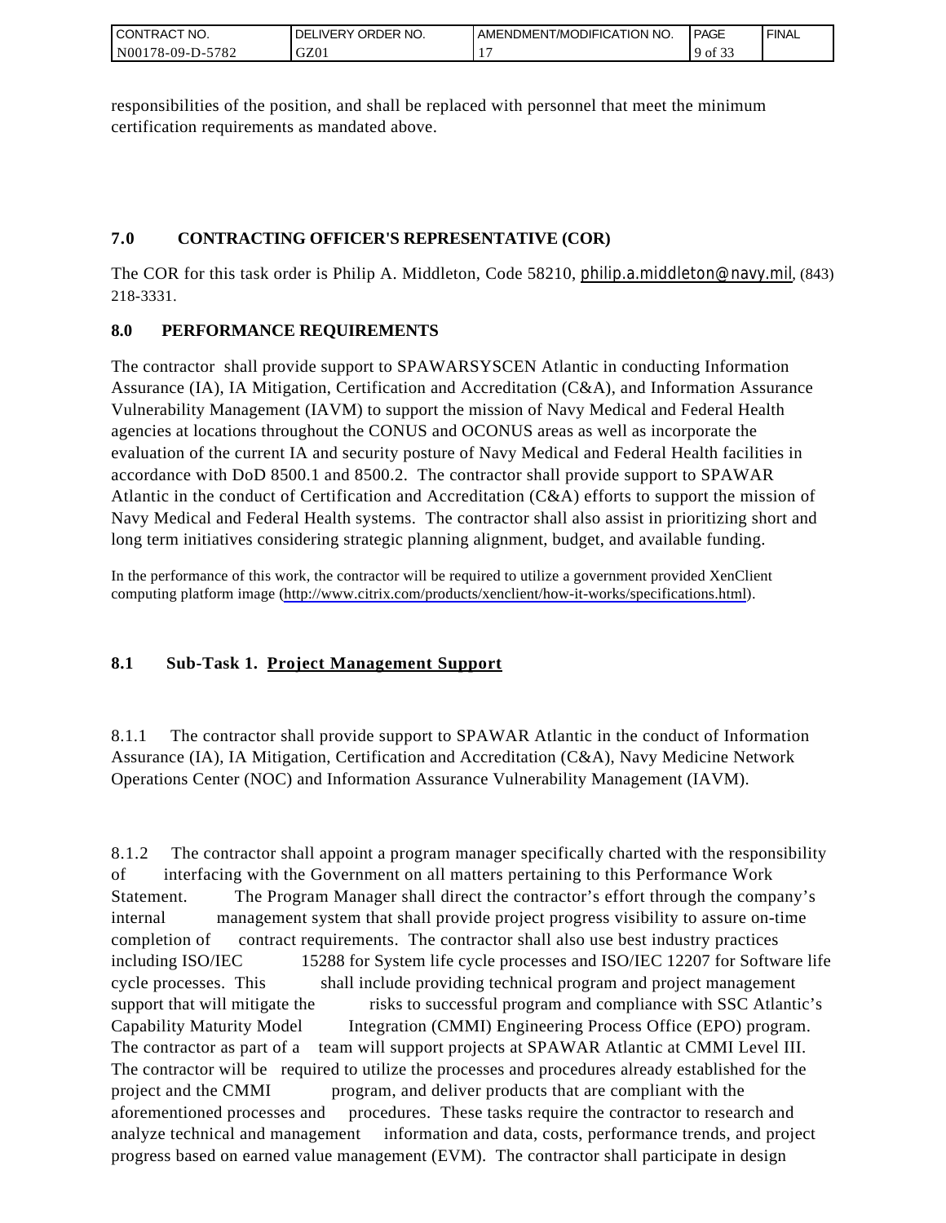| I CONTRACT NO.         | ORDER<br>NO.<br><b>DELIVERY</b> | AMENDMENT/MODIFICATION NO. | <b>PAGE</b>                                | ' FINAL |
|------------------------|---------------------------------|----------------------------|--------------------------------------------|---------|
| N00178-09-D-5<br>-5782 | GZ01                            |                            | 0.25<br>$\overline{u}$ of $\overline{v}$ . |         |

responsibilities of the position, and shall be replaced with personnel that meet the minimum certification requirements as mandated above.

# **7.0 CONTRACTING OFFICER'S REPRESENTATIVE (COR)**

The COR for this task order is Philip A. Middleton, Code 58210, [philip.a.middleton@navy.mil](mailto:cphilip.a.middleton@navy.mil), (843) 218-3331.

# **8.0 PERFORMANCE REQUIREMENTS**

The contractor shall provide support to SPAWARSYSCEN Atlantic in conducting Information Assurance (IA), IA Mitigation, Certification and Accreditation (C&A), and Information Assurance Vulnerability Management (IAVM) to support the mission of Navy Medical and Federal Health agencies at locations throughout the CONUS and OCONUS areas as well as incorporate the evaluation of the current IA and security posture of Navy Medical and Federal Health facilities in accordance with DoD 8500.1 and 8500.2. The contractor shall provide support to SPAWAR Atlantic in the conduct of Certification and Accreditation (C&A) efforts to support the mission of Navy Medical and Federal Health systems. The contractor shall also assist in prioritizing short and long term initiatives considering strategic planning alignment, budget, and available funding.

In the performance of this work, the contractor will be required to utilize a government provided XenClient computing platform image [\(http://www.citrix.com/products/xenclient/how-it-works/specifications.html\)](http://www.citrix.com/products/xenclient/how-it-works/specifications.html).

# **8.1 Sub-Task 1. Project Management Support**

8.1.1 The contractor shall provide support to SPAWAR Atlantic in the conduct of Information Assurance (IA), IA Mitigation, Certification and Accreditation (C&A), Navy Medicine Network Operations Center (NOC) and Information Assurance Vulnerability Management (IAVM).

8.1.2 The contractor shall appoint a program manager specifically charted with the responsibility of interfacing with the Government on all matters pertaining to this Performance Work Statement. The Program Manager shall direct the contractor's effort through the company's internal management system that shall provide project progress visibility to assure on-time completion of contract requirements. The contractor shall also use best industry practices including ISO/IEC 15288 for System life cycle processes and ISO/IEC 12207 for Software life cycle processes. This shall include providing technical program and project management support that will mitigate the risks to successful program and compliance with SSC Atlantic's Capability Maturity Model Integration (CMMI) Engineering Process Office (EPO) program. The contractor as part of a team will support projects at SPAWAR Atlantic at CMMI Level III. The contractor will be required to utilize the processes and procedures already established for the project and the CMMI program, and deliver products that are compliant with the aforementioned processes and procedures. These tasks require the contractor to research and analyze technical and management information and data, costs, performance trends, and project progress based on earned value management (EVM). The contractor shall participate in design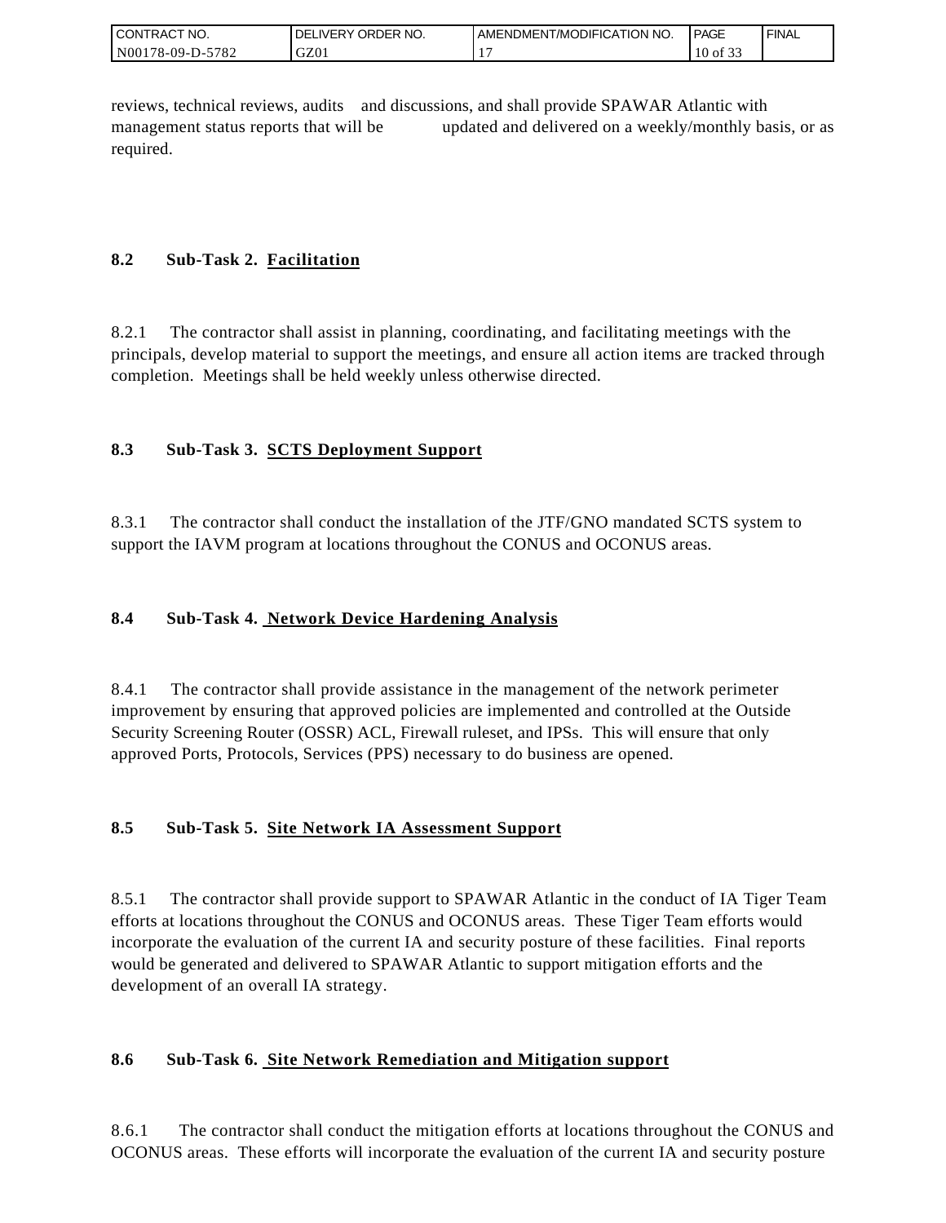| I CONTRACT NO.   | ' ORDER NO.<br><b>DELIVERY</b> | <b>LAMENDMENT/MODIFICATION NO.</b> | <b>PAGE</b>                         | ' FINAL |
|------------------|--------------------------------|------------------------------------|-------------------------------------|---------|
| N00178-09-D-5782 | GZ0                            |                                    | $\sim$ $\sim$ $\sim$<br>10<br>of 33 |         |

reviews, technical reviews, audits and discussions, and shall provide SPAWAR Atlantic with management status reports that will be updated and delivered on a weekly/monthly basis, or as required.

# **8.2 Sub-Task 2. Facilitation**

8.2.1 The contractor shall assist in planning, coordinating, and facilitating meetings with the principals, develop material to support the meetings, and ensure all action items are tracked through completion. Meetings shall be held weekly unless otherwise directed.

# **8.3 Sub-Task 3. SCTS Deployment Support**

8.3.1 The contractor shall conduct the installation of the JTF/GNO mandated SCTS system to support the IAVM program at locations throughout the CONUS and OCONUS areas.

## **8.4 Sub-Task 4. Network Device Hardening Analysis**

8.4.1 The contractor shall provide assistance in the management of the network perimeter improvement by ensuring that approved policies are implemented and controlled at the Outside Security Screening Router (OSSR) ACL, Firewall ruleset, and IPSs. This will ensure that only approved Ports, Protocols, Services (PPS) necessary to do business are opened.

## **8.5 Sub-Task 5. Site Network IA Assessment Support**

8.5.1 The contractor shall provide support to SPAWAR Atlantic in the conduct of IA Tiger Team efforts at locations throughout the CONUS and OCONUS areas. These Tiger Team efforts would incorporate the evaluation of the current IA and security posture of these facilities. Final reports would be generated and delivered to SPAWAR Atlantic to support mitigation efforts and the development of an overall IA strategy.

## **8.6 Sub-Task 6. Site Network Remediation and Mitigation support**

8.6.1 The contractor shall conduct the mitigation efforts at locations throughout the CONUS and OCONUS areas. These efforts will incorporate the evaluation of the current IA and security posture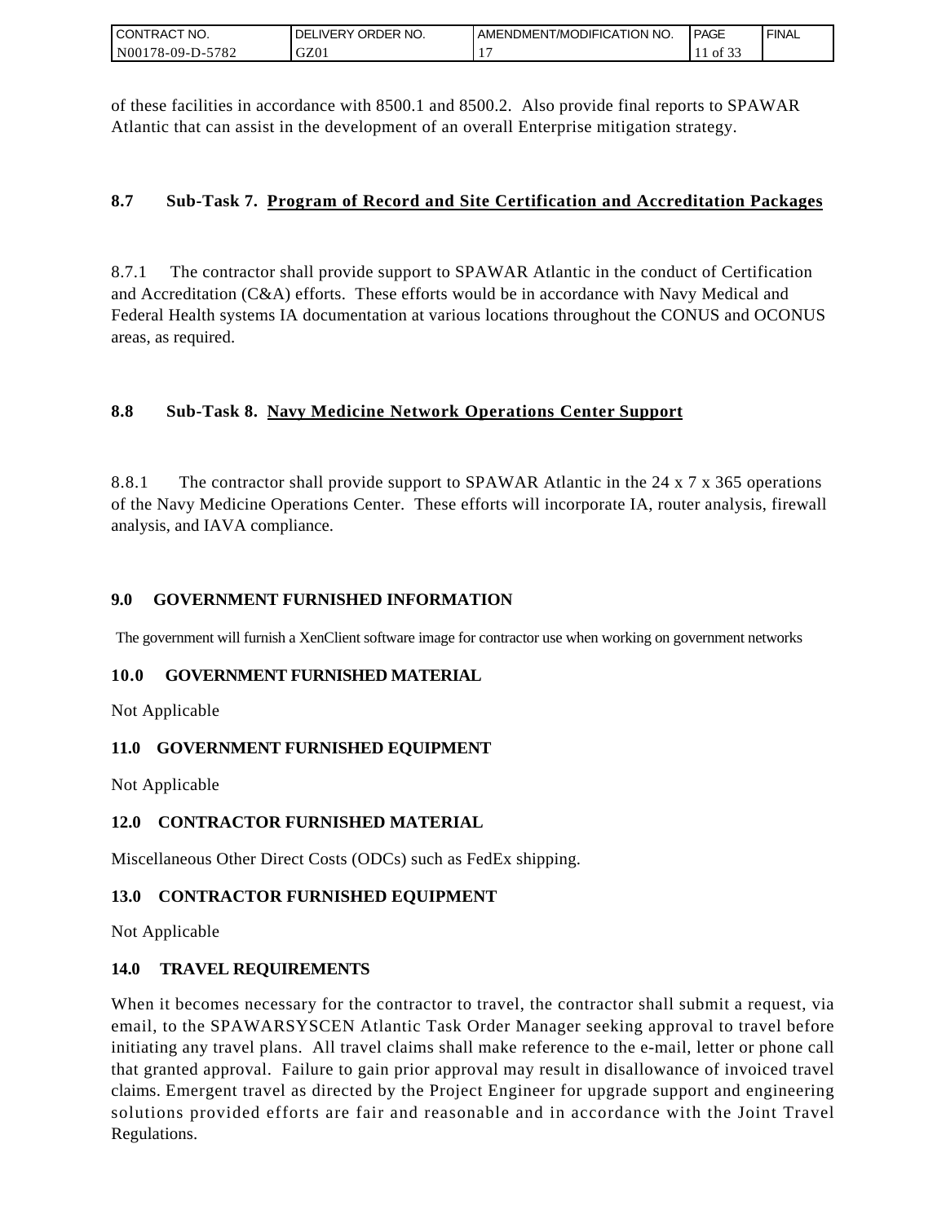| I CONTRACT NO.   | ' NO.<br><b>DELIVERY ORDER</b> | . AMENDMENT/MODIFICATION NO. | <b>I PAGE</b> | ' FINAL |
|------------------|--------------------------------|------------------------------|---------------|---------|
| N00178-09-D-5782 | GZ01                           |                              | ΟĪ<br>ـ ب     |         |

of these facilities in accordance with 8500.1 and 8500.2. Also provide final reports to SPAWAR Atlantic that can assist in the development of an overall Enterprise mitigation strategy.

### **8.7 Sub-Task 7. Program of Record and Site Certification and Accreditation Packages**

8.7.1 The contractor shall provide support to SPAWAR Atlantic in the conduct of Certification and Accreditation (C&A) efforts. These efforts would be in accordance with Navy Medical and Federal Health systems IA documentation at various locations throughout the CONUS and OCONUS areas, as required.

## **8.8 Sub-Task 8. Navy Medicine Network Operations Center Support**

8.8.1 The contractor shall provide support to SPAWAR Atlantic in the 24 x 7 x 365 operations of the Navy Medicine Operations Center. These efforts will incorporate IA, router analysis, firewall analysis, and IAVA compliance.

### **9.0 GOVERNMENT FURNISHED INFORMATION**

The government will furnish a XenClient software image for contractor use when working on government networks

### **10.0 GOVERNMENT FURNISHED MATERIAL**

Not Applicable

### **11.0 GOVERNMENT FURNISHED EQUIPMENT**

Not Applicable

### **12.0 CONTRACTOR FURNISHED MATERIAL**

Miscellaneous Other Direct Costs (ODCs) such as FedEx shipping.

### **13.0 CONTRACTOR FURNISHED EQUIPMENT**

Not Applicable

### **14.0 TRAVEL REQUIREMENTS**

CONTRACT NO.<br>
NO0178-09-D-5<br>
SONTRACT NO.<br>
NO0178-09-D-5<br>
Of these facilit<br>
Atlantic that of<br>
8.7. Sub-T<br>
8.7. Sub-T<br>
8.8. Sub-T<br>
8.8. Sub-T<br>
8.8. Sub-T<br>
8.8. Sub-T<br>
8.8. Sub-T<br>
9.0 GOVEF<br>
The governmen<br>
10.0 GOVEF<br>
Not Ap When it becomes necessary for the contractor to travel, the contractor shall submit a request, via email, to the SPAWARSYSCEN Atlantic Task Order Manager seeking approval to travel before initiating any travel plans. All travel claims shall make reference to the e-mail, letter or phone call that granted approval. Failure to gain prior approval may result in disallowance of invoiced travel claims. Emergent travel as directed by the Project Engineer for upgrade support and engineering solutions provided efforts are fair and reasonable and in accordance with the Joint Travel Regulations.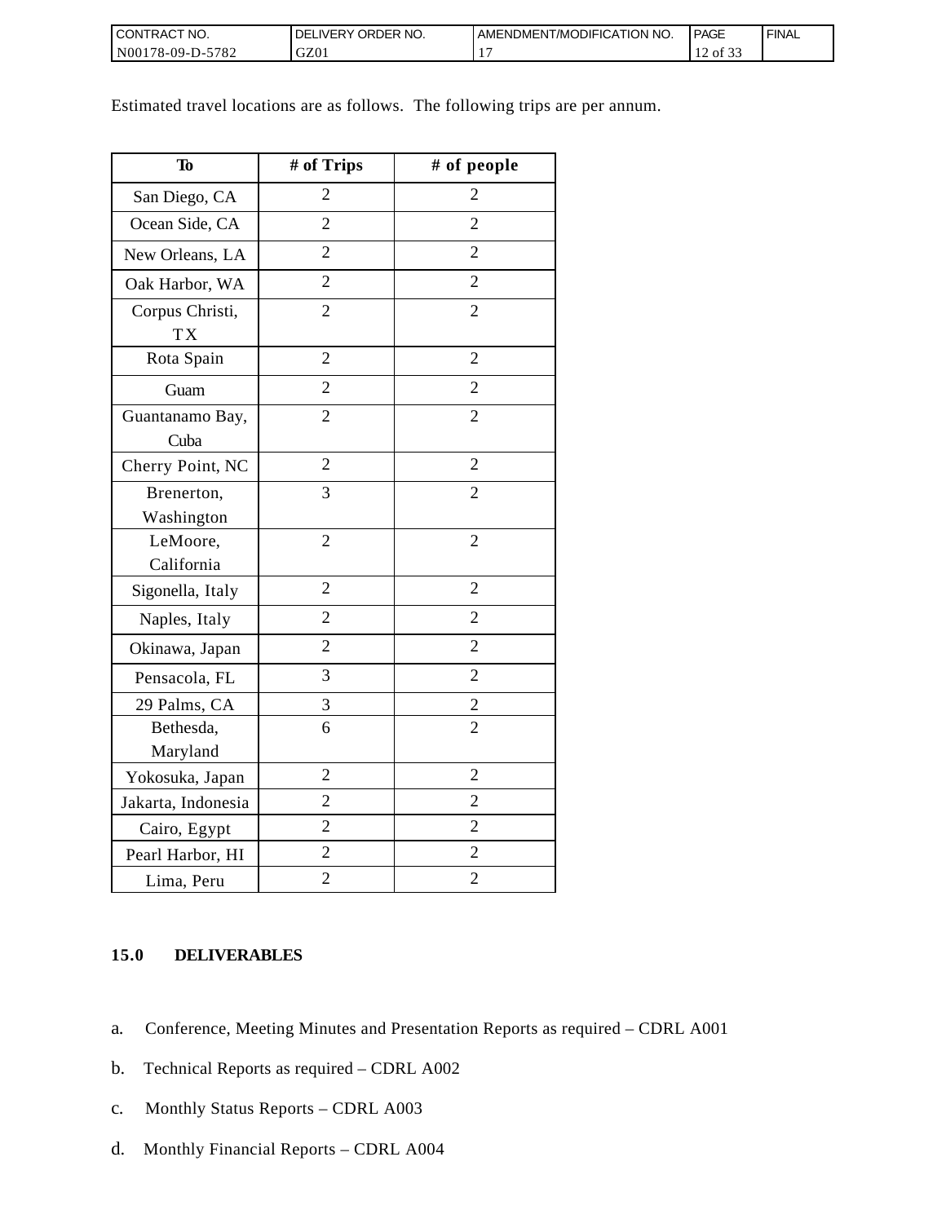| I CONTRACT NO.           | NO.<br><b>DELIVERY ORDER</b> | AMENDMENT/MODIFICATION NO. | <b>PAGE</b>                          | ' FINAL |
|--------------------------|------------------------------|----------------------------|--------------------------------------|---------|
| $N00178-09-D-5$<br>-5782 | GZ01                         |                            | $\sim$ $\sim$ $\sim$<br>of 33<br>. . |         |

Estimated travel locations are as follows. The following trips are per annum.

| To                           | # of Trips     | # of people    |
|------------------------------|----------------|----------------|
| San Diego, CA                | $\overline{2}$ | $\overline{2}$ |
| Ocean Side, CA               | $\overline{2}$ | $\overline{2}$ |
| New Orleans, LA              | $\overline{2}$ | $\overline{2}$ |
| Oak Harbor, WA               | $\overline{2}$ | $\overline{2}$ |
| Corpus Christi,<br><b>TX</b> | $\overline{2}$ | $\overline{2}$ |
| Rota Spain                   | $\overline{2}$ | $\overline{2}$ |
| Guam                         | $\overline{2}$ | $\overline{2}$ |
| Guantanamo Bay,<br>Cuba      | $\overline{2}$ | $\overline{2}$ |
| Cherry Point, NC             | $\overline{2}$ | $\overline{2}$ |
| Brenerton,<br>Washington     | 3              | $\overline{2}$ |
| LeMoore,                     | $\overline{2}$ | $\overline{2}$ |
| California                   |                |                |
| Sigonella, Italy             | $\overline{2}$ | $\overline{2}$ |
| Naples, Italy                | $\overline{2}$ | 2              |
| Okinawa, Japan               | $\overline{2}$ | $\overline{2}$ |
| Pensacola, FL                | 3              | $\overline{2}$ |
| 29 Palms, CA                 | 3              | $\overline{c}$ |
| Bethesda,<br>Maryland        | 6              | $\overline{2}$ |
| Yokosuka, Japan              | $\overline{2}$ | $\overline{2}$ |
| Jakarta, Indonesia           | $\overline{2}$ | $\overline{2}$ |
| Cairo, Egypt                 | $\overline{2}$ | $\overline{2}$ |
| Pearl Harbor, HI             | $\overline{c}$ | $\overline{2}$ |
| Lima, Peru                   | $\overline{c}$ | $\overline{c}$ |

### **15.0 DELIVERABLES**

- a. Conference, Meeting Minutes and Presentation Reports as required CDRL A001
- b. Technical Reports as required CDRL A002
- c. Monthly Status Reports CDRL A003
- d. Monthly Financial Reports CDRL A004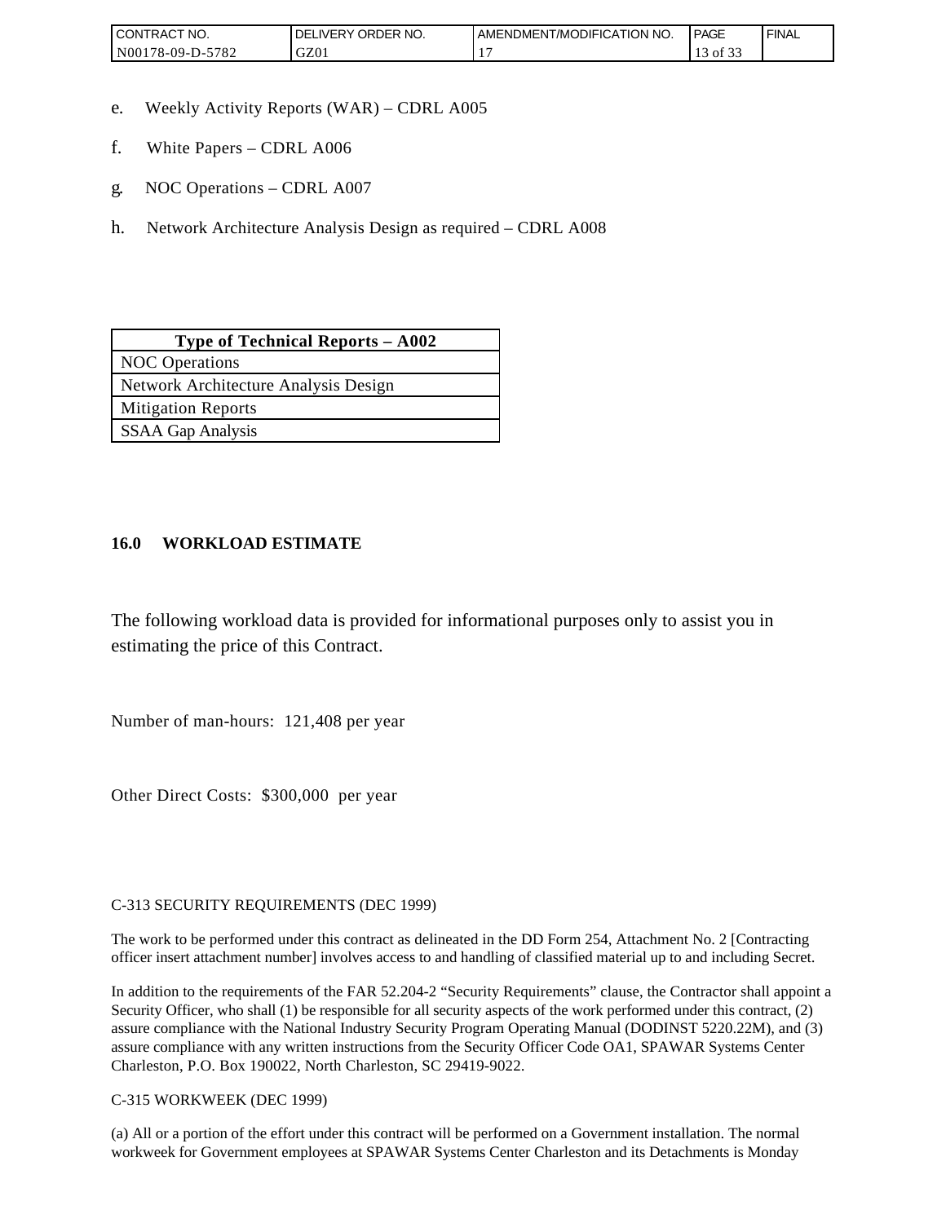| <b>CONTRACT NO.</b>              | ORDER<br>NO.<br><b>DELIVERY</b> | AMENDMENT/MODIFICATION NO. | <b>PAGE</b>         | <b>I FINAL</b> |
|----------------------------------|---------------------------------|----------------------------|---------------------|----------------|
| N00<br>5782<br>$3178 - 09 - D -$ | GZ01                            |                            | $\sim$ $\sim$<br>0Ī |                |

- e. Weekly Activity Reports (WAR) CDRL A005
- f. White Papers CDRL A006
- g. NOC Operations CDRL A007
- h. Network Architecture Analysis Design as required CDRL A008

| <b>Type of Technical Reports – A002</b> |
|-----------------------------------------|
| <b>NOC</b> Operations                   |
| Network Architecture Analysis Design    |
| <b>Mitigation Reports</b>               |
| <b>SSAA Gap Analysis</b>                |

### **16.0 WORKLOAD ESTIMATE**

The following workload data is provided for informational purposes only to assist you in estimating the price of this Contract.

Number of man-hours: 121,408 per year

Other Direct Costs: \$300,000 per year

C-313 SECURITY REQUIREMENTS (DEC 1999)

The work to be performed under this contract as delineated in the DD Form 254, Attachment No. 2 [Contracting officer insert attachment number] involves access to and handling of classified material up to and including Secret.

In addition to the requirements of the FAR 52.204-2 "Security Requirements" clause, the Contractor shall appoint a Security Officer, who shall (1) be responsible for all security aspects of the work performed under this contract, (2) assure compliance with the National Industry Security Program Operating Manual (DODINST 5220.22M), and (3) assure compliance with any written instructions from the Security Officer Code OA1, SPAWAR Systems Center Charleston, P.O. Box 190022, North Charleston, SC 29419-9022.

C-315 WORKWEEK (DEC 1999)

(a) All or a portion of the effort under this contract will be performed on a Government installation. The normal workweek for Government employees at SPAWAR Systems Center Charleston and its Detachments is Monday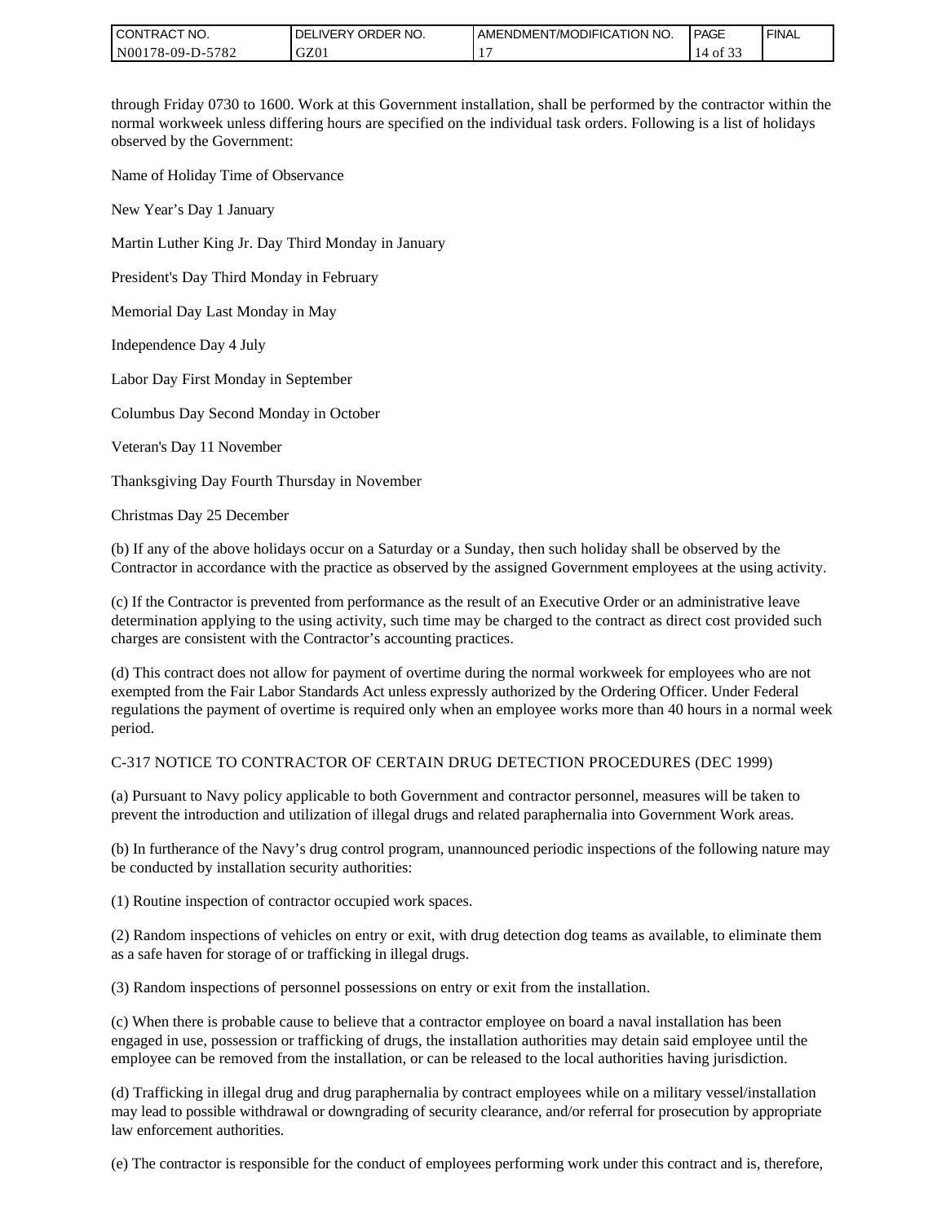| I CONTRACT NO.   | I DELIVERY ORDER NO. | I AMENDMENT/MODIFICATION NO. | <b>PAGE</b>                      | ' FINAL |
|------------------|----------------------|------------------------------|----------------------------------|---------|
| N00178-09-D-5782 | GZ01                 |                              | $\sim$ $\sim$ $\sim$<br>14 of 33 |         |

through Friday 0730 to 1600. Work at this Government installation, shall be performed by the contractor within the normal workweek unless differing hours are specified on the individual task orders. Following is a list of holidays observed by the Government:

Name of Holiday Time of Observance

New Year's Day 1 January

Martin Luther King Jr. Day Third Monday in January

President's Day Third Monday in February

Memorial Day Last Monday in May

Independence Day 4 July

Labor Day First Monday in September

Columbus Day Second Monday in October

Veteran's Day 11 November

Thanksgiving Day Fourth Thursday in November

Christmas Day 25 December

(b) If any of the above holidays occur on a Saturday or a Sunday, then such holiday shall be observed by the Contractor in accordance with the practice as observed by the assigned Government employees at the using activity.

(c) If the Contractor is prevented from performance as the result of an Executive Order or an administrative leave determination applying to the using activity, such time may be charged to the contract as direct cost provided such charges are consistent with the Contractor's accounting practices.

(d) This contract does not allow for payment of overtime during the normal workweek for employees who are not exempted from the Fair Labor Standards Act unless expressly authorized by the Ordering Officer. Under Federal regulations the payment of overtime is required only when an employee works more than 40 hours in a normal week period.

#### C-317 NOTICE TO CONTRACTOR OF CERTAIN DRUG DETECTION PROCEDURES (DEC 1999)

(a) Pursuant to Navy policy applicable to both Government and contractor personnel, measures will be taken to prevent the introduction and utilization of illegal drugs and related paraphernalia into Government Work areas.

(b) In furtherance of the Navy's drug control program, unannounced periodic inspections of the following nature may be conducted by installation security authorities:

(1) Routine inspection of contractor occupied work spaces.

(2) Random inspections of vehicles on entry or exit, with drug detection dog teams as available, to eliminate them as a safe haven for storage of or trafficking in illegal drugs.

(3) Random inspections of personnel possessions on entry or exit from the installation.

(c) When there is probable cause to believe that a contractor employee on board a naval installation has been engaged in use, possession or trafficking of drugs, the installation authorities may detain said employee until the employee can be removed from the installation, or can be released to the local authorities having jurisdiction.

(d) Trafficking in illegal drug and drug paraphernalia by contract employees while on a military vessel/installation may lead to possible withdrawal or downgrading of security clearance, and/or referral for prosecution by appropriate law enforcement authorities.

(e) The contractor is responsible for the conduct of employees performing work under this contract and is, therefore,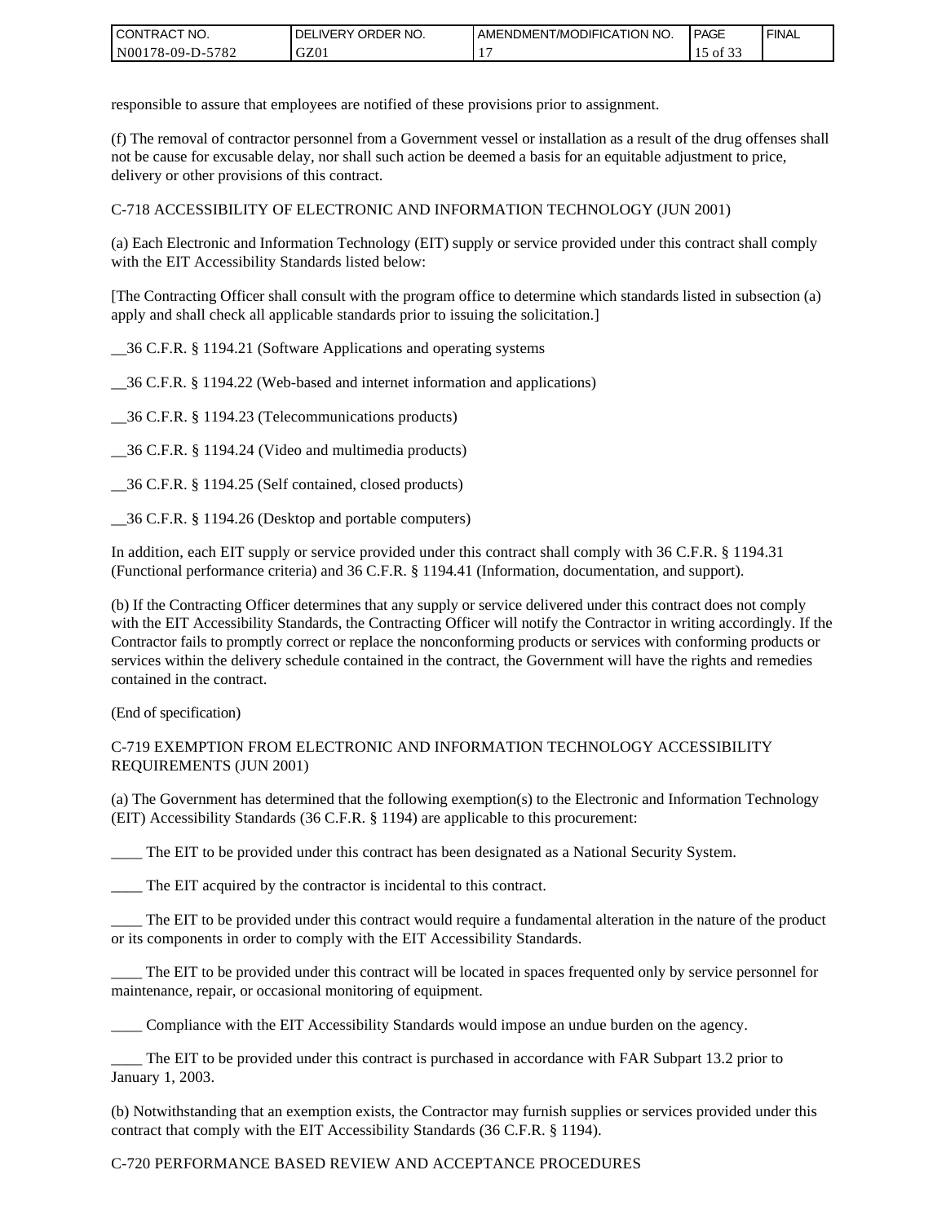| I CONTRACT NO.         | ORDER<br>NO.<br><b>DELIVERY</b> | AMENDMENT/MODIFICATION NO. | <b>PAGE</b>                         | ' FINAL |
|------------------------|---------------------------------|----------------------------|-------------------------------------|---------|
| N00178-09-D-5<br>-5782 | GZ01                            |                            | $\sim$ $\sim$<br>$\sim$ of $\infty$ |         |

responsible to assure that employees are notified of these provisions prior to assignment.

(f) The removal of contractor personnel from a Government vessel or installation as a result of the drug offenses shall not be cause for excusable delay, nor shall such action be deemed a basis for an equitable adjustment to price, delivery or other provisions of this contract.

C-718 ACCESSIBILITY OF ELECTRONIC AND INFORMATION TECHNOLOGY (JUN 2001)

(a) Each Electronic and Information Technology (EIT) supply or service provided under this contract shall comply with the EIT Accessibility Standards listed below:

[The Contracting Officer shall consult with the program office to determine which standards listed in subsection (a) apply and shall check all applicable standards prior to issuing the solicitation.]

\_\_36 C.F.R. § 1194.21 (Software Applications and operating systems

\_\_36 C.F.R. § 1194.22 (Web-based and internet information and applications)

\_\_36 C.F.R. § 1194.23 (Telecommunications products)

\_\_36 C.F.R. § 1194.24 (Video and multimedia products)

\_\_36 C.F.R. § 1194.25 (Self contained, closed products)

\_\_36 C.F.R. § 1194.26 (Desktop and portable computers)

In addition, each EIT supply or service provided under this contract shall comply with 36 C.F.R. § 1194.31 (Functional performance criteria) and 36 C.F.R. § 1194.41 (Information, documentation, and support).

(b) If the Contracting Officer determines that any supply or service delivered under this contract does not comply with the EIT Accessibility Standards, the Contracting Officer will notify the Contractor in writing accordingly. If the Contractor fails to promptly correct or replace the nonconforming products or services with conforming products or services within the delivery schedule contained in the contract, the Government will have the rights and remedies contained in the contract.

(End of specification)

#### C-719 EXEMPTION FROM ELECTRONIC AND INFORMATION TECHNOLOGY ACCESSIBILITY REQUIREMENTS (JUN 2001)

(a) The Government has determined that the following exemption(s) to the Electronic and Information Technology (EIT) Accessibility Standards (36 C.F.R. § 1194) are applicable to this procurement:

The EIT to be provided under this contract has been designated as a National Security System.

\_\_\_\_ The EIT acquired by the contractor is incidental to this contract.

\_\_\_\_ The EIT to be provided under this contract would require a fundamental alteration in the nature of the product or its components in order to comply with the EIT Accessibility Standards.

The EIT to be provided under this contract will be located in spaces frequented only by service personnel for maintenance, repair, or occasional monitoring of equipment.

\_\_\_\_ Compliance with the EIT Accessibility Standards would impose an undue burden on the agency.

\_\_\_\_ The EIT to be provided under this contract is purchased in accordance with FAR Subpart 13.2 prior to January 1, 2003.

(b) Notwithstanding that an exemption exists, the Contractor may furnish supplies or services provided under this contract that comply with the EIT Accessibility Standards (36 C.F.R. § 1194).

### C-720 PERFORMANCE BASED REVIEW AND ACCEPTANCE PROCEDURES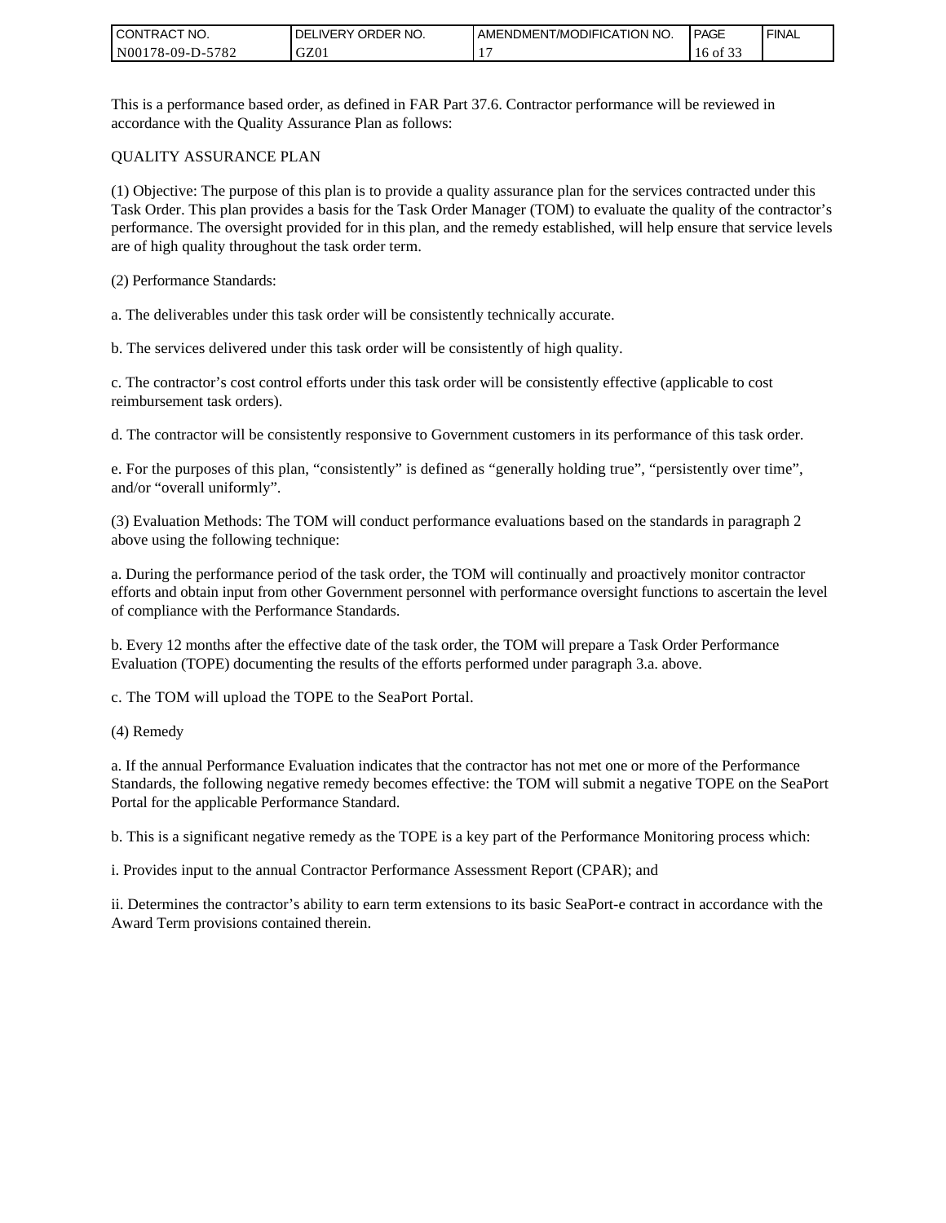| I CONT'<br>'TRACT NO. | ORDER NO.<br><b>DELIVERY</b> | AMENDMENT/MODIFICATION NO. | <b>PAGE</b> | ' FINAL |
|-----------------------|------------------------------|----------------------------|-------------|---------|
| N00178-09-D-5782      | GZ0 <sub>1</sub>             |                            | 16 of 33    |         |

This is a performance based order, as defined in FAR Part 37.6. Contractor performance will be reviewed in accordance with the Quality Assurance Plan as follows:

#### QUALITY ASSURANCE PLAN

(1) Objective: The purpose of this plan is to provide a quality assurance plan for the services contracted under this Task Order. This plan provides a basis for the Task Order Manager (TOM) to evaluate the quality of the contractor's performance. The oversight provided for in this plan, and the remedy established, will help ensure that service levels are of high quality throughout the task order term.

(2) Performance Standards:

a. The deliverables under this task order will be consistently technically accurate.

b. The services delivered under this task order will be consistently of high quality.

c. The contractor's cost control efforts under this task order will be consistently effective (applicable to cost reimbursement task orders).

d. The contractor will be consistently responsive to Government customers in its performance of this task order.

e. For the purposes of this plan, "consistently" is defined as "generally holding true", "persistently over time", and/or "overall uniformly".

(3) Evaluation Methods: The TOM will conduct performance evaluations based on the standards in paragraph 2 above using the following technique:

a. During the performance period of the task order, the TOM will continually and proactively monitor contractor efforts and obtain input from other Government personnel with performance oversight functions to ascertain the level of compliance with the Performance Standards.

b. Every 12 months after the effective date of the task order, the TOM will prepare a Task Order Performance Evaluation (TOPE) documenting the results of the efforts performed under paragraph 3.a. above.

c. The TOM will upload the TOPE to the SeaPort Portal.

(4) Remedy

a. If the annual Performance Evaluation indicates that the contractor has not met one or more of the Performance Standards, the following negative remedy becomes effective: the TOM will submit a negative TOPE on the SeaPort Portal for the applicable Performance Standard.

b. This is a significant negative remedy as the TOPE is a key part of the Performance Monitoring process which:

i. Provides input to the annual Contractor Performance Assessment Report (CPAR); and

ii. Determines the contractor's ability to earn term extensions to its basic SeaPort-e contract in accordance with the Award Term provisions contained therein.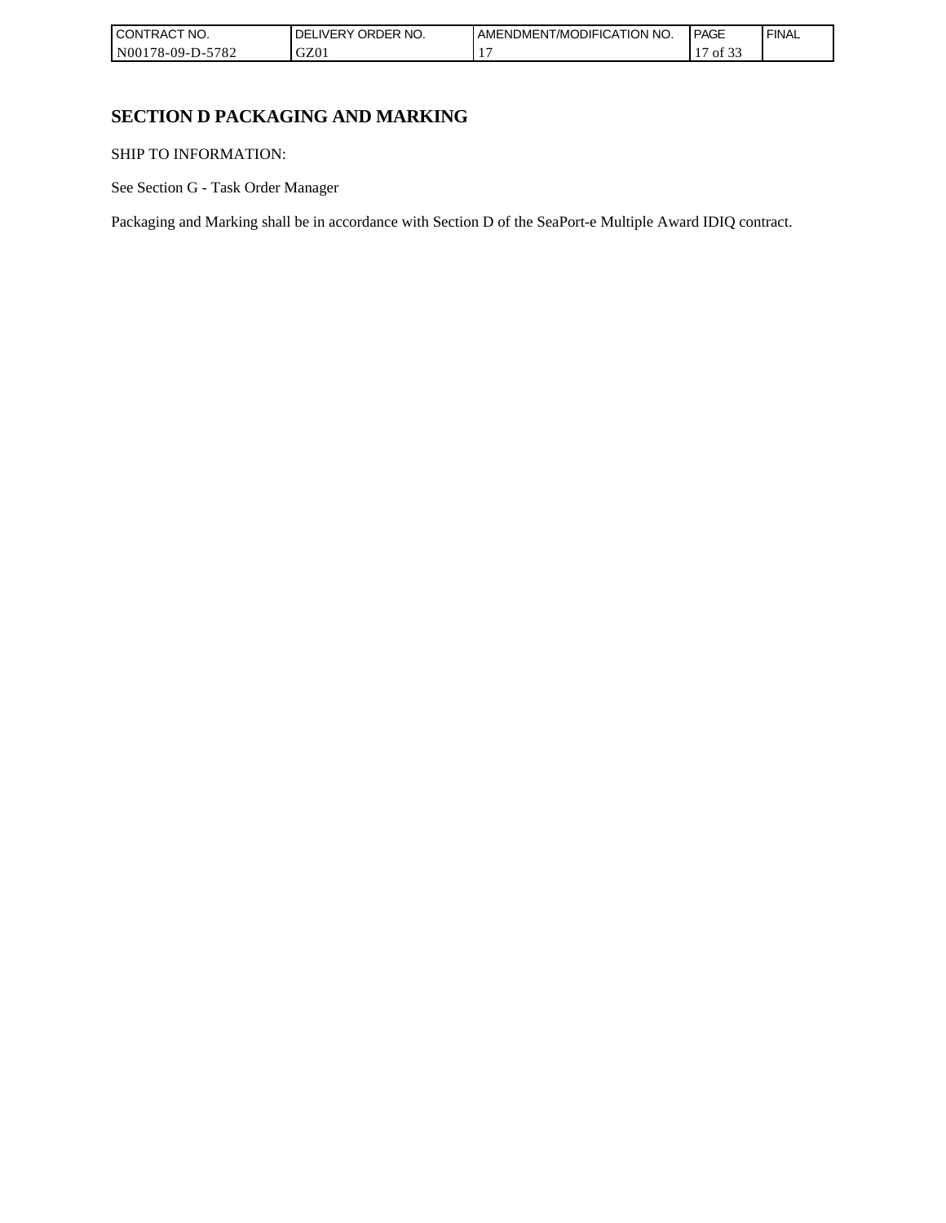| <b>CONTRACT</b><br>'NO.                               | ORDER NO.<br>DE<br>_IVERY | AMENDMENT/MODIFICATION NO. | <b>PAGE</b>                 | <b>FINAL</b> |
|-------------------------------------------------------|---------------------------|----------------------------|-----------------------------|--------------|
| $570^{\circ}$<br>N00178-09-L<br>D-:<br>$'$ O $\angle$ | GZ01                      |                            | $\sim$<br>$\cdot$ $-$<br>Οİ |              |

# **SECTION D PACKAGING AND MARKING**

SHIP TO INFORMATION:

See Section G - Task Order Manager

Packaging and Marking shall be in accordance with Section D of the SeaPort-e Multiple Award IDIQ contract.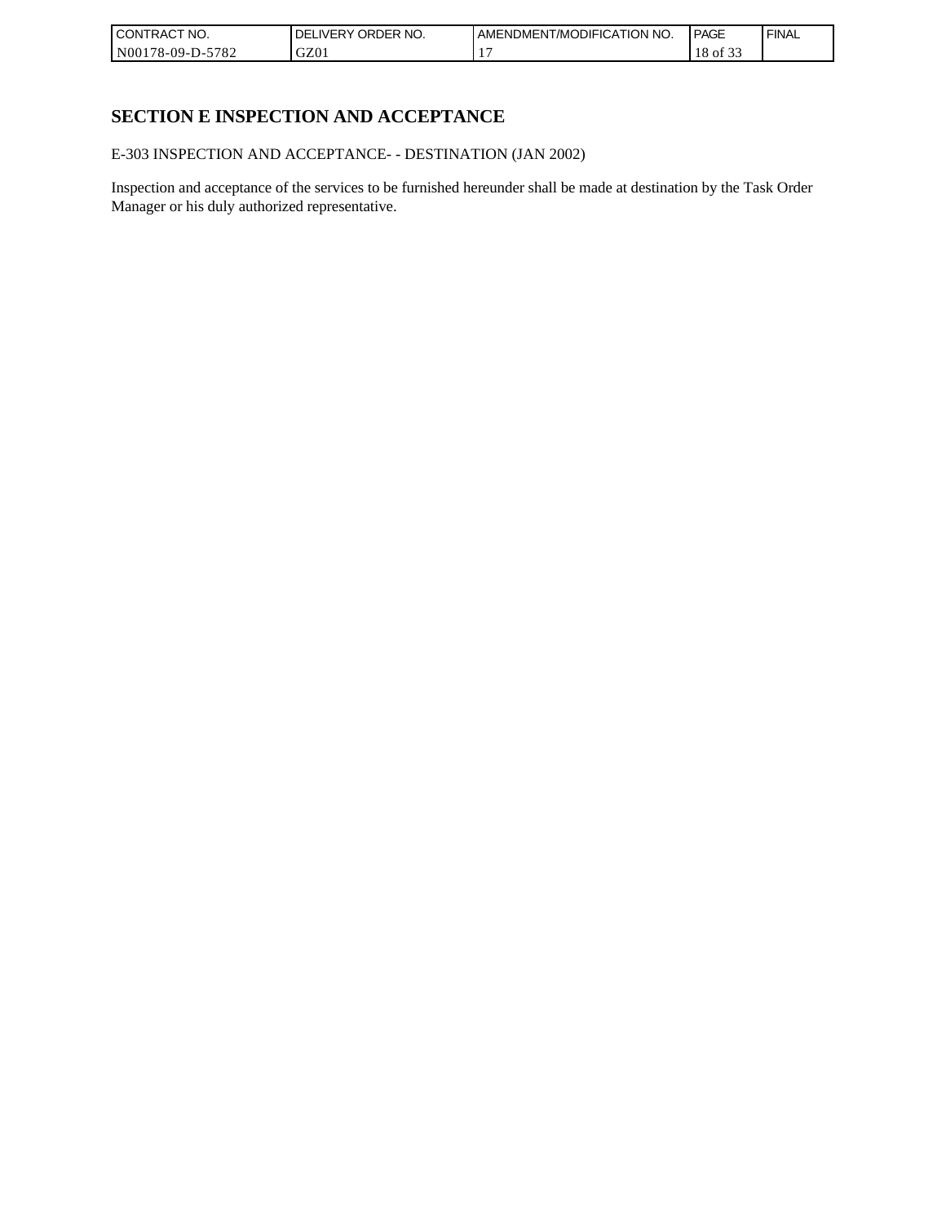| I CONTRACT NO.   | ORDER NO.<br><b>DELIVERY</b> | AMENDMENT/MODIFICATION NO. | <b>PAGE</b>                   | ' FINAL |
|------------------|------------------------------|----------------------------|-------------------------------|---------|
| N00178-09-D-5782 | GZ0 <sub>1</sub>             |                            | $\sim$ $\sim$ $\sim$<br>of 33 |         |

# **SECTION E INSPECTION AND ACCEPTANCE**

E-303 INSPECTION AND ACCEPTANCE- - DESTINATION (JAN 2002)

Inspection and acceptance of the services to be furnished hereunder shall be made at destination by the Task Order Manager or his duly authorized representative.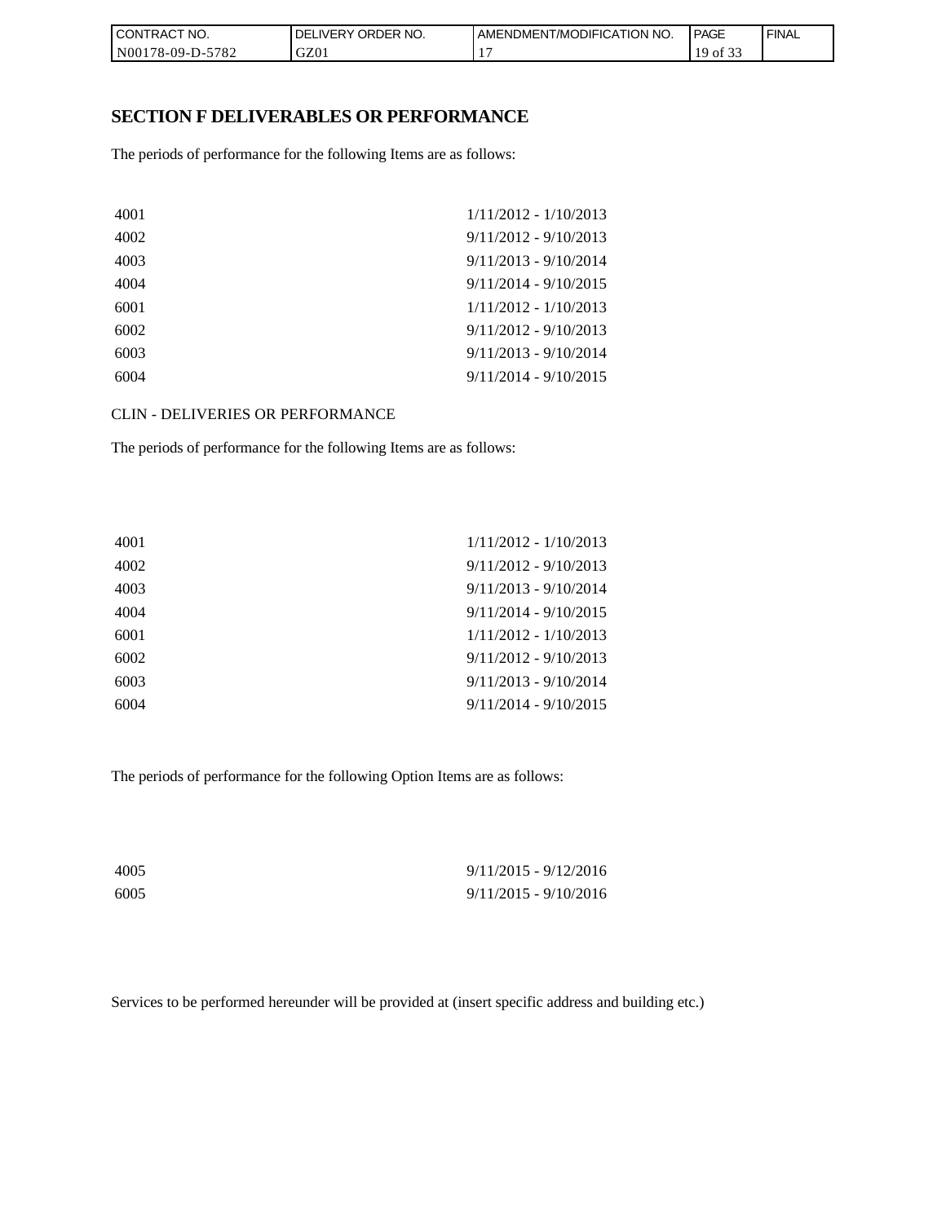| I CONTRACT NO.   | NO.<br>ORDER <sup>'</sup><br><b>DELIVERY</b> | AMENDMENT/MODIFICATION<br>I NO. | <b>PAGE</b> | <b>FINAL</b> |
|------------------|----------------------------------------------|---------------------------------|-------------|--------------|
| N00178-09-D-5782 | GZ01                                         |                                 | 0Ì<br>ن ر   |              |

### **SECTION F DELIVERABLES OR PERFORMANCE**

The periods of performance for the following Items are as follows:

| $1/11/2012 - 1/10/2013$ |
|-------------------------|
| $9/11/2012 - 9/10/2013$ |
| $9/11/2013 - 9/10/2014$ |
| $9/11/2014 - 9/10/2015$ |
| $1/11/2012 - 1/10/2013$ |
| $9/11/2012 - 9/10/2013$ |
| $9/11/2013 - 9/10/2014$ |
| $9/11/2014 - 9/10/2015$ |
|                         |

CLIN - DELIVERIES OR PERFORMANCE

The periods of performance for the following Items are as follows:

| 4001 | $1/11/2012 - 1/10/2013$ |
|------|-------------------------|
| 4002 | $9/11/2012 - 9/10/2013$ |
| 4003 | $9/11/2013 - 9/10/2014$ |
| 4004 | $9/11/2014 - 9/10/2015$ |
| 6001 | $1/11/2012 - 1/10/2013$ |
| 6002 | $9/11/2012 - 9/10/2013$ |
| 6003 | $9/11/2013 - 9/10/2014$ |
| 6004 | $9/11/2014 - 9/10/2015$ |

The periods of performance for the following Option Items are as follows:

| 4005 | $9/11/2015 - 9/12/2016$ |
|------|-------------------------|
| 6005 | $9/11/2015 - 9/10/2016$ |

Services to be performed hereunder will be provided at (insert specific address and building etc.)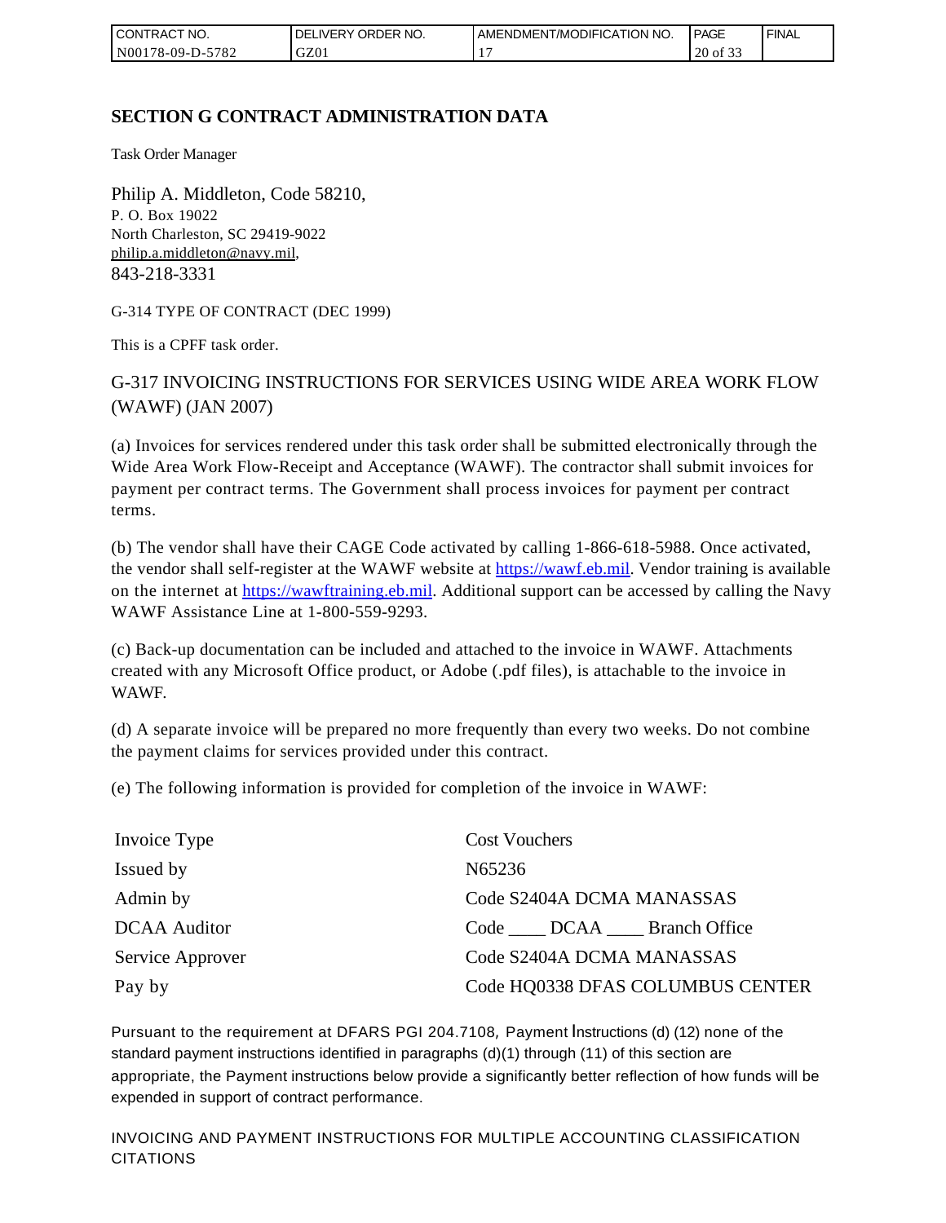| I CONTRACT NO.         | ORDER NO.<br><b>DELIVERY</b> | AMENDMENT/MODIFICATION NO. | <b>PAGE</b>                  | ' FINAL |
|------------------------|------------------------------|----------------------------|------------------------------|---------|
| N00178-09-D-5<br>-5782 | GZ01                         |                            | $\sim$ $\sim$<br>20<br>of 3. |         |

# **SECTION G CONTRACT ADMINISTRATION DATA**

Task Order Manager

Philip A. Middleton, Code 58210, P. O. Box 19022 North Charleston, SC 29419-9022 [philip.a.middleton@navy.mil](mailto:cphilip.a.middleton@navy.mil), 843-218-3331

G-314 TYPE OF CONTRACT (DEC 1999)

This is a CPFF task order.

G-317 INVOICING INSTRUCTIONS FOR SERVICES USING WIDE AREA WORK FLOW (WAWF) (JAN 2007)

(a) Invoices for services rendered under this task order shall be submitted electronically through the Wide Area Work Flow-Receipt and Acceptance (WAWF). The contractor shall submit invoices for payment per contract terms. The Government shall process invoices for payment per contract terms.

(b) The vendor shall have their CAGE Code activated by calling 1-866-618-5988. Once activated, the vendor shall self-register at the WAWF website at [https://wawf.eb.mil.](https://wawf.eb.mil/) Vendor training is available on the internet at [https://wawftraining.eb.mil.](https://wawftraining.eb.mil/) Additional support can be accessed by calling the Navy WAWF Assistance Line at 1-800-559-9293.

(c) Back-up documentation can be included and attached to the invoice in WAWF. Attachments created with any Microsoft Office product, or Adobe (.pdf files), is attachable to the invoice in WAWF.

(d) A separate invoice will be prepared no more frequently than every two weeks. Do not combine the payment claims for services provided under this contract.

(e) The following information is provided for completion of the invoice in WAWF:

| Invoice Type        | <b>Cost Vouchers</b>             |
|---------------------|----------------------------------|
| Issued by           | N65236                           |
| Admin by            | Code S2404A DCMA MANASSAS        |
| <b>DCAA</b> Auditor | Code DCAA Branch Office          |
| Service Approver    | Code S2404A DCMA MANASSAS        |
| Pay by              | Code HQ0338 DFAS COLUMBUS CENTER |

Pursuant to the requirement at DFARS PGI 204.7108, Payment Instructions (d) (12) none of the standard payment instructions identified in paragraphs (d)(1) through (11) of this section are appropriate, the Payment instructions below provide a significantly better reflection of how funds will be expended in support of contract performance.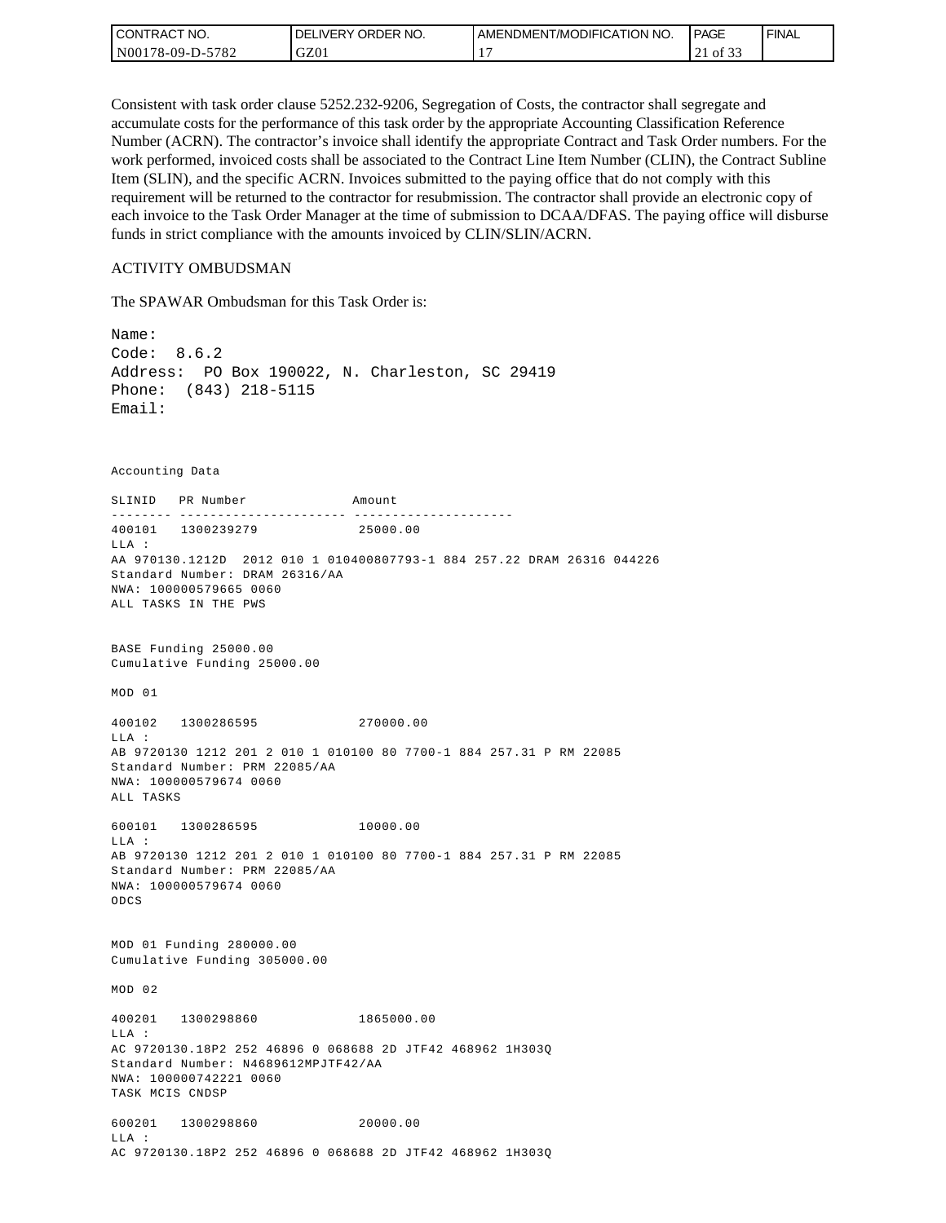| <b>CONTRACT NO.</b> | ' ORDER NO.<br><b>DELIVERY</b> | AMENDMENT/MODIFICATION NO. | PAGE           | ' FINAL |
|---------------------|--------------------------------|----------------------------|----------------|---------|
| N00178-09-D-5782    | GZ01                           |                            | ΟĪ<br>$\sim$ 1 |         |

Consistent with task order clause 5252.232-9206, Segregation of Costs, the contractor shall segregate and accumulate costs for the performance of this task order by the appropriate Accounting Classification Reference Number (ACRN). The contractor's invoice shall identify the appropriate Contract and Task Order numbers. For the work performed, invoiced costs shall be associated to the Contract Line Item Number (CLIN), the Contract Subline Item (SLIN), and the specific ACRN. Invoices submitted to the paying office that do not comply with this requirement will be returned to the contractor for resubmission. The contractor shall provide an electronic copy of each invoice to the Task Order Manager at the time of submission to DCAA/DFAS. The paying office will disburse funds in strict compliance with the amounts invoiced by CLIN/SLIN/ACRN.

#### ACTIVITY OMBUDSMAN

The SPAWAR Ombudsman for this Task Order is:

Name: Code: 8.6.2 Address: PO Box 190022, N. Charleston, SC 29419 Phone: (843) 218-5115 Email: Accounting Data SLINID PR Number Amount -------- ---------------------- ---------------------400101 1300239279 25000.00 LLA : AA 970130.1212D 2012 010 1 010400807793-1 884 257.22 DRAM 26316 044226 Standard Number: DRAM 26316/AA NWA: 100000579665 0060 ALL TASKS IN THE PWS BASE Funding 25000.00 Cumulative Funding 25000.00 MOD 01 400102 1300286595 270000.00 LLA : AB 9720130 1212 201 2 010 1 010100 80 7700-1 884 257.31 P RM 22085 Standard Number: PRM 22085/AA NWA: 100000579674 0060 ALL TASKS 600101 1300286595 10000.00 LLA : AB 9720130 1212 201 2 010 1 010100 80 7700-1 884 257.31 P RM 22085 Standard Number: PRM 22085/AA NWA: 100000579674 0060 ODCS MOD 01 Funding 280000.00 Cumulative Funding 305000.00 MOD 02 400201 1300298860 1865000.00  $T.T.A$  : AC 9720130.18P2 252 46896 0 068688 2D JTF42 468962 1H303Q Standard Number: N4689612MPJTF42/AA NWA: 100000742221 0060 TASK MCIS CNDSP 600201 1300298860 20000.00 LLA : AC 9720130.18P2 252 46896 0 068688 2D JTF42 468962 1H303Q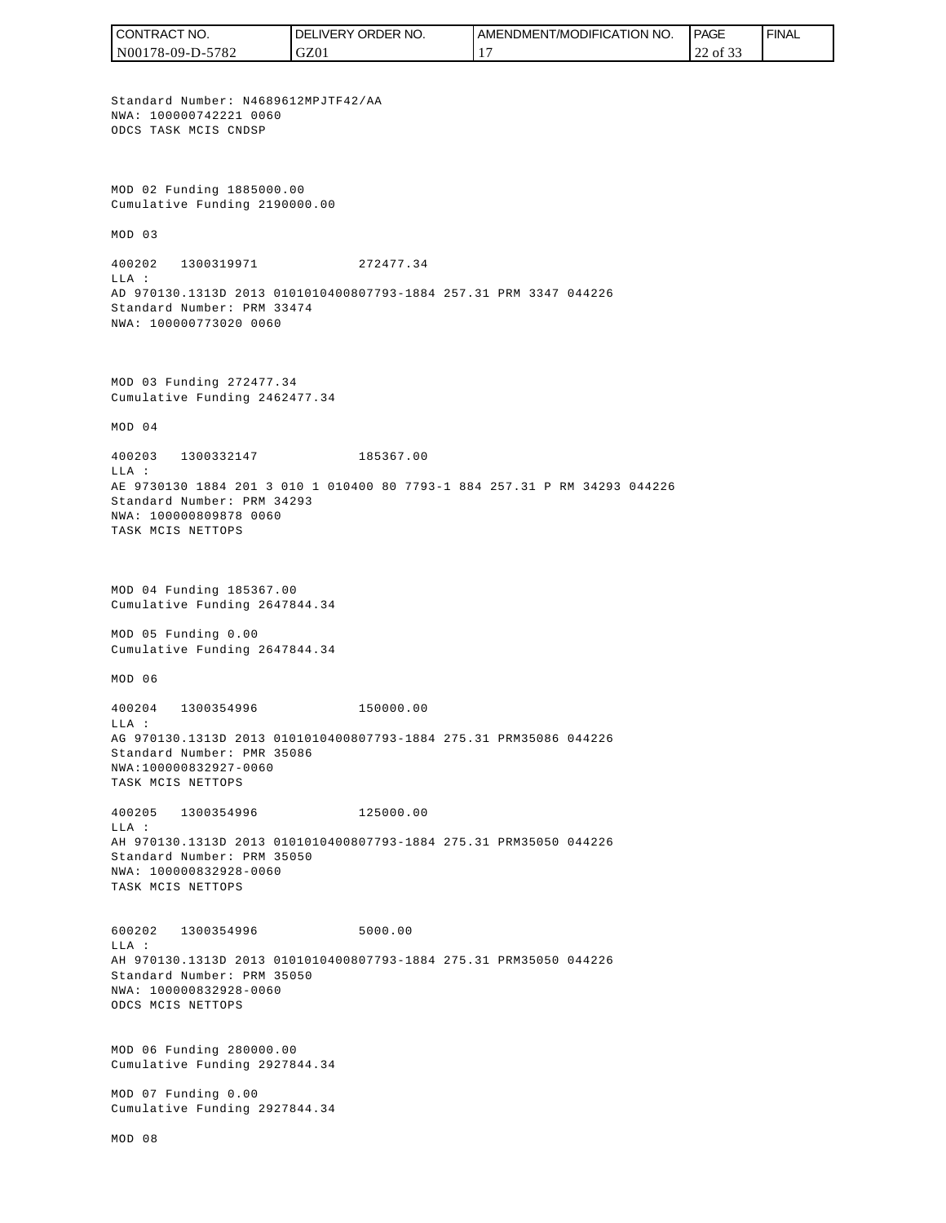CONTRACT NO. DELIVERY ORDER NO. AMENDMENT/MODIFICATION NO. **PAGE**  FINALCONTRACT NO.<br>
NO0178-09-D-5<br>
Standard Numb<br>
Non 178-09-D-5<br>
Standard Numb<br>
NNA: 10000074<br>
ODCS TASK MCI<br>
Cumulative Fu<br>
MOD 03<br>
400202 1300<br>
400202 1300<br>
LLA:<br>
AD 970130.131<br>
Standard Numb<br>
NNA: 10000077<br>
MOD 03 Fundin<br>
Cu N00178-09-D-5782 GZ01 17 22 of 33 Standard Number: N4689612MPJTF42/AA NWA: 100000742221 0060 ODCS TASK MCIS CNDSP MOD 02 Funding 1885000.00 Cumulative Funding 2190000.00 MOD 03 400202 1300319971 272477.34  $T.T.A$  : AD 970130.1313D 2013 0101010400807793-1884 257.31 PRM 3347 044226 Standard Number: PRM 33474 NWA: 100000773020 0060 MOD 03 Funding 272477.34 Cumulative Funding 2462477.34 MOD 04 400203 1300332147 185367.00 LLA : AE 9730130 1884 201 3 010 1 010400 80 7793-1 884 257.31 P RM 34293 044226 Standard Number: PRM 34293 NWA: 100000809878 0060 TASK MCIS NETTOPS MOD 04 Funding 185367.00 Cumulative Funding 2647844.34 MOD 05 Funding 0.00 Cumulative Funding 2647844.34 MOD 06 400204 1300354996 150000.00  $T.T.A$  : AG 970130.1313D 2013 0101010400807793-1884 275.31 PRM35086 044226 Standard Number: PMR 35086 NWA:100000832927-0060 TASK MCIS NETTOPS 400205 1300354996 125000.00 LLA : AH 970130.1313D 2013 0101010400807793-1884 275.31 PRM35050 044226 Standard Number: PRM 35050 NWA: 100000832928-0060 TASK MCIS NETTOPS 600202 1300354996 5000.00 LLA : AH 970130.1313D 2013 0101010400807793-1884 275.31 PRM35050 044226 Standard Number: PRM 35050 NWA: 100000832928-0060 ODCS MCIS NETTOPS MOD 06 Funding 280000.00 Cumulative Funding 2927844.34 MOD 07 Funding 0.00 Cumulative Funding 2927844.34 MOD 08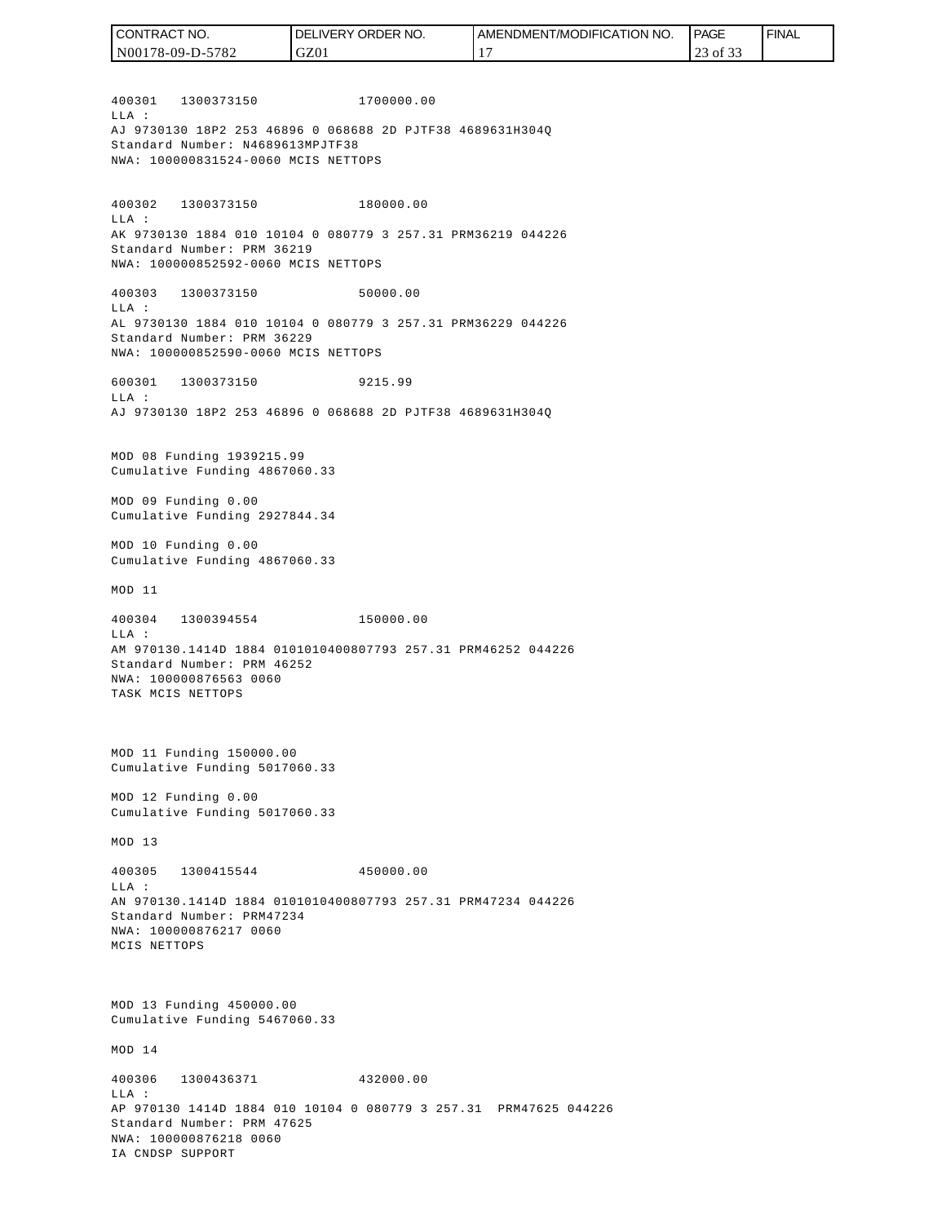400301 1300373150 1700000.00  $T.T.A$  : AJ 9730130 18P2 253 46896 0 068688 2D PJTF38 4689631H304Q Standard Number: N4689613MPJTF38 NWA: 100000831524-0060 MCIS NETTOPS 400302 1300373150 180000.00 LLA : AK 9730130 1884 010 10104 0 080779 3 257.31 PRM36219 044226 Standard Number: PRM 36219 NWA: 100000852592-0060 MCIS NETTOPS 400303 1300373150 50000.00 LLA : AL 9730130 1884 010 10104 0 080779 3 257.31 PRM36229 044226 Standard Number: PRM 36229 NWA: 100000852590-0060 MCIS NETTOPS 600301 1300373150 9215.99  $T.T.A$  : AJ 9730130 18P2 253 46896 0 068688 2D PJTF38 4689631H304Q MOD 08 Funding 1939215.99 Cumulative Funding 4867060.33 MOD 09 Funding 0.00 Cumulative Funding 2927844.34 MOD 10 Funding 0.00 Cumulative Funding 4867060.33 MOD 11 400304 1300394554 150000.00 LLA : AM 970130.1414D 1884 0101010400807793 257.31 PRM46252 044226 Standard Number: PRM 46252 NWA: 100000876563 0060 TASK MCIS NETTOPS MOD 11 Funding 150000.00 Cumulative Funding 5017060.33 MOD 12 Funding 0.00 Cumulative Funding 5017060.33 MOD 13 400305 1300415544 450000.00  $T.T.A$  : AN 970130.1414D 1884 0101010400807793 257.31 PRM47234 044226 Standard Number: PRM47234 NWA: 100000876217 0060 MCIS NETTOPS MOD 13 Funding 450000.00 Cumulative Funding 5467060.33 MOD 14 400306 1300436371 432000.00  $T.T.A$  : AP 970130 1414D 1884 010 10104 0 080779 3 257.31 PRM47625 044226 Standard Number: PRM 47625 NWA: 100000876218 0060 IA CNDSP SUPPORT N00178-09-D-5782 GZ01 17 23 of 33

CONTRACT NO.

DELIVERY ORDER NO.

AMENDMENT/MODIFICATION NO.

PAGE

FINAL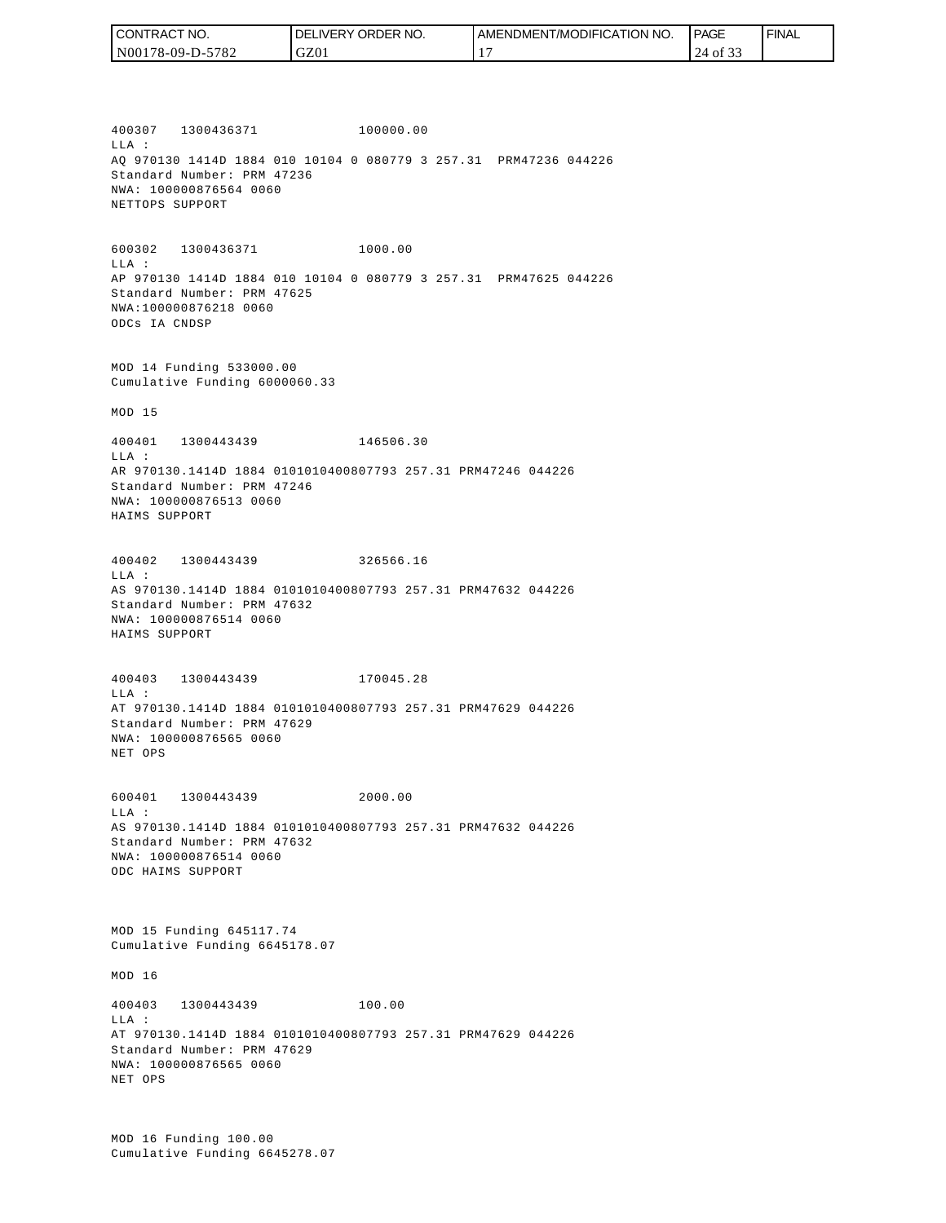| I CONTRACT NO.   | <b>I DELIVERY ORDER NO.</b> | I AMENDMENT/MODIFICATION NO. | <b>PAGE</b> | ' FINAL |
|------------------|-----------------------------|------------------------------|-------------|---------|
| N00178-09-D-5782 | GZ01                        |                              | $4$ of 3.   |         |

400307 1300436371 100000.00 LLA : AQ 970130 1414D 1884 010 10104 0 080779 3 257.31 PRM47236 044226 Standard Number: PRM 47236 NWA: 100000876564 0060 NETTOPS SUPPORT

600302 1300436371 1000.00 LLA : AP 970130 1414D 1884 010 10104 0 080779 3 257.31 PRM47625 044226 Standard Number: PRM 47625 NWA:100000876218 0060 ODCs IA CNDSP

MOD 14 Funding 533000.00 Cumulative Funding 6000060.33

MOD 15

400401 1300443439 146506.30 LLA : AR 970130.1414D 1884 0101010400807793 257.31 PRM47246 044226 Standard Number: PRM 47246 NWA: 100000876513 0060 HAIMS SUPPORT

400402 1300443439 326566.16 LLA : AS 970130.1414D 1884 0101010400807793 257.31 PRM47632 044226 Standard Number: PRM 47632 NWA: 100000876514 0060 HAIMS SUPPORT

400403 1300443439 170045.28 LLA : AT 970130.1414D 1884 0101010400807793 257.31 PRM47629 044226 Standard Number: PRM 47629 NWA: 100000876565 0060 NET OPS

600401 1300443439 2000.00  $T.T.A$  : AS 970130.1414D 1884 0101010400807793 257.31 PRM47632 044226 Standard Number: PRM 47632 NWA: 100000876514 0060 ODC HAIMS SUPPORT

MOD 15 Funding 645117.74 Cumulative Funding 6645178.07

MOD 16

400403 1300443439 100.00 LLA : AT 970130.1414D 1884 0101010400807793 257.31 PRM47629 044226 Standard Number: PRM 47629 NWA: 100000876565 0060 NET OPS

MOD 16 Funding 100.00 Cumulative Funding 6645278.07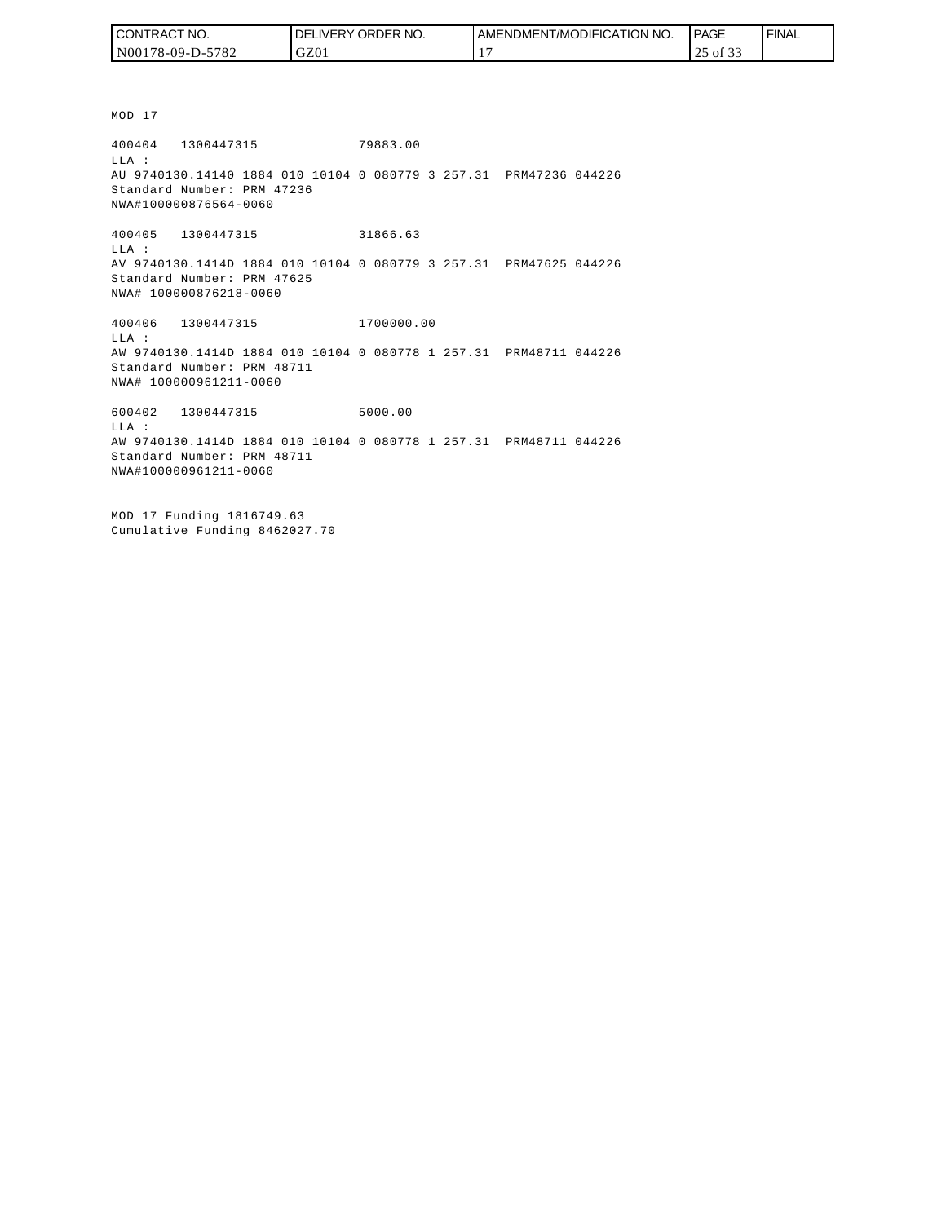| I CONTRACT NO.   | NO.<br>DELIVERY ORDER | AMENDMENT/MODIFICATION NO. | PAGE         | ' FINAL |
|------------------|-----------------------|----------------------------|--------------|---------|
| N00178-09-D-5782 | GZ01                  |                            | -01 33<br>رے |         |

MOD 17

400404 1300447315 79883.00 LLA : AU 9740130.14140 1884 010 10104 0 080779 3 257.31 PRM47236 044226 Standard Number: PRM 47236 NWA#100000876564-0060

400405 1300447315 31866.63 LLA : AV 9740130.1414D 1884 010 10104 0 080779 3 257.31 PRM47625 044226 Standard Number: PRM 47625 NWA# 100000876218-0060

400406 1300447315 1700000.00 LLA : AW 9740130.1414D 1884 010 10104 0 080778 1 257.31 PRM48711 044226 Standard Number: PRM 48711 NWA# 100000961211-0060

600402 1300447315 5000.00 LLA : AW 9740130.1414D 1884 010 10104 0 080778 1 257.31 PRM48711 044226 Standard Number: PRM 48711 NWA#100000961211-0060

MOD 17 Funding 1816749.63 Cumulative Funding 8462027.70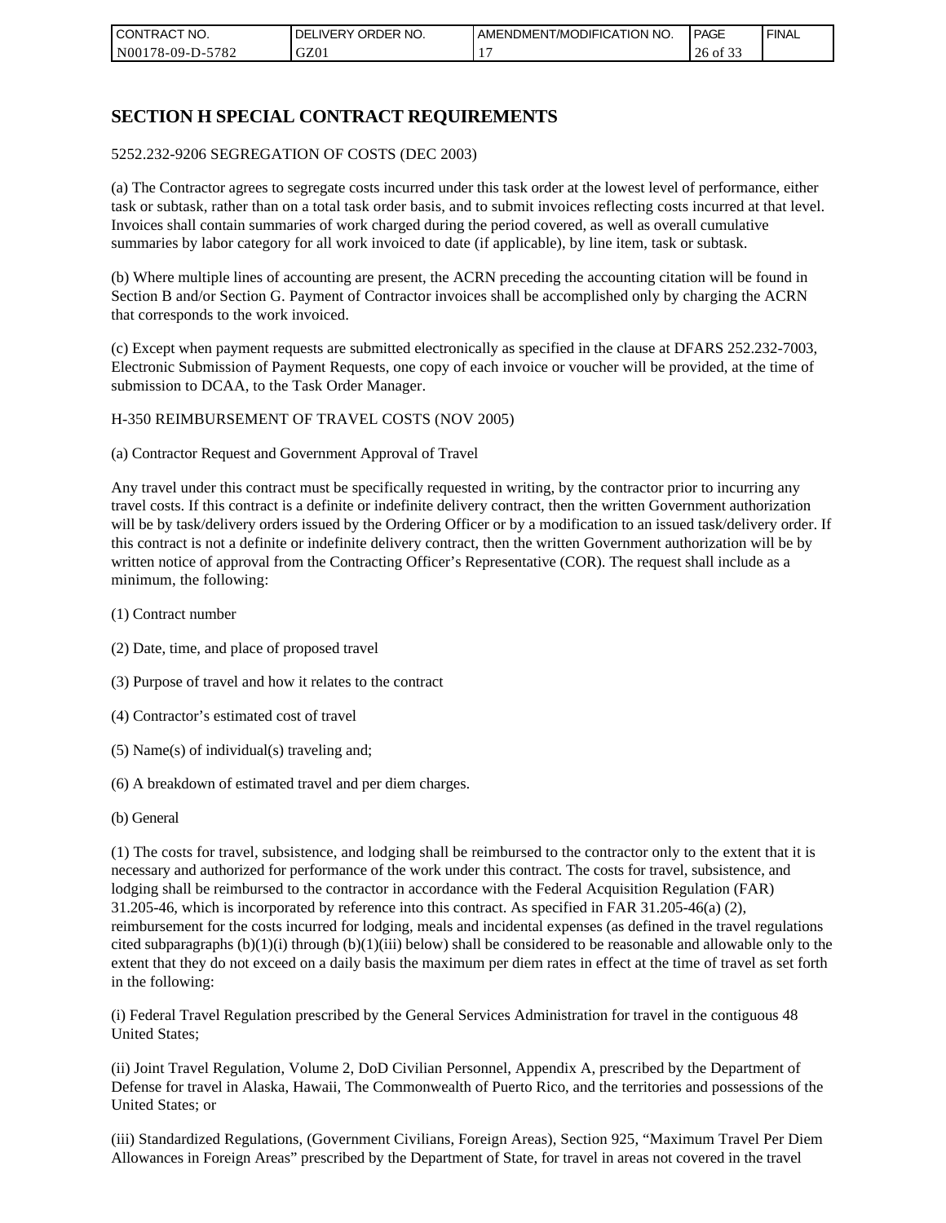| I CON'<br><b>'TRACT NO.</b> | NO.<br>ORDER <sup>®</sup><br>DELIVERY | AMENDMENT/MODIFICATION NO. | I PAGE                              | ' FINAL |
|-----------------------------|---------------------------------------|----------------------------|-------------------------------------|---------|
| N00178-09-D-5782            | GZ01                                  |                            | $\sim$ $\sim$ $\sim$<br>26<br>of 33 |         |

# **SECTION H SPECIAL CONTRACT REQUIREMENTS**

#### 5252.232-9206 SEGREGATION OF COSTS (DEC 2003)

(a) The Contractor agrees to segregate costs incurred under this task order at the lowest level of performance, either task or subtask, rather than on a total task order basis, and to submit invoices reflecting costs incurred at that level. Invoices shall contain summaries of work charged during the period covered, as well as overall cumulative summaries by labor category for all work invoiced to date (if applicable), by line item, task or subtask.

(b) Where multiple lines of accounting are present, the ACRN preceding the accounting citation will be found in Section B and/or Section G. Payment of Contractor invoices shall be accomplished only by charging the ACRN that corresponds to the work invoiced.

(c) Except when payment requests are submitted electronically as specified in the clause at DFARS 252.232-7003, Electronic Submission of Payment Requests, one copy of each invoice or voucher will be provided, at the time of submission to DCAA, to the Task Order Manager.

#### H-350 REIMBURSEMENT OF TRAVEL COSTS (NOV 2005)

(a) Contractor Request and Government Approval of Travel

Any travel under this contract must be specifically requested in writing, by the contractor prior to incurring any travel costs. If this contract is a definite or indefinite delivery contract, then the written Government authorization will be by task/delivery orders issued by the Ordering Officer or by a modification to an issued task/delivery order. If this contract is not a definite or indefinite delivery contract, then the written Government authorization will be by written notice of approval from the Contracting Officer's Representative (COR). The request shall include as a minimum, the following:

- (1) Contract number
- (2) Date, time, and place of proposed travel
- (3) Purpose of travel and how it relates to the contract
- (4) Contractor's estimated cost of travel
- (5) Name(s) of individual(s) traveling and;
- (6) A breakdown of estimated travel and per diem charges.
- (b) General

(1) The costs for travel, subsistence, and lodging shall be reimbursed to the contractor only to the extent that it is necessary and authorized for performance of the work under this contract. The costs for travel, subsistence, and lodging shall be reimbursed to the contractor in accordance with the Federal Acquisition Regulation (FAR) 31.205-46, which is incorporated by reference into this contract. As specified in FAR 31.205-46(a) (2), reimbursement for the costs incurred for lodging, meals and incidental expenses (as defined in the travel regulations cited subparagraphs  $(b)(1)(i)$  through  $(b)(1)(iii)$  below) shall be considered to be reasonable and allowable only to the extent that they do not exceed on a daily basis the maximum per diem rates in effect at the time of travel as set forth in the following:

(i) Federal Travel Regulation prescribed by the General Services Administration for travel in the contiguous 48 United States;

(ii) Joint Travel Regulation, Volume 2, DoD Civilian Personnel, Appendix A, prescribed by the Department of Defense for travel in Alaska, Hawaii, The Commonwealth of Puerto Rico, and the territories and possessions of the United States; or

(iii) Standardized Regulations, (Government Civilians, Foreign Areas), Section 925, "Maximum Travel Per Diem Allowances in Foreign Areas" prescribed by the Department of State, for travel in areas not covered in the travel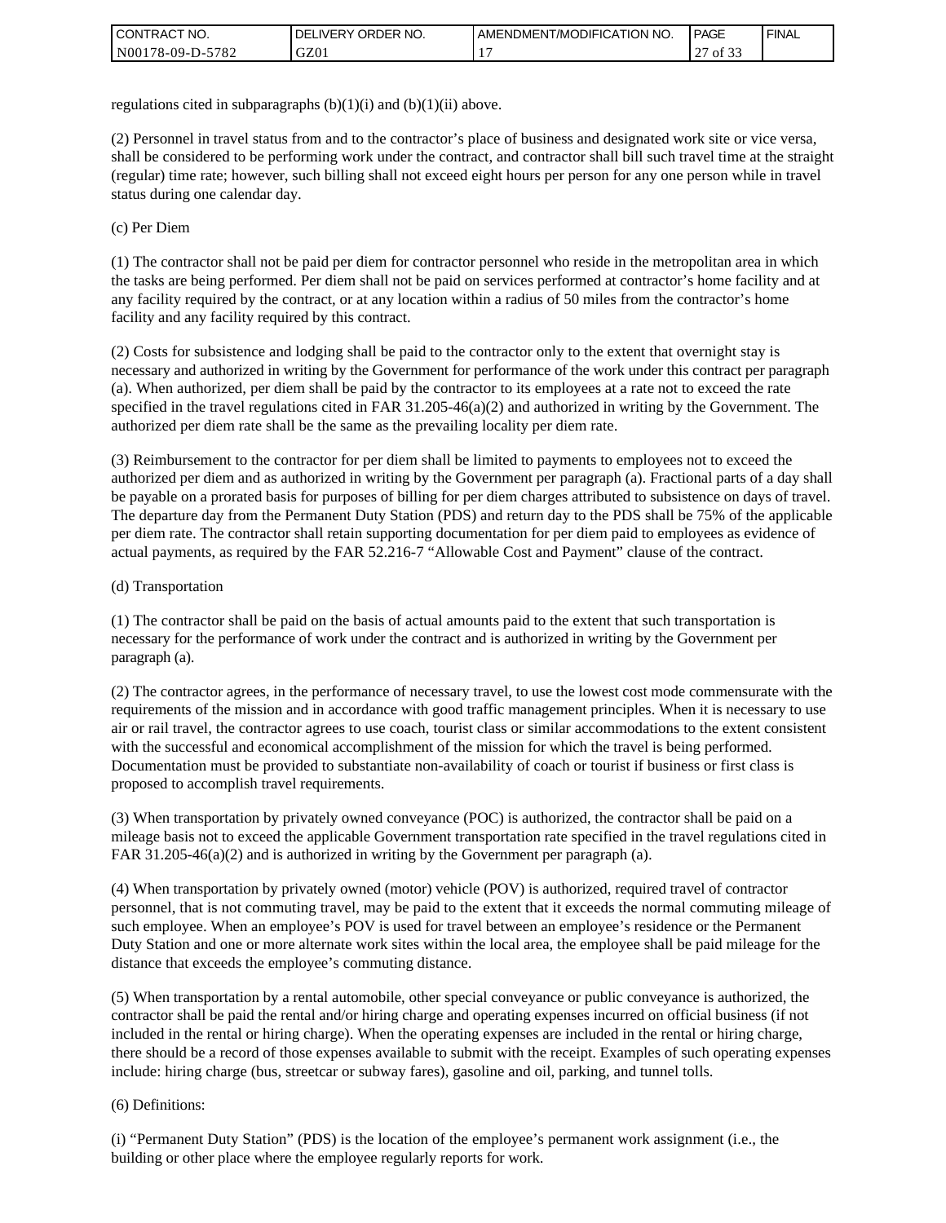| I CONTRACT NO.   | ' ORDER NO.<br><b>DELIVERY</b> | <b>LAMENDMENT/MODIFICATION NO.</b> | <b>PAGE</b>    | <b>FINAL</b> |
|------------------|--------------------------------|------------------------------------|----------------|--------------|
| N00178-09-D-5782 | GZ01                           |                                    | $\sim$<br>0132 |              |

regulations cited in subparagraphs  $(b)(1)(i)$  and  $(b)(1)(ii)$  above.

(2) Personnel in travel status from and to the contractor's place of business and designated work site or vice versa, shall be considered to be performing work under the contract, and contractor shall bill such travel time at the straight (regular) time rate; however, such billing shall not exceed eight hours per person for any one person while in travel status during one calendar day.

(c) Per Diem

(1) The contractor shall not be paid per diem for contractor personnel who reside in the metropolitan area in which the tasks are being performed. Per diem shall not be paid on services performed at contractor's home facility and at any facility required by the contract, or at any location within a radius of 50 miles from the contractor's home facility and any facility required by this contract.

(2) Costs for subsistence and lodging shall be paid to the contractor only to the extent that overnight stay is necessary and authorized in writing by the Government for performance of the work under this contract per paragraph (a). When authorized, per diem shall be paid by the contractor to its employees at a rate not to exceed the rate specified in the travel regulations cited in FAR 31.205-46(a)(2) and authorized in writing by the Government. The authorized per diem rate shall be the same as the prevailing locality per diem rate.

(3) Reimbursement to the contractor for per diem shall be limited to payments to employees not to exceed the authorized per diem and as authorized in writing by the Government per paragraph (a). Fractional parts of a day shall be payable on a prorated basis for purposes of billing for per diem charges attributed to subsistence on days of travel. The departure day from the Permanent Duty Station (PDS) and return day to the PDS shall be 75% of the applicable per diem rate. The contractor shall retain supporting documentation for per diem paid to employees as evidence of actual payments, as required by the FAR 52.216-7 "Allowable Cost and Payment" clause of the contract.

#### (d) Transportation

(1) The contractor shall be paid on the basis of actual amounts paid to the extent that such transportation is necessary for the performance of work under the contract and is authorized in writing by the Government per paragraph (a).

(2) The contractor agrees, in the performance of necessary travel, to use the lowest cost mode commensurate with the requirements of the mission and in accordance with good traffic management principles. When it is necessary to use air or rail travel, the contractor agrees to use coach, tourist class or similar accommodations to the extent consistent with the successful and economical accomplishment of the mission for which the travel is being performed. Documentation must be provided to substantiate non-availability of coach or tourist if business or first class is proposed to accomplish travel requirements.

(3) When transportation by privately owned conveyance (POC) is authorized, the contractor shall be paid on a mileage basis not to exceed the applicable Government transportation rate specified in the travel regulations cited in FAR 31.205-46(a)(2) and is authorized in writing by the Government per paragraph (a).

(4) When transportation by privately owned (motor) vehicle (POV) is authorized, required travel of contractor personnel, that is not commuting travel, may be paid to the extent that it exceeds the normal commuting mileage of such employee. When an employee's POV is used for travel between an employee's residence or the Permanent Duty Station and one or more alternate work sites within the local area, the employee shall be paid mileage for the distance that exceeds the employee's commuting distance.

(5) When transportation by a rental automobile, other special conveyance or public conveyance is authorized, the contractor shall be paid the rental and/or hiring charge and operating expenses incurred on official business (if not included in the rental or hiring charge). When the operating expenses are included in the rental or hiring charge, there should be a record of those expenses available to submit with the receipt. Examples of such operating expenses include: hiring charge (bus, streetcar or subway fares), gasoline and oil, parking, and tunnel tolls.

#### (6) Definitions:

(i) "Permanent Duty Station" (PDS) is the location of the employee's permanent work assignment (i.e., the building or other place where the employee regularly reports for work.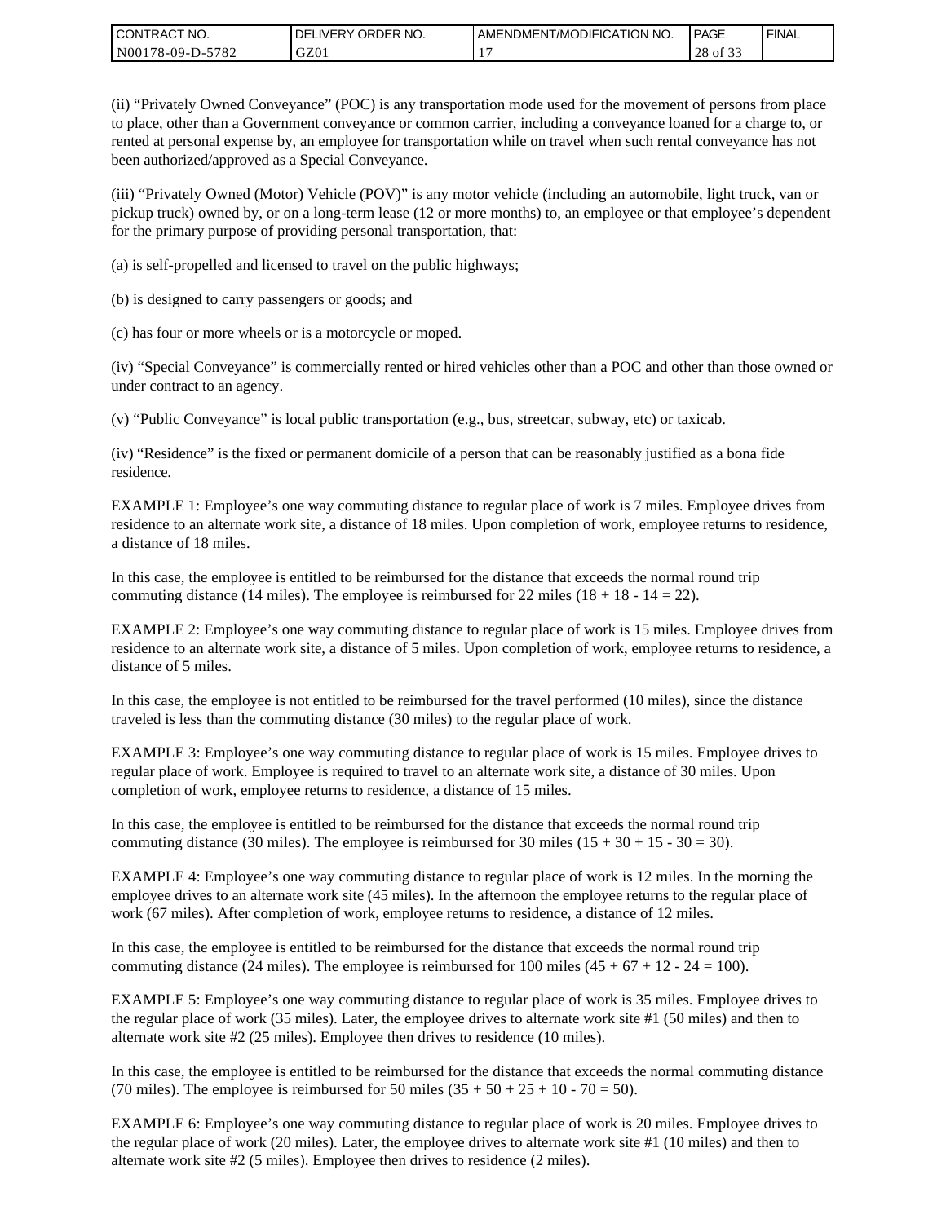| I CONTRACT NO.   | DELIVERY ORDER NO. | LAMENDMENT/MODIFICATION NO. | PAGE                         | ' FINAL |
|------------------|--------------------|-----------------------------|------------------------------|---------|
| N00178-09-D-5782 | GZ01               |                             | $\sim$ $\sim$<br>28<br>of 33 |         |

(ii) "Privately Owned Conveyance" (POC) is any transportation mode used for the movement of persons from place to place, other than a Government conveyance or common carrier, including a conveyance loaned for a charge to, or rented at personal expense by, an employee for transportation while on travel when such rental conveyance has not been authorized/approved as a Special Conveyance.

(iii) "Privately Owned (Motor) Vehicle (POV)" is any motor vehicle (including an automobile, light truck, van or pickup truck) owned by, or on a long-term lease (12 or more months) to, an employee or that employee's dependent for the primary purpose of providing personal transportation, that:

(a) is self-propelled and licensed to travel on the public highways;

(b) is designed to carry passengers or goods; and

(c) has four or more wheels or is a motorcycle or moped.

(iv) "Special Conveyance" is commercially rented or hired vehicles other than a POC and other than those owned or under contract to an agency.

(v) "Public Conveyance" is local public transportation (e.g., bus, streetcar, subway, etc) or taxicab.

(iv) "Residence" is the fixed or permanent domicile of a person that can be reasonably justified as a bona fide residence.

EXAMPLE 1: Employee's one way commuting distance to regular place of work is 7 miles. Employee drives from residence to an alternate work site, a distance of 18 miles. Upon completion of work, employee returns to residence, a distance of 18 miles.

In this case, the employee is entitled to be reimbursed for the distance that exceeds the normal round trip commuting distance (14 miles). The employee is reimbursed for 22 miles (18 + 18 - 14 = 22).

EXAMPLE 2: Employee's one way commuting distance to regular place of work is 15 miles. Employee drives from residence to an alternate work site, a distance of 5 miles. Upon completion of work, employee returns to residence, a distance of 5 miles.

In this case, the employee is not entitled to be reimbursed for the travel performed (10 miles), since the distance traveled is less than the commuting distance (30 miles) to the regular place of work.

EXAMPLE 3: Employee's one way commuting distance to regular place of work is 15 miles. Employee drives to regular place of work. Employee is required to travel to an alternate work site, a distance of 30 miles. Upon completion of work, employee returns to residence, a distance of 15 miles.

In this case, the employee is entitled to be reimbursed for the distance that exceeds the normal round trip commuting distance (30 miles). The employee is reimbursed for 30 miles  $(15 + 30 + 15 - 30 = 30)$ .

EXAMPLE 4: Employee's one way commuting distance to regular place of work is 12 miles. In the morning the employee drives to an alternate work site (45 miles). In the afternoon the employee returns to the regular place of work (67 miles). After completion of work, employee returns to residence, a distance of 12 miles.

In this case, the employee is entitled to be reimbursed for the distance that exceeds the normal round trip commuting distance (24 miles). The employee is reimbursed for 100 miles  $(45 + 67 + 12 - 24 = 100)$ .

EXAMPLE 5: Employee's one way commuting distance to regular place of work is 35 miles. Employee drives to the regular place of work (35 miles). Later, the employee drives to alternate work site #1 (50 miles) and then to alternate work site #2 (25 miles). Employee then drives to residence (10 miles).

In this case, the employee is entitled to be reimbursed for the distance that exceeds the normal commuting distance (70 miles). The employee is reimbursed for 50 miles  $(35 + 50 + 25 + 10 - 70 = 50)$ .

EXAMPLE 6: Employee's one way commuting distance to regular place of work is 20 miles. Employee drives to the regular place of work (20 miles). Later, the employee drives to alternate work site #1 (10 miles) and then to alternate work site #2 (5 miles). Employee then drives to residence (2 miles).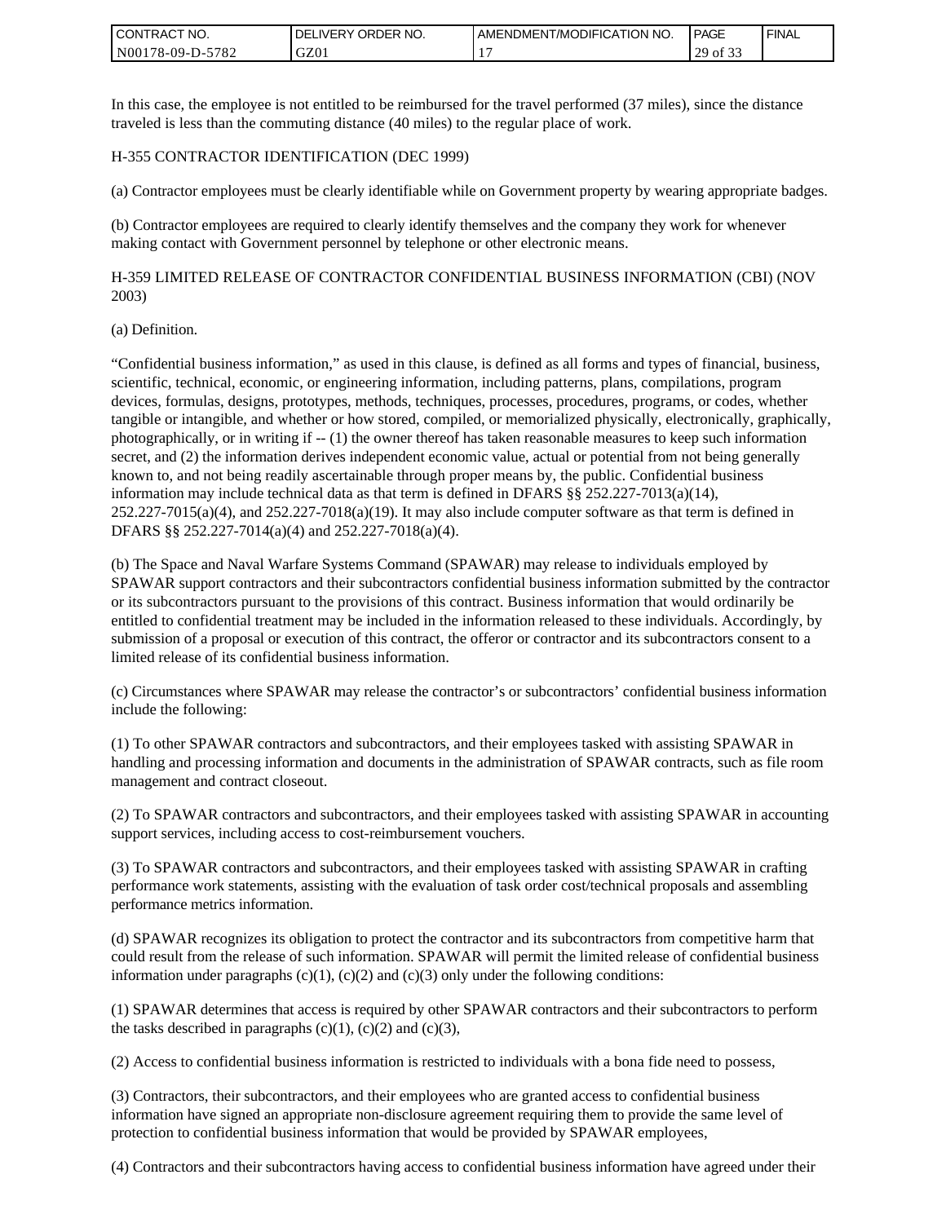| <b>CONTRACT NO.</b> | ' ORDER NO.<br><b>DELIVERY</b> | I AMENDMENT/MODIFICATION NO. | PAGE        | ' FINAL |
|---------------------|--------------------------------|------------------------------|-------------|---------|
| N00178-09-D-5782    | GZ01                           |                              | 29<br>of 33 |         |

In this case, the employee is not entitled to be reimbursed for the travel performed (37 miles), since the distance traveled is less than the commuting distance (40 miles) to the regular place of work.

#### H-355 CONTRACTOR IDENTIFICATION (DEC 1999)

(a) Contractor employees must be clearly identifiable while on Government property by wearing appropriate badges.

(b) Contractor employees are required to clearly identify themselves and the company they work for whenever making contact with Government personnel by telephone or other electronic means.

H-359 LIMITED RELEASE OF CONTRACTOR CONFIDENTIAL BUSINESS INFORMATION (CBI) (NOV 2003)

#### (a) Definition.

"Confidential business information," as used in this clause, is defined as all forms and types of financial, business, scientific, technical, economic, or engineering information, including patterns, plans, compilations, program devices, formulas, designs, prototypes, methods, techniques, processes, procedures, programs, or codes, whether tangible or intangible, and whether or how stored, compiled, or memorialized physically, electronically, graphically, photographically, or in writing if -- (1) the owner thereof has taken reasonable measures to keep such information secret, and (2) the information derives independent economic value, actual or potential from not being generally known to, and not being readily ascertainable through proper means by, the public. Confidential business information may include technical data as that term is defined in DFARS §§ 252.227-7013(a)(14),  $252.227-7015(a)(4)$ , and  $252.227-7018(a)(19)$ . It may also include computer software as that term is defined in DFARS §§ 252.227-7014(a)(4) and 252.227-7018(a)(4).

(b) The Space and Naval Warfare Systems Command (SPAWAR) may release to individuals employed by SPAWAR support contractors and their subcontractors confidential business information submitted by the contractor or its subcontractors pursuant to the provisions of this contract. Business information that would ordinarily be entitled to confidential treatment may be included in the information released to these individuals. Accordingly, by submission of a proposal or execution of this contract, the offeror or contractor and its subcontractors consent to a limited release of its confidential business information.

(c) Circumstances where SPAWAR may release the contractor's or subcontractors' confidential business information include the following:

(1) To other SPAWAR contractors and subcontractors, and their employees tasked with assisting SPAWAR in handling and processing information and documents in the administration of SPAWAR contracts, such as file room management and contract closeout.

(2) To SPAWAR contractors and subcontractors, and their employees tasked with assisting SPAWAR in accounting support services, including access to cost-reimbursement vouchers.

(3) To SPAWAR contractors and subcontractors, and their employees tasked with assisting SPAWAR in crafting performance work statements, assisting with the evaluation of task order cost/technical proposals and assembling performance metrics information.

(d) SPAWAR recognizes its obligation to protect the contractor and its subcontractors from competitive harm that could result from the release of such information. SPAWAR will permit the limited release of confidential business information under paragraphs  $(c)(1)$ ,  $(c)(2)$  and  $(c)(3)$  only under the following conditions:

(1) SPAWAR determines that access is required by other SPAWAR contractors and their subcontractors to perform the tasks described in paragraphs  $(c)(1)$ ,  $(c)(2)$  and  $(c)(3)$ ,

(2) Access to confidential business information is restricted to individuals with a bona fide need to possess,

(3) Contractors, their subcontractors, and their employees who are granted access to confidential business information have signed an appropriate non-disclosure agreement requiring them to provide the same level of protection to confidential business information that would be provided by SPAWAR employees,

(4) Contractors and their subcontractors having access to confidential business information have agreed under their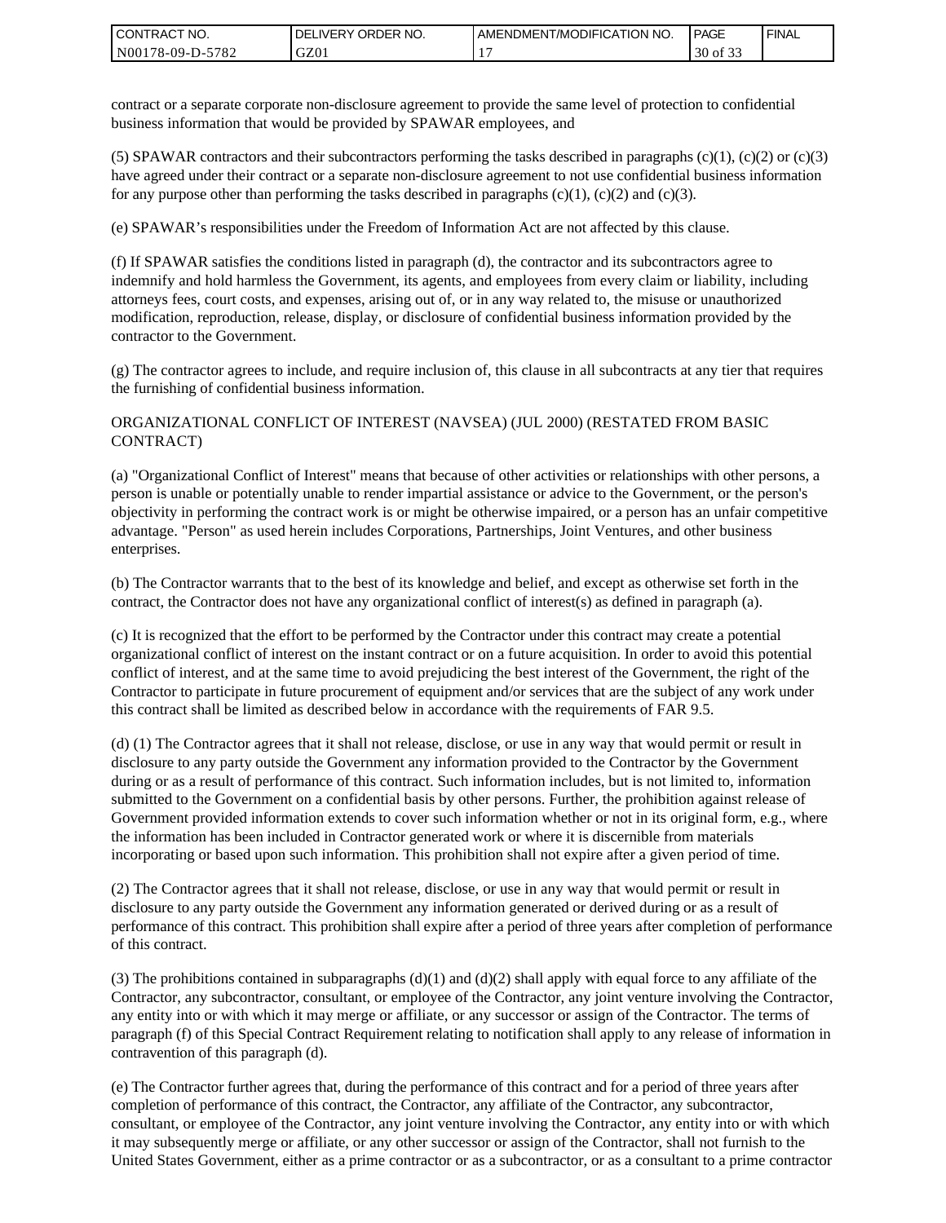| <b>CONTRACT NO.</b> | ' ORDER NO.<br><b>DELIVERY</b> | AMENDMENT/MODIFICATION NO. | <b>PAGE</b>            | ' FINAL |
|---------------------|--------------------------------|----------------------------|------------------------|---------|
| N00178-09-D-5782    | GZ01                           |                            | 0.22<br>30<br>ΟĪ<br>ີ່ |         |

contract or a separate corporate non-disclosure agreement to provide the same level of protection to confidential business information that would be provided by SPAWAR employees, and

(5) SPAWAR contractors and their subcontractors performing the tasks described in paragraphs  $(c)(1)$ ,  $(c)(2)$  or  $(c)(3)$ have agreed under their contract or a separate non-disclosure agreement to not use confidential business information for any purpose other than performing the tasks described in paragraphs  $(c)(1)$ ,  $(c)(2)$  and  $(c)(3)$ .

(e) SPAWAR's responsibilities under the Freedom of Information Act are not affected by this clause.

(f) If SPAWAR satisfies the conditions listed in paragraph (d), the contractor and its subcontractors agree to indemnify and hold harmless the Government, its agents, and employees from every claim or liability, including attorneys fees, court costs, and expenses, arising out of, or in any way related to, the misuse or unauthorized modification, reproduction, release, display, or disclosure of confidential business information provided by the contractor to the Government.

(g) The contractor agrees to include, and require inclusion of, this clause in all subcontracts at any tier that requires the furnishing of confidential business information.

#### ORGANIZATIONAL CONFLICT OF INTEREST (NAVSEA) (JUL 2000) (RESTATED FROM BASIC CONTRACT)

(a) "Organizational Conflict of Interest" means that because of other activities or relationships with other persons, a person is unable or potentially unable to render impartial assistance or advice to the Government, or the person's objectivity in performing the contract work is or might be otherwise impaired, or a person has an unfair competitive advantage. "Person" as used herein includes Corporations, Partnerships, Joint Ventures, and other business enterprises.

(b) The Contractor warrants that to the best of its knowledge and belief, and except as otherwise set forth in the contract, the Contractor does not have any organizational conflict of interest(s) as defined in paragraph (a).

(c) It is recognized that the effort to be performed by the Contractor under this contract may create a potential organizational conflict of interest on the instant contract or on a future acquisition. In order to avoid this potential conflict of interest, and at the same time to avoid prejudicing the best interest of the Government, the right of the Contractor to participate in future procurement of equipment and/or services that are the subject of any work under this contract shall be limited as described below in accordance with the requirements of FAR 9.5.

(d) (1) The Contractor agrees that it shall not release, disclose, or use in any way that would permit or result in disclosure to any party outside the Government any information provided to the Contractor by the Government during or as a result of performance of this contract. Such information includes, but is not limited to, information submitted to the Government on a confidential basis by other persons. Further, the prohibition against release of Government provided information extends to cover such information whether or not in its original form, e.g., where the information has been included in Contractor generated work or where it is discernible from materials incorporating or based upon such information. This prohibition shall not expire after a given period of time.

(2) The Contractor agrees that it shall not release, disclose, or use in any way that would permit or result in disclosure to any party outside the Government any information generated or derived during or as a result of performance of this contract. This prohibition shall expire after a period of three years after completion of performance of this contract.

(3) The prohibitions contained in subparagraphs  $(d)(1)$  and  $(d)(2)$  shall apply with equal force to any affiliate of the Contractor, any subcontractor, consultant, or employee of the Contractor, any joint venture involving the Contractor, any entity into or with which it may merge or affiliate, or any successor or assign of the Contractor. The terms of paragraph (f) of this Special Contract Requirement relating to notification shall apply to any release of information in contravention of this paragraph (d).

(e) The Contractor further agrees that, during the performance of this contract and for a period of three years after completion of performance of this contract, the Contractor, any affiliate of the Contractor, any subcontractor, consultant, or employee of the Contractor, any joint venture involving the Contractor, any entity into or with which it may subsequently merge or affiliate, or any other successor or assign of the Contractor, shall not furnish to the United States Government, either as a prime contractor or as a subcontractor, or as a consultant to a prime contractor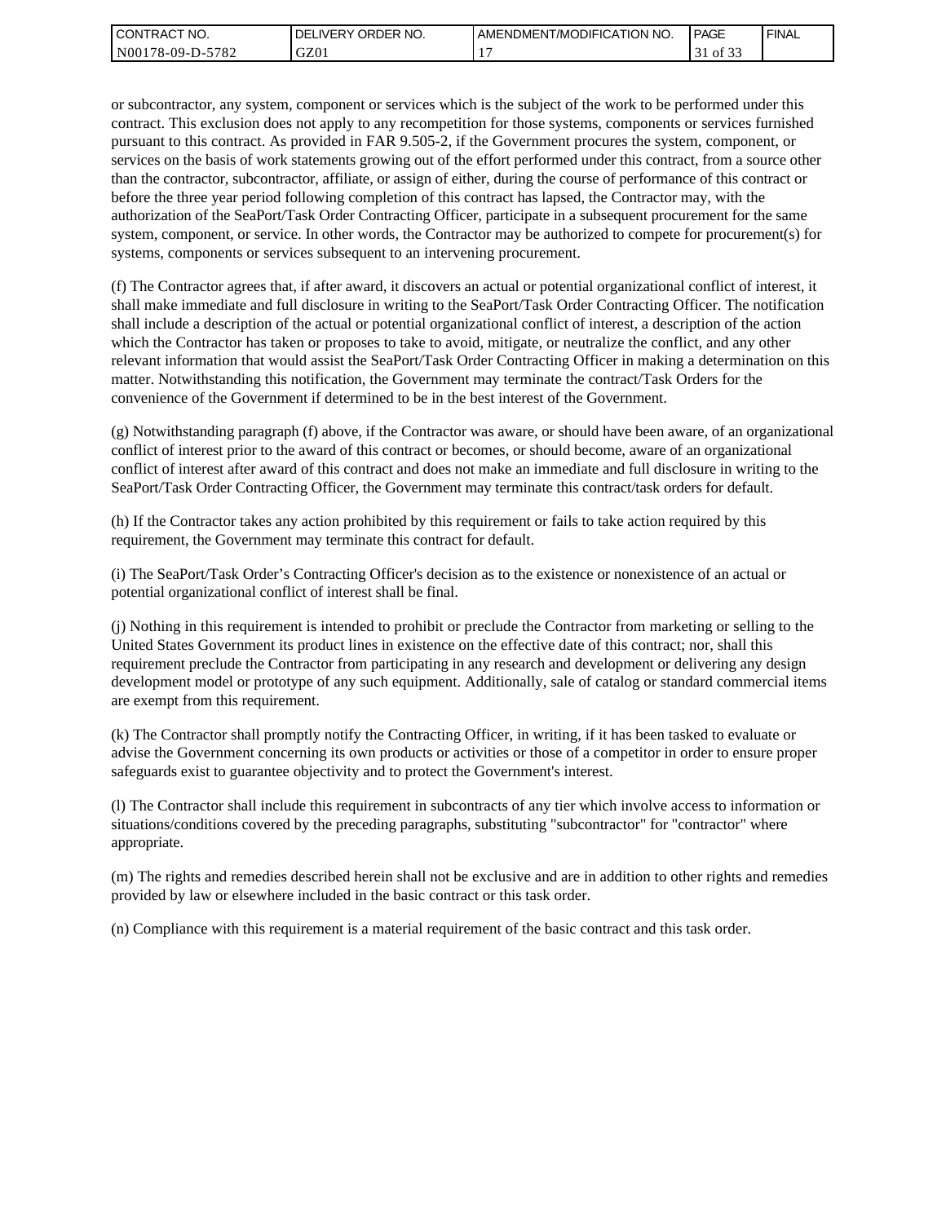| l CON <sup>-</sup><br>'TRACT NO. | ORDER<br>NO.<br>DELI<br>.IVERY | AMENDMENT/MODIFICATION NO. | <b>PAGE</b>              | ' FINAL |
|----------------------------------|--------------------------------|----------------------------|--------------------------|---------|
| 5782<br>N00178-09-D-5            | GZ01                           |                            | 0.25<br>ΟĪ<br><u>. .</u> |         |

or subcontractor, any system, component or services which is the subject of the work to be performed under this contract. This exclusion does not apply to any recompetition for those systems, components or services furnished pursuant to this contract. As provided in FAR 9.505-2, if the Government procures the system, component, or services on the basis of work statements growing out of the effort performed under this contract, from a source other than the contractor, subcontractor, affiliate, or assign of either, during the course of performance of this contract or before the three year period following completion of this contract has lapsed, the Contractor may, with the authorization of the SeaPort/Task Order Contracting Officer, participate in a subsequent procurement for the same system, component, or service. In other words, the Contractor may be authorized to compete for procurement(s) for systems, components or services subsequent to an intervening procurement.

(f) The Contractor agrees that, if after award, it discovers an actual or potential organizational conflict of interest, it shall make immediate and full disclosure in writing to the SeaPort/Task Order Contracting Officer. The notification shall include a description of the actual or potential organizational conflict of interest, a description of the action which the Contractor has taken or proposes to take to avoid, mitigate, or neutralize the conflict, and any other relevant information that would assist the SeaPort/Task Order Contracting Officer in making a determination on this matter. Notwithstanding this notification, the Government may terminate the contract/Task Orders for the convenience of the Government if determined to be in the best interest of the Government.

(g) Notwithstanding paragraph (f) above, if the Contractor was aware, or should have been aware, of an organizational conflict of interest prior to the award of this contract or becomes, or should become, aware of an organizational conflict of interest after award of this contract and does not make an immediate and full disclosure in writing to the SeaPort/Task Order Contracting Officer, the Government may terminate this contract/task orders for default.

(h) If the Contractor takes any action prohibited by this requirement or fails to take action required by this requirement, the Government may terminate this contract for default.

(i) The SeaPort/Task Order's Contracting Officer's decision as to the existence or nonexistence of an actual or potential organizational conflict of interest shall be final.

(j) Nothing in this requirement is intended to prohibit or preclude the Contractor from marketing or selling to the United States Government its product lines in existence on the effective date of this contract; nor, shall this requirement preclude the Contractor from participating in any research and development or delivering any design development model or prototype of any such equipment. Additionally, sale of catalog or standard commercial items are exempt from this requirement.

(k) The Contractor shall promptly notify the Contracting Officer, in writing, if it has been tasked to evaluate or advise the Government concerning its own products or activities or those of a competitor in order to ensure proper safeguards exist to guarantee objectivity and to protect the Government's interest.

(l) The Contractor shall include this requirement in subcontracts of any tier which involve access to information or situations/conditions covered by the preceding paragraphs, substituting "subcontractor" for "contractor" where appropriate.

(m) The rights and remedies described herein shall not be exclusive and are in addition to other rights and remedies provided by law or elsewhere included in the basic contract or this task order.

(n) Compliance with this requirement is a material requirement of the basic contract and this task order.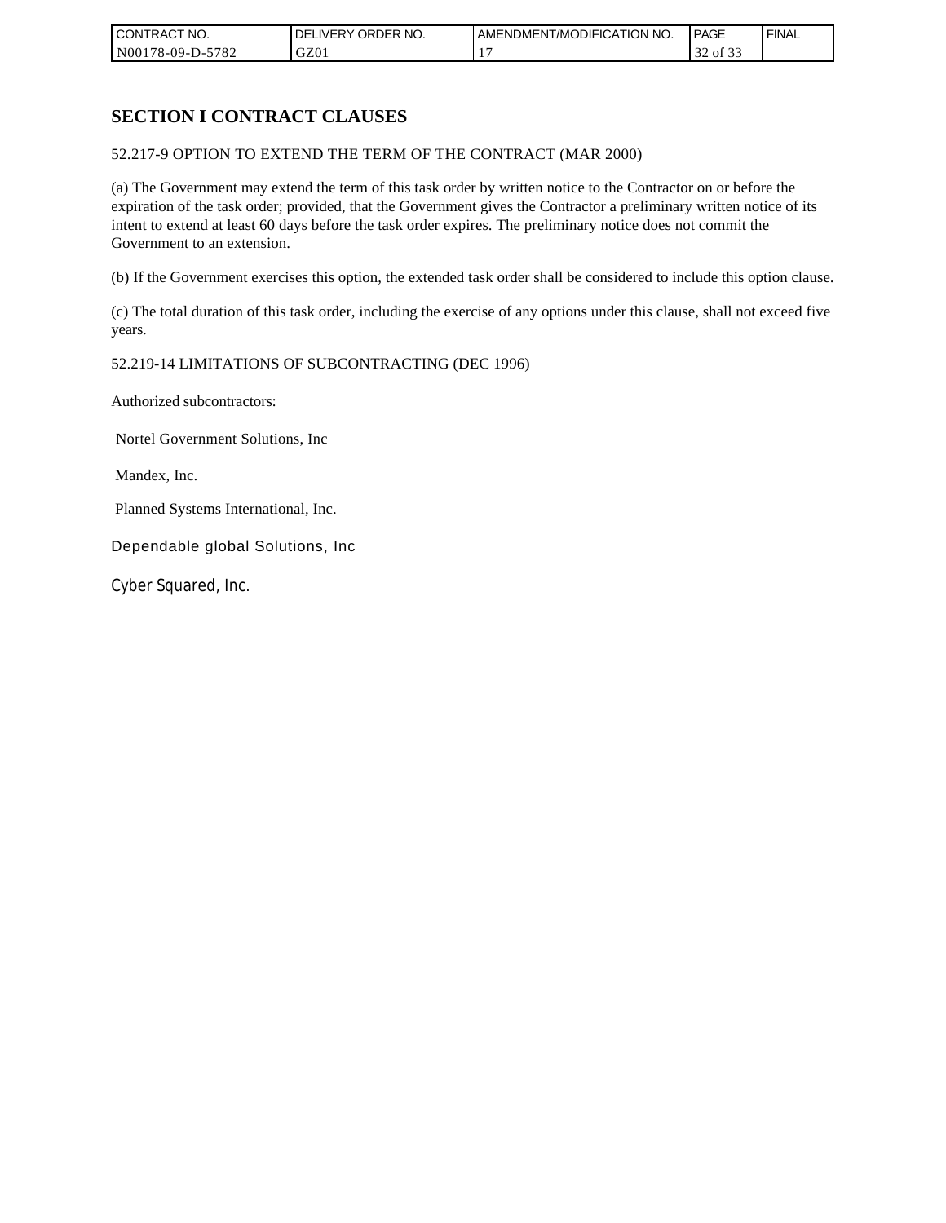| CONTRACT NO.     | ORDER <sup>'</sup><br>NO.<br><b>DELIVERY</b> | AMENDMENT/MODIFICATION NO. | PAGE                  | <b>FINAL</b> |
|------------------|----------------------------------------------|----------------------------|-----------------------|--------------|
| N00178-09-D-5782 | GZ01                                         |                            | $\sim$<br>of 33<br>32 |              |

# **SECTION I CONTRACT CLAUSES**

52.217-9 OPTION TO EXTEND THE TERM OF THE CONTRACT (MAR 2000)

(a) The Government may extend the term of this task order by written notice to the Contractor on or before the expiration of the task order; provided, that the Government gives the Contractor a preliminary written notice of its intent to extend at least 60 days before the task order expires. The preliminary notice does not commit the Government to an extension.

(b) If the Government exercises this option, the extended task order shall be considered to include this option clause.

(c) The total duration of this task order, including the exercise of any options under this clause, shall not exceed five years.

### 52.219-14 LIMITATIONS OF SUBCONTRACTING (DEC 1996)

Authorized subcontractors:

Nortel Government Solutions, Inc

Mandex, Inc.

Planned Systems International, Inc.

Dependable global Solutions, Inc

Cyber Squared, Inc.